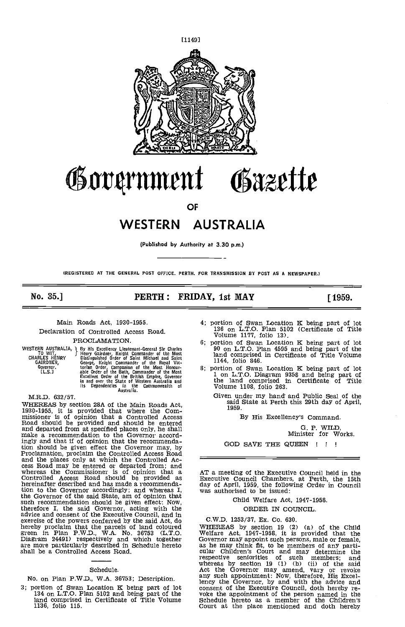

# £flt4rnlnent Osazette

OF

# WESTERN AUSTRALIA

(Published by Authority at 3.30 p.m.)

(REGISTERED AT THE GENERAL POST OFFICE. PERTH. FOR TRANSMISSION BY POST AS A NEWSPAPER.)

# No. 35.] **PERTH: FRIDAY, 1st MAY** [1959.

Main Roads Act, 1930-1955.

Declaration of Controlled Access Road. PROCLAMATION.

WESTERN AUSTRALIA, 1 By His Excellency Lieutenant-General Sir Charles<br>To WIT, J Henry Gairdner, Knight Commander of the Most<br>CHARLES HENRY Distinguished Order of Saint Michael and Saint GAIRDNER, George, Knight Commander of the Royal Vic-<br>Governor. torian Order, Companion of the Most Honour-<br>
[L.S.] able Order of the Bath, Commander of the Most<br>
Excellent Order of the British Empire, Governor<br>
in and over

M.R.D. 632/57.

WHEREAS by section 28A of the Main Roads Act,<br>1930-1955, it is provided that where the Com-<br>missioner is of opinion that a Controlled Access<br>Road should be provided and should be entered and departed from at specified places only he shall make a recommendation to the Governor accordmake a recommendation to the Governor accordingly and that if of opinion that the recommenda-<br>tion should be given effect the Governor may, by Proclamation, proclaim the Controlled Access Road From the places only at which the Controlled Ac-<br>ess Road may be entered or departed from; and<br>whereas the Commissioner is of opinion that a<br>Controlled Access Road should be provided as<br>Executive Council Chambers, at Perth tion to the Governor accordingly; and whereas I, was a<br>the Governor of the said State, am of opinion that<br>such recommendation should be given effect: Now,<br>therefore I, the said Governor, acting with the<br>advice and consent exercise of the powers conferred by the said Act, do C.W<br>hereby proclaim that the parcels of land coloured WHEH<br>green in Plan P.W.D., W.A. No. 36753 (L.T.O. Welfa:<br>Diagram 24491) respectively and which together Govern<br>are

## Schedule.

No. on Plan P.W.D., W,A. 36753; Description.

3; portion of Swan Location K being part of lot 134 on L.T.O. Plan 5102 and being part of the voke land comprised in Certificate of Title Volume 1136, folio 115.

- 4; portion of Swan Location K being part of lot 136 on L,T.O. Plan 5102 (Certificate of Title Volume 1177, folio 13).
- 6; portion of Swan Location K being part of lot 90 on L.T.O. Plan 4595 and being part of the land comprised in Certificate of Title Volume 1144, folio 846.
- 8; portion of Swan Location K being part of lot 1 on L.T.O. Diagram 9358 and being part of the land comprised in Certificate of Title Volume 1108, folio 263.
	- Given under my hand and Public Seal of the said State at Perth this 29th day of April, 1959.

By His Excellency's Command.

G. P. WILD, Minister for Works.

GOD SAVE THE QUEEN ! ! !

AT a meeting of the Executive Council held in the Executive Council Chambers, at Perth, the 15th day of April, 1959, the following Order in Council was authorised to be issued:

Child Welfare Act, 1947-1958.

ORDER IN COUNCIL.

C.W.D. 1253/37, Ex. Co. 630.

WHEREAS by section 19 (2) (a) of the Child<br>Welfare Act, 1947-1958, it is provided that the<br>Governor may appoint such persons, male or female, Welfare Act, 1947-1958, it is provided that the Governor may appoint such persons, male or female, as he may think fit, to be members of any parti- cular Children's Court and may determine the respective seniorities of such members; and<br>whereas by section 19 (1) (b) (ii) of the said<br>Act the Governor may amend, vary or revoke<br>any such appointment: Now, therefore, His Excel-<br>lency the Governor, by and with the adv voke the appointment of the person named in the Schedule hereto as a member of the Children's Court at the place mentioned and doth hereby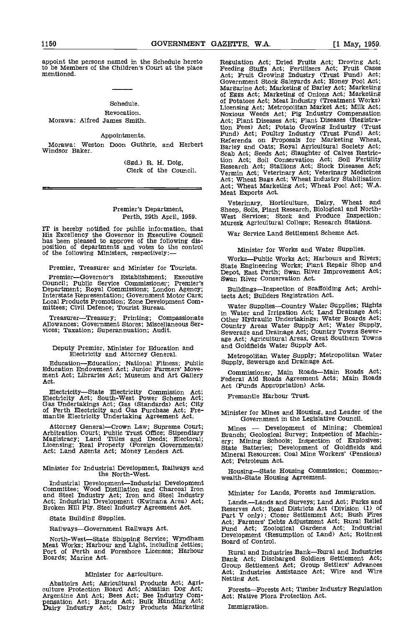appoint the persons named in the Schedule hereto Regul to be Members of the Children's Court at the place mentioned.

# Schedule. Revocation.

Morawa: Alfred James Smith.

# Appointments.

Morawa: Weston Doon Guthrie, and Herbert Windsor Baker.

(Sgd.) R. H. Doig, Clerk of the Council.

# Premier's Department, Perth, 29th April, 1959.

The state of the Governor in Executive Council and Settlement Scheme Act.<br>
This Excellency the Governor in Executive Council War Service Land Settlement Scheme Act.<br>
has been pleased to approve of the following dis-<br>
posit

Premier, Treasurer and Minister for Tourists.

 $P$ remier—Governor's Establishment; Executive  $S_{\text{WZ}}$ Council; Public Service Commissioner; Premier's<br>Department; Royal Commissions; London Agency; Literstate Representation; Government Motor Cars; tec<br>Local Products Promotion; Zone Development Committees; Civil Defence; Tour

Treasurer—Treasury; Printing; Compassionate Allowances; Government Stores; Miscellaneous Ser-<br>vices; Taxation; Superannuation; Audit.

# Deputy Premier, Minister for Education and Electricity and Attorney General.

EducationEducation; National Fitness; Public Education Endowment Act; Junior Farmers' Move- ment Act; Libraries Act; Museum and Art Gallery Act.

Electricity—State Electricity Commission Act;<br>
Electricity—State Electricity Commission Act;<br>
Electricity Act; South-West Power Scheme Act;<br>
Gas Undertakings Act; Gas (Standards) Act; City<br>
of Perth Electricity and Gas Pur

Attorney General—Crown Law; Supreme Court;<br>Arbitration Court; Public Trust Office; Stipendiary<br>Magistracy; Land Titles and Deeds; Electoral;<br>Licensing; Real Property (Foreign Governments)<br>Act; Land Agents Act; Money Lender

#### Minister for Industrial Development, Railways and the North-West.

Industrial Development—Industrial Development Committee; Wood Distillation and Charcoal Iron and Steel Industry Act; Iron and Steel Industry Mini<br>Act; Industrial Development (Kwinana Area) Act; Broken Hill Pty. Steel Industry Agreement Act. Reserv

State Building Supplies.

Railways-Government Railways Act.

North-West-State Shipping Service; Wyndham Meat Works; Harbour and Light, including Jetties; Port of Perth and Poreshore Licenses; Harbour Boards; Marine Act.

# Minister for Agriculture.

Abattoirs Act; Agricultural Products Act; Agriculture Protection Board Act; Alsatian Dog Act; Forests—Forests Act; Timber In Argentine Ant Act; Bees Act; Bee Industry Comparison Act; Native Flora Protection Act.<br>
Parry Ind

Regulation Act; Dried Fruits Act; Droving Act; Feeding Stuffs Act; Fertilisers Act; Fruit Cases<br>Act; Fruit Growing Industry (Trust Fund) Act;<br>Government Stock Saleyards Act; Honey Pool Act;<br>Margarine Act; Marketing of Barl of Potatoes Act; Meat Industry (Treatment Works) Licensing Act; Metropolitan Market Act; Milk Act; Noxious Weeds Act; Pig Industry Compensation Act; Plant Diseases Act; Plant Diseases (Registration Fees) Act; Potato Growing Industry (Trust<br>Fund) Act; Poultry Industry (Trust Fund) Act;<br>Referenda on Proposals for Marketing Wheat,<br>Barley and Oats; Royal Agricultural Society Act;<br>Scab Act; Seeds Act; Slaughter of Ca tion Act; Soil Conservation Act; Soil Fertility Research Act; Stallions Act; Stock Diseases Act; Vermin Act; Veterinary Act; Veterinary Medicines Act; Wheat Bags Act; Wheat Industry Stabilisation Act; Wheat Marketing Act; Wheat Pool Act; WA. Meat Exports Act.

Veterinary, Horticulture, Dairy, Wheat and Sheep, Soils, Plant Research, Biological and North- West Services; Stock and Produce Inspection; Muresk Agricultural College; Research Stations.

War Service Land Settlement Scheme Act.

# Minister for Works and Water Supplies.

State Engineering Works; Plant Repair Shop and Depot, East Perth; Swan River Improvement Act; Swan River Conservation Act.

Buildings-Inspection of Scaffolding Act; Architects Act; Builders Registration Act.

Water Supplies—Country Water Supplies; Rights In Water and Irrigation Act; Land Drainage Act; Other Hydraulic Undertakings; Water Boards Act; Country Areas Water Supply Act; Water Supply, Sewerage and Drainage Act; Country Towns Sewerage Act; Agricultural Areas, Great Southern Towns and Goldfields Water Supply Act.

Metropolitan Water Supply; Metropoiltan Water Supply, Sewerage and Drainage Act.

Commissioner, Main Roads-Main Roads Act; Federal Aid Roads Agreement Acts; Main Roads

Fremantle Harbour Trust.

Minister for Mines and Housing, and Leader of the

Mines - Development of Mining; Chemical<br>Branch; Geological Survey; Inspection of Machin-Branch; Geological Survey; Inspection of Machin- ery; Mining Schools; Inspection of Explosives; State Batteries; Development of Goldfields and Mineral Resources; Coal Mine Workers' (Pensions) Act; Petroleum Act.

Housing—State Housing Commission; Common-<br>wealth-State Housing Agreement.

Minister for Lands, Forests and Immigration.

Lands.—Lands and Surveys; Land Act; Parks and<br>Reserves Act; Road Districts Act (Division (1) of<br>Part V only); Closer Settlement Act; Bush Fires<br>Act; Farmers' Debts Adjustment Act; Rural Relief<br>Fund Act; Zoological Gardens Board of Control.

Rural and Industries Bank-Rural and Industries Bank Act; Discharged Soldiers Settlement Act; Group Settlement Act; Group Settlers' Advances Act; Industries Assistance Act; Wire and Wire Netting Act.

Forests—Forests Act; Timber Industry Regulation

Immigration.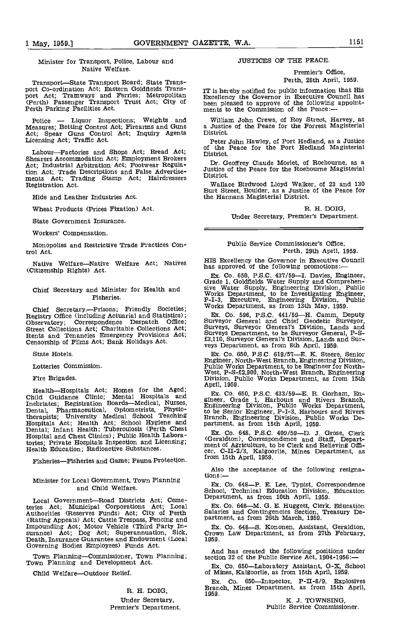Minister for Transport, Police, Labour and Native Welfare.

Transport—State Transport Board; State Trans-<br>
port Co-ordination Act; Eastern Goldfields Trans-<br>
port Act; Tramways and Ferries; Metropolitan Excellency the Governor in Executive Council has<br>
Excellency the Governor in Ex (Perth) Passenger Transport Trust Act; City of Been pleased to approve of the following<br>Perth Parking Facilities Act. The next is to the Commission of the Pence:-

Police - Liquor Inspections; Weights and Measures; Betting Control Act; Firearms and Guns a Justic<br>Act: Spear, Guns Control Act: Inquiry Agents District. Act; Spear Guns Control Act; Inquiry Agents Licensing Act; Traffic Act.

Labour—Factories and Shops Act; Bread Act; Shearers Accommodation Act; Employment Brokers Act; Industrial Arbitration Act; Footwear Regulation Act; Trade Descriptions and False Advertise-<br>ments Act; Trading Stamp Act; Hairdressers District.<br>Registration Act. Trading Stamp Act; Hairdressers Wallace Birdwood Lloyd Walker, of 23 and 130 Registration Act.

Hide and Leather Industries Act.

Wheat Products (Prices Fixation) Act.

State Government Insurance.

Workers' Compensation.

Monopolies and Restrictive Trade Practices Control Act.

Native Welfare—Native Welfare Act; Natives Fils Excellency the Governor in Executive<br>National Dights), Act (Citizenship Rights) Act.

## Chief Secretary and Minister for Health and Fisheries.

Chief Secretary.---Prisons; Friendly Societies; Registry Office (including Actuarial and Statistics); Observatory; Correspondence Despatch Office; Street Collections Act; Charitable Collections Act;<br>Rents and Tenancies Emergency Provisions Act;<br>Censorship of Films Act; Bank Holidays Act.

State Hotels.

Lotteries Commission.

Fire Brigades.

Health—Hospitals Act; Homes for the Aged;<br>Child Guidance Clinic; Mental Hospitals and  $\frac{Ex}{xine}$ Inebriates; Registration Boards—Medical, Nurses, Dental, Pharmaceutical, Optometrists, Physlotherapists; University Medical School Teaching Hospitals Act; Health Act; School Hygiene and partmet<br>
Hospital; Inf ant Health; Tuberculosis (Perth Chest Hospital and Chest Clinics); Public Health Labora- (Gerel Hospital and Chest Clinics); Public Health Laboratories; Private Hospitals Inspection and Licensing;<br>Health Education; Radioactive Substances.

Fisheries-Fisheries and Game; Fauna Protection.

# Minister for Local Government, Town Planning<br>
end Child Welfere<br>
Co. 648—P. E. Lee, Typist, Correspondence and Child Welfare.

Local Government-Road Districts Act; Cemeteries Act; Municipal Corporations Act; Local Authorities (Reserves Funds) Act; City of Perth (Rating Appeals) Act; Cattle Trespass, Fencing and Partm Impounding Act; Motor Vehicle (Third Party In- surance) Act; Dog Act; Superannuation, Sick, surance) Act; Dog Act; Superannuation, Sick, Death, Insurance Guarantee and Endowment (Local Governing Bodies Employees) Funds Act.

Town Planning-Commissioner, Town Planning;<br>Town Planning and Development Act.

Child Welfare-Outdoor Relief.

# R. H. DOIG,

Under Secretary. Premier's Department.

# JUSTICES OF THE PEACE.

Premier's Office, Perth, 28th April, 1959.

Excellency the Governor in Executive Council has been pleased to approve of the following appoint-

William John Crews, of Roy Street, Harvey, as a Justice of the Peace for the Forrest Magisterial

of the Peace for the Port Hedland Magisterial

Dr. Geoffrey Claude Morlet, of Roebourne, as a Justice of the Peace for the Roebourne Magisterial District.

Burt Street, Boulder, as a Justice of the Peace for the Hannans Magisterial District.

> R. H. DOIG, Under Secretary, Premier's Department.

# Public Service Commissioner's Office, Perth, 29th April, 1959.

HIS Excellency the Governor in Executive Council

Ex. Co. 650, P.S.C. 437/59—I. Davies, Engineer,<br>Grade 1, Goldfields Water Supply and Comprehensive Water Supply, Engineering Division, Public<br>Works Department, to be Investigating Engineer,<br>P-I-3, Executive, Engineering Di Works Department, as from 13th May, 1959.

Ex. Co. 596, P.S.C. 441/59—H. Camm, Deputy Surveyor General and Chief Geodetic Surveyor, Surveyor, Surveyor General's Division, Lands and Surveys Department, to be Surveyor General, P-S-10. £3,110, Surveyor General's Divis

Ex. Co. 650, P.S.C. 619/57—E. K. Steere, Senior<br>Engineer, North-West Branch, Engineering Division,<br>Public Works Department, to be Engineer for North-West, P-S-£2,900, North-West Branch, Engineering<br>Division, Public Works D

Ex. Co. 650, P.S.C. 433/59—E. R. Gorham, Engineer, Grade 1, Harbours and Rivers Branch, Engineering Division, Public Works Department, to be Senior Engineer, P-I-3, Harbours and Rivers Branch, Engineering Division, Public

Ex. Co. 648, P.S.C. 409/59-D. J. Grose, Clerk (Geraldton), Correspondence and Staff, Depart-(Geraldton), Correspondence and Staff, Depart- ment of Agriculture, to be Clerk and Relieving Offi- cer, C-II-2/3, Kalgoorlie, Mines Department, as from 15th April, 1959.

Also the acceptance of the following resigna-

School, Technical Education Division, Education Department, as from 10th April, 1959.

Ex. Co. 648—M. G. E. Huggett, Clerk, Education Salaries and Contingencies Section, Treasury Department, as from 26th March, 1959.

Ex. Co. 648-S. Kononen, Assistant, Geraldton, Crown Law Department, as from 27th February, 1959.

And has created the following positions under section 32 of the Public Service Act, 1904-1956:—

Ex. Co. 650—Laboratory Assistant, G-X, School of Mines, Kalgoorlie, as from 15th April, 1959.

Ex. Co. 650—Inspector, P-II-8/9, Explosives Branch, Mines Department, as from 15th April, 1959.

K. J. TOWNSING,<br>Public Service Commissioner.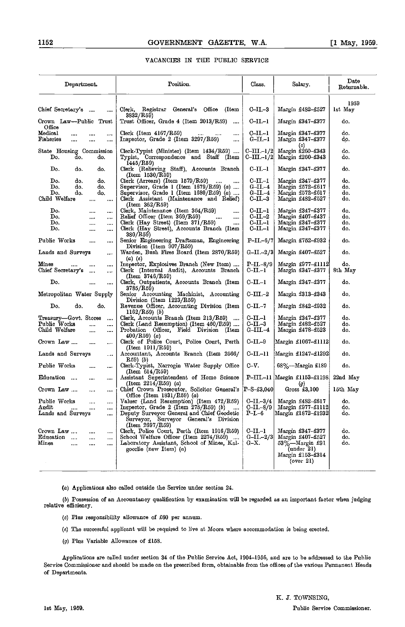# VACANCIES IN THE PUBLIC SERVICE

| 1959<br>Chief Secretary's<br>Clerk, Registrar General's Office (Item<br>$_{\rm C-II-3}$<br>Margin £482-£527<br>1st May<br><br>3832/R59)<br>Crown Law--Public Trust<br>Trust Officer, Grade 4 (Item 2013/R59)<br>C-II.-1<br>Margin £347-£377<br>do.<br>Office<br>Medical<br>C-II.-1<br>Margin £347-£377<br>Clerk (Item $4167/R59$ )<br>do.<br>$\cdots$ .<br>$\cdots$<br><br><br>Inspector, Grade 2 (Item 3297/R59)<br>Fisheries<br>G-II.–1<br>Margin £347-£377<br>do.<br>$\cdots$<br><br><br>ωI<br>$C-III-1/2$<br>Margin £260-£343<br>do.<br>State Housing Commission<br>Clerk-Typist (Minister) (Item 1434/R59)<br>$C$ –III –1/2<br>Do.<br>Typist, Correspondence and Staff (Item<br>Margin £260–£343<br>do.<br>do.<br>do.<br>1445/R59)<br>c-11.-1<br>$\mathbf{D}_0$ .<br>Clerk (Relieving Staff), Accounts Branch<br>Margin £347–£377<br>do.<br>d٥.<br>do.<br>(Item 1530/R59)<br>$C\text{-II}-1$<br>Do.<br>$Clerk$ (Arrears) (Item $1579/R59$ )<br>Margin £347-£377<br>do.<br>do.<br>do.<br>$\cdots$<br>Supervisor, Grade 1 (Item 1679/R59) (a)<br>Do.<br>$G$ -II.-4<br>Margin £572-£617<br>do.<br>do.<br>do.<br>Do.<br>Supervisor, Grade 1 (Item 1680/R59) (a)<br>do.<br>do.<br>do.<br>G-II.-4<br>Margin £572–£617<br>Child Welfare<br>Clerk Assistant (Maintenance and Relief)<br>$_{\rm C-II.-3}$<br>Margin £482–£527<br>do.<br>$\cdots$<br><br>(Item 362/R59)<br>Do.<br>Clerk, Maintenance (Item 364/R59)<br>C-II.-1<br>Margin £347–£377<br>do,<br>$\cdots$<br>$\cdots$<br>$\cdots$<br>Relief Officer (Item 369/R59)<br>$C$ – $II$ .– $2$<br>Do.<br>Margin £407–£437<br>do.<br>$\cdots$<br>$\cdots$<br>$\sim$<br><br>Do.<br>Clerk (Hay Street) (Item 371/R59)<br>$C$ -II.-1<br>Margin £347-£377<br>do.<br>$\cdots$<br><br><br>Do.<br>Clerk (Hay Street), Accounts Branch (Item<br>C-II.-1<br>do.<br>Margin £347–£377<br><br>$\cdots$<br>380/R59)<br>Public Works<br>Senior Engineering Draftsman, Engineering<br>Margin £752-£932<br>$P-II - 6/7$<br>do.<br>$\cdots$<br><br>Division (Item 907/R59)<br>Lands and Surveys<br>Warden, Bush Fires Board (Item 2870/R59)<br>G-II.-2/3<br>Margin £407-£527<br>do.<br><br>(a) (e)<br>Margin £977-£1112<br>Mines<br>Inspector, Explosives Branch (New Item)<br>$P-II.-8/9$<br>do.<br><br><br>Chief Secretary's<br>Clerk (Internal Audit), Accounts Branch<br>C-II.-1<br>Margin £347–£377<br>8th May<br>$\cdots$<br>(Item 3746/R59)<br>Do.<br>$C$ -II.-1<br>Clerk, Outpatients, Accounts Branch (Item<br>Margin £347-£377<br>do.<br>$\cdots$<br>$\cdots$<br>3785/R59)<br>Senior Accounting Machinist, Accounting<br>$C$ – $III$ –2<br>Margin £313-£343<br>Metropolitan Water Supply<br>do.<br>Division (Item $1223/R59$ )<br>$C$ -II.-7<br>Do.<br>do.<br>Revenue Officer, Accounting Division (Item<br>Margin £842-£932<br>do.<br>do.<br>$1162/R59)$ (b)<br>$C$ -II.-1<br>Clerk, Accounts Branch (Item 213/R59)<br>Margin £347–£377<br>do.<br>Treasury—Govt. Stores<br>$\cdots$<br>$C$ -II.-3<br>Public Works<br>Clerk (Land Resumption) (Item $460/R59$ )<br>Margin £482–£527<br>do.<br>$\cdots$<br><br>Child Welfare<br>Probation Officer, Field Division (Item<br>G-III.-4<br>Margin £478–£523<br>do.<br><br><br>$400/R59$ (a)<br>$C$ -II.-9<br>Crown Law<br>Clerk of Police Court, Police Court, Perth<br>Margin £1067–£1112<br>do.<br>$\cdots$<br>$\cdots$<br>(Item 1911/R59)<br>Accountant, Accounts Branch (Item 2566/<br>C-II.-11<br>Margin £1247–£1292<br>Lands and Surveys<br>do.<br>$\cdots$<br>R59) (b) |
|------------------------------------------------------------------------------------------------------------------------------------------------------------------------------------------------------------------------------------------------------------------------------------------------------------------------------------------------------------------------------------------------------------------------------------------------------------------------------------------------------------------------------------------------------------------------------------------------------------------------------------------------------------------------------------------------------------------------------------------------------------------------------------------------------------------------------------------------------------------------------------------------------------------------------------------------------------------------------------------------------------------------------------------------------------------------------------------------------------------------------------------------------------------------------------------------------------------------------------------------------------------------------------------------------------------------------------------------------------------------------------------------------------------------------------------------------------------------------------------------------------------------------------------------------------------------------------------------------------------------------------------------------------------------------------------------------------------------------------------------------------------------------------------------------------------------------------------------------------------------------------------------------------------------------------------------------------------------------------------------------------------------------------------------------------------------------------------------------------------------------------------------------------------------------------------------------------------------------------------------------------------------------------------------------------------------------------------------------------------------------------------------------------------------------------------------------------------------------------------------------------------------------------------------------------------------------------------------------------------------------------------------------------------------------------------------------------------------------------------------------------------------------------------------------------------------------------------------------------------------------------------------------------------------------------------------------------------------------------------------------------------------------------------------------------------------------------------------------------------------------------------------------------------------------------------------------------------------------------------------------------------------------------------------------------------------------------------------------------------------------------------------------------------------------------------------------------------|
|                                                                                                                                                                                                                                                                                                                                                                                                                                                                                                                                                                                                                                                                                                                                                                                                                                                                                                                                                                                                                                                                                                                                                                                                                                                                                                                                                                                                                                                                                                                                                                                                                                                                                                                                                                                                                                                                                                                                                                                                                                                                                                                                                                                                                                                                                                                                                                                                                                                                                                                                                                                                                                                                                                                                                                                                                                                                                                                                                                                                                                                                                                                                                                                                                                                                                                                                                                                                                                                                  |
|                                                                                                                                                                                                                                                                                                                                                                                                                                                                                                                                                                                                                                                                                                                                                                                                                                                                                                                                                                                                                                                                                                                                                                                                                                                                                                                                                                                                                                                                                                                                                                                                                                                                                                                                                                                                                                                                                                                                                                                                                                                                                                                                                                                                                                                                                                                                                                                                                                                                                                                                                                                                                                                                                                                                                                                                                                                                                                                                                                                                                                                                                                                                                                                                                                                                                                                                                                                                                                                                  |
|                                                                                                                                                                                                                                                                                                                                                                                                                                                                                                                                                                                                                                                                                                                                                                                                                                                                                                                                                                                                                                                                                                                                                                                                                                                                                                                                                                                                                                                                                                                                                                                                                                                                                                                                                                                                                                                                                                                                                                                                                                                                                                                                                                                                                                                                                                                                                                                                                                                                                                                                                                                                                                                                                                                                                                                                                                                                                                                                                                                                                                                                                                                                                                                                                                                                                                                                                                                                                                                                  |
|                                                                                                                                                                                                                                                                                                                                                                                                                                                                                                                                                                                                                                                                                                                                                                                                                                                                                                                                                                                                                                                                                                                                                                                                                                                                                                                                                                                                                                                                                                                                                                                                                                                                                                                                                                                                                                                                                                                                                                                                                                                                                                                                                                                                                                                                                                                                                                                                                                                                                                                                                                                                                                                                                                                                                                                                                                                                                                                                                                                                                                                                                                                                                                                                                                                                                                                                                                                                                                                                  |
|                                                                                                                                                                                                                                                                                                                                                                                                                                                                                                                                                                                                                                                                                                                                                                                                                                                                                                                                                                                                                                                                                                                                                                                                                                                                                                                                                                                                                                                                                                                                                                                                                                                                                                                                                                                                                                                                                                                                                                                                                                                                                                                                                                                                                                                                                                                                                                                                                                                                                                                                                                                                                                                                                                                                                                                                                                                                                                                                                                                                                                                                                                                                                                                                                                                                                                                                                                                                                                                                  |
|                                                                                                                                                                                                                                                                                                                                                                                                                                                                                                                                                                                                                                                                                                                                                                                                                                                                                                                                                                                                                                                                                                                                                                                                                                                                                                                                                                                                                                                                                                                                                                                                                                                                                                                                                                                                                                                                                                                                                                                                                                                                                                                                                                                                                                                                                                                                                                                                                                                                                                                                                                                                                                                                                                                                                                                                                                                                                                                                                                                                                                                                                                                                                                                                                                                                                                                                                                                                                                                                  |
|                                                                                                                                                                                                                                                                                                                                                                                                                                                                                                                                                                                                                                                                                                                                                                                                                                                                                                                                                                                                                                                                                                                                                                                                                                                                                                                                                                                                                                                                                                                                                                                                                                                                                                                                                                                                                                                                                                                                                                                                                                                                                                                                                                                                                                                                                                                                                                                                                                                                                                                                                                                                                                                                                                                                                                                                                                                                                                                                                                                                                                                                                                                                                                                                                                                                                                                                                                                                                                                                  |
|                                                                                                                                                                                                                                                                                                                                                                                                                                                                                                                                                                                                                                                                                                                                                                                                                                                                                                                                                                                                                                                                                                                                                                                                                                                                                                                                                                                                                                                                                                                                                                                                                                                                                                                                                                                                                                                                                                                                                                                                                                                                                                                                                                                                                                                                                                                                                                                                                                                                                                                                                                                                                                                                                                                                                                                                                                                                                                                                                                                                                                                                                                                                                                                                                                                                                                                                                                                                                                                                  |
|                                                                                                                                                                                                                                                                                                                                                                                                                                                                                                                                                                                                                                                                                                                                                                                                                                                                                                                                                                                                                                                                                                                                                                                                                                                                                                                                                                                                                                                                                                                                                                                                                                                                                                                                                                                                                                                                                                                                                                                                                                                                                                                                                                                                                                                                                                                                                                                                                                                                                                                                                                                                                                                                                                                                                                                                                                                                                                                                                                                                                                                                                                                                                                                                                                                                                                                                                                                                                                                                  |
|                                                                                                                                                                                                                                                                                                                                                                                                                                                                                                                                                                                                                                                                                                                                                                                                                                                                                                                                                                                                                                                                                                                                                                                                                                                                                                                                                                                                                                                                                                                                                                                                                                                                                                                                                                                                                                                                                                                                                                                                                                                                                                                                                                                                                                                                                                                                                                                                                                                                                                                                                                                                                                                                                                                                                                                                                                                                                                                                                                                                                                                                                                                                                                                                                                                                                                                                                                                                                                                                  |
|                                                                                                                                                                                                                                                                                                                                                                                                                                                                                                                                                                                                                                                                                                                                                                                                                                                                                                                                                                                                                                                                                                                                                                                                                                                                                                                                                                                                                                                                                                                                                                                                                                                                                                                                                                                                                                                                                                                                                                                                                                                                                                                                                                                                                                                                                                                                                                                                                                                                                                                                                                                                                                                                                                                                                                                                                                                                                                                                                                                                                                                                                                                                                                                                                                                                                                                                                                                                                                                                  |
|                                                                                                                                                                                                                                                                                                                                                                                                                                                                                                                                                                                                                                                                                                                                                                                                                                                                                                                                                                                                                                                                                                                                                                                                                                                                                                                                                                                                                                                                                                                                                                                                                                                                                                                                                                                                                                                                                                                                                                                                                                                                                                                                                                                                                                                                                                                                                                                                                                                                                                                                                                                                                                                                                                                                                                                                                                                                                                                                                                                                                                                                                                                                                                                                                                                                                                                                                                                                                                                                  |
|                                                                                                                                                                                                                                                                                                                                                                                                                                                                                                                                                                                                                                                                                                                                                                                                                                                                                                                                                                                                                                                                                                                                                                                                                                                                                                                                                                                                                                                                                                                                                                                                                                                                                                                                                                                                                                                                                                                                                                                                                                                                                                                                                                                                                                                                                                                                                                                                                                                                                                                                                                                                                                                                                                                                                                                                                                                                                                                                                                                                                                                                                                                                                                                                                                                                                                                                                                                                                                                                  |
|                                                                                                                                                                                                                                                                                                                                                                                                                                                                                                                                                                                                                                                                                                                                                                                                                                                                                                                                                                                                                                                                                                                                                                                                                                                                                                                                                                                                                                                                                                                                                                                                                                                                                                                                                                                                                                                                                                                                                                                                                                                                                                                                                                                                                                                                                                                                                                                                                                                                                                                                                                                                                                                                                                                                                                                                                                                                                                                                                                                                                                                                                                                                                                                                                                                                                                                                                                                                                                                                  |
|                                                                                                                                                                                                                                                                                                                                                                                                                                                                                                                                                                                                                                                                                                                                                                                                                                                                                                                                                                                                                                                                                                                                                                                                                                                                                                                                                                                                                                                                                                                                                                                                                                                                                                                                                                                                                                                                                                                                                                                                                                                                                                                                                                                                                                                                                                                                                                                                                                                                                                                                                                                                                                                                                                                                                                                                                                                                                                                                                                                                                                                                                                                                                                                                                                                                                                                                                                                                                                                                  |
|                                                                                                                                                                                                                                                                                                                                                                                                                                                                                                                                                                                                                                                                                                                                                                                                                                                                                                                                                                                                                                                                                                                                                                                                                                                                                                                                                                                                                                                                                                                                                                                                                                                                                                                                                                                                                                                                                                                                                                                                                                                                                                                                                                                                                                                                                                                                                                                                                                                                                                                                                                                                                                                                                                                                                                                                                                                                                                                                                                                                                                                                                                                                                                                                                                                                                                                                                                                                                                                                  |
|                                                                                                                                                                                                                                                                                                                                                                                                                                                                                                                                                                                                                                                                                                                                                                                                                                                                                                                                                                                                                                                                                                                                                                                                                                                                                                                                                                                                                                                                                                                                                                                                                                                                                                                                                                                                                                                                                                                                                                                                                                                                                                                                                                                                                                                                                                                                                                                                                                                                                                                                                                                                                                                                                                                                                                                                                                                                                                                                                                                                                                                                                                                                                                                                                                                                                                                                                                                                                                                                  |
|                                                                                                                                                                                                                                                                                                                                                                                                                                                                                                                                                                                                                                                                                                                                                                                                                                                                                                                                                                                                                                                                                                                                                                                                                                                                                                                                                                                                                                                                                                                                                                                                                                                                                                                                                                                                                                                                                                                                                                                                                                                                                                                                                                                                                                                                                                                                                                                                                                                                                                                                                                                                                                                                                                                                                                                                                                                                                                                                                                                                                                                                                                                                                                                                                                                                                                                                                                                                                                                                  |
|                                                                                                                                                                                                                                                                                                                                                                                                                                                                                                                                                                                                                                                                                                                                                                                                                                                                                                                                                                                                                                                                                                                                                                                                                                                                                                                                                                                                                                                                                                                                                                                                                                                                                                                                                                                                                                                                                                                                                                                                                                                                                                                                                                                                                                                                                                                                                                                                                                                                                                                                                                                                                                                                                                                                                                                                                                                                                                                                                                                                                                                                                                                                                                                                                                                                                                                                                                                                                                                                  |
|                                                                                                                                                                                                                                                                                                                                                                                                                                                                                                                                                                                                                                                                                                                                                                                                                                                                                                                                                                                                                                                                                                                                                                                                                                                                                                                                                                                                                                                                                                                                                                                                                                                                                                                                                                                                                                                                                                                                                                                                                                                                                                                                                                                                                                                                                                                                                                                                                                                                                                                                                                                                                                                                                                                                                                                                                                                                                                                                                                                                                                                                                                                                                                                                                                                                                                                                                                                                                                                                  |
|                                                                                                                                                                                                                                                                                                                                                                                                                                                                                                                                                                                                                                                                                                                                                                                                                                                                                                                                                                                                                                                                                                                                                                                                                                                                                                                                                                                                                                                                                                                                                                                                                                                                                                                                                                                                                                                                                                                                                                                                                                                                                                                                                                                                                                                                                                                                                                                                                                                                                                                                                                                                                                                                                                                                                                                                                                                                                                                                                                                                                                                                                                                                                                                                                                                                                                                                                                                                                                                                  |
|                                                                                                                                                                                                                                                                                                                                                                                                                                                                                                                                                                                                                                                                                                                                                                                                                                                                                                                                                                                                                                                                                                                                                                                                                                                                                                                                                                                                                                                                                                                                                                                                                                                                                                                                                                                                                                                                                                                                                                                                                                                                                                                                                                                                                                                                                                                                                                                                                                                                                                                                                                                                                                                                                                                                                                                                                                                                                                                                                                                                                                                                                                                                                                                                                                                                                                                                                                                                                                                                  |
|                                                                                                                                                                                                                                                                                                                                                                                                                                                                                                                                                                                                                                                                                                                                                                                                                                                                                                                                                                                                                                                                                                                                                                                                                                                                                                                                                                                                                                                                                                                                                                                                                                                                                                                                                                                                                                                                                                                                                                                                                                                                                                                                                                                                                                                                                                                                                                                                                                                                                                                                                                                                                                                                                                                                                                                                                                                                                                                                                                                                                                                                                                                                                                                                                                                                                                                                                                                                                                                                  |
|                                                                                                                                                                                                                                                                                                                                                                                                                                                                                                                                                                                                                                                                                                                                                                                                                                                                                                                                                                                                                                                                                                                                                                                                                                                                                                                                                                                                                                                                                                                                                                                                                                                                                                                                                                                                                                                                                                                                                                                                                                                                                                                                                                                                                                                                                                                                                                                                                                                                                                                                                                                                                                                                                                                                                                                                                                                                                                                                                                                                                                                                                                                                                                                                                                                                                                                                                                                                                                                                  |
| C-V.<br>Public Works<br>Clerk-Typist, Narrogin Water Supply Office<br>$68\%$ -Margin £189<br>do.<br>$\cdots$<br><br>(Item 614/R59)                                                                                                                                                                                                                                                                                                                                                                                                                                                                                                                                                                                                                                                                                                                                                                                                                                                                                                                                                                                                                                                                                                                                                                                                                                                                                                                                                                                                                                                                                                                                                                                                                                                                                                                                                                                                                                                                                                                                                                                                                                                                                                                                                                                                                                                                                                                                                                                                                                                                                                                                                                                                                                                                                                                                                                                                                                                                                                                                                                                                                                                                                                                                                                                                                                                                                                                               |
| P-III.-11 Margin £1153-£1198<br>Education<br>Assistant Superintendent of Home Science<br>22nd May<br>$\cdots$<br>$\cdots$<br>(Item $2214(R59)$ (a)<br>(g)                                                                                                                                                                                                                                                                                                                                                                                                                                                                                                                                                                                                                                                                                                                                                                                                                                                                                                                                                                                                                                                                                                                                                                                                                                                                                                                                                                                                                                                                                                                                                                                                                                                                                                                                                                                                                                                                                                                                                                                                                                                                                                                                                                                                                                                                                                                                                                                                                                                                                                                                                                                                                                                                                                                                                                                                                                                                                                                                                                                                                                                                                                                                                                                                                                                                                                        |
| Chief Crown Prosecutor, Solicitor General's [P-S-£3,040]<br>Gross $£3,100$<br>Crown Law<br>15th May<br>$\cdots$<br><br>Office (Item $1831/R59$ ) (a)                                                                                                                                                                                                                                                                                                                                                                                                                                                                                                                                                                                                                                                                                                                                                                                                                                                                                                                                                                                                                                                                                                                                                                                                                                                                                                                                                                                                                                                                                                                                                                                                                                                                                                                                                                                                                                                                                                                                                                                                                                                                                                                                                                                                                                                                                                                                                                                                                                                                                                                                                                                                                                                                                                                                                                                                                                                                                                                                                                                                                                                                                                                                                                                                                                                                                                             |
| C-II.-3/4   Margin £482-£617<br>Public Works<br>Valuer (Land Resumption) (Item 472/R59)<br>do.<br>$\cdots$<br>$\cdots$                                                                                                                                                                                                                                                                                                                                                                                                                                                                                                                                                                                                                                                                                                                                                                                                                                                                                                                                                                                                                                                                                                                                                                                                                                                                                                                                                                                                                                                                                                                                                                                                                                                                                                                                                                                                                                                                                                                                                                                                                                                                                                                                                                                                                                                                                                                                                                                                                                                                                                                                                                                                                                                                                                                                                                                                                                                                                                                                                                                                                                                                                                                                                                                                                                                                                                                                           |
| Inspector, Grade 2 (Item $275/R59$ ) (b)<br>C-II.-8/9 Margin £977-£1112<br>Andit<br>do.<br><br>Lands and Surveys<br>Deputy Surveyor General and Chief Geodetic<br>Margin £1872-£1932<br>$P-I.-6$<br>do.<br>                                                                                                                                                                                                                                                                                                                                                                                                                                                                                                                                                                                                                                                                                                                                                                                                                                                                                                                                                                                                                                                                                                                                                                                                                                                                                                                                                                                                                                                                                                                                                                                                                                                                                                                                                                                                                                                                                                                                                                                                                                                                                                                                                                                                                                                                                                                                                                                                                                                                                                                                                                                                                                                                                                                                                                                                                                                                                                                                                                                                                                                                                                                                                                                                                                                      |
| Surveyor, Surveyor General's Division<br>(Item 2697/R59)                                                                                                                                                                                                                                                                                                                                                                                                                                                                                                                                                                                                                                                                                                                                                                                                                                                                                                                                                                                                                                                                                                                                                                                                                                                                                                                                                                                                                                                                                                                                                                                                                                                                                                                                                                                                                                                                                                                                                                                                                                                                                                                                                                                                                                                                                                                                                                                                                                                                                                                                                                                                                                                                                                                                                                                                                                                                                                                                                                                                                                                                                                                                                                                                                                                                                                                                                                                                         |
| Clerk, Police Court, Perth (Itcm 1916/R59)<br>C-II.-1<br>Margin £347-£377<br>Crown Law<br>do.<br><br>                                                                                                                                                                                                                                                                                                                                                                                                                                                                                                                                                                                                                                                                                                                                                                                                                                                                                                                                                                                                                                                                                                                                                                                                                                                                                                                                                                                                                                                                                                                                                                                                                                                                                                                                                                                                                                                                                                                                                                                                                                                                                                                                                                                                                                                                                                                                                                                                                                                                                                                                                                                                                                                                                                                                                                                                                                                                                                                                                                                                                                                                                                                                                                                                                                                                                                                                                            |
| $G$ -II.-2/3<br>Education<br>School Welfare Officer (Item 2274/R59)<br>Margin £407-£527<br>do.<br>$\cdots$<br><br>$\cdots$                                                                                                                                                                                                                                                                                                                                                                                                                                                                                                                                                                                                                                                                                                                                                                                                                                                                                                                                                                                                                                                                                                                                                                                                                                                                                                                                                                                                                                                                                                                                                                                                                                                                                                                                                                                                                                                                                                                                                                                                                                                                                                                                                                                                                                                                                                                                                                                                                                                                                                                                                                                                                                                                                                                                                                                                                                                                                                                                                                                                                                                                                                                                                                                                                                                                                                                                       |
| Laboratory Assistant, School of Mines, Kal-<br>53%-Margin £91<br>Mines<br>G-X.<br>do.<br>$\cdots$<br><br><br>goorlie (new Item) (a)<br>$($ under $21)$<br>Margin £153-£314                                                                                                                                                                                                                                                                                                                                                                                                                                                                                                                                                                                                                                                                                                                                                                                                                                                                                                                                                                                                                                                                                                                                                                                                                                                                                                                                                                                                                                                                                                                                                                                                                                                                                                                                                                                                                                                                                                                                                                                                                                                                                                                                                                                                                                                                                                                                                                                                                                                                                                                                                                                                                                                                                                                                                                                                                                                                                                                                                                                                                                                                                                                                                                                                                                                                                       |
| (over 21)                                                                                                                                                                                                                                                                                                                                                                                                                                                                                                                                                                                                                                                                                                                                                                                                                                                                                                                                                                                                                                                                                                                                                                                                                                                                                                                                                                                                                                                                                                                                                                                                                                                                                                                                                                                                                                                                                                                                                                                                                                                                                                                                                                                                                                                                                                                                                                                                                                                                                                                                                                                                                                                                                                                                                                                                                                                                                                                                                                                                                                                                                                                                                                                                                                                                                                                                                                                                                                                        |

Applications also called outside the Service under section 24.

Possession of an Accountancy qualification by examination will be regarded as an important factor when judging relative efficiency.

- $(c)$  Plus responsibility allowance of £60 per annum.
- (a) The successful applicant will be required to live at Moora where accommodation is being erected.
- (g) Plus Variable Allowance of £158.

Applications are called under section 34 of the Public Service Act, 1904-1956, and are to be addressed to the Public Service Commissioner and should be made on the prescribed form, obtainable from the offices of the various Permanent Fends of Departments.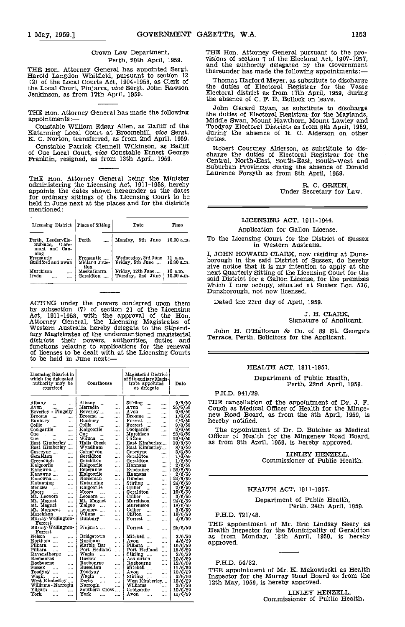Crown Law Department, Perth, 29th April, 1959.

THE Hon. Attorney General has appointed Sergt.  $\frac{du}{dt}$  there <br>Harold Langdon Whitfield, pursuant to section 13 (2) of the Local Courts Act, 1904-1958, as Clerk of the Local Court, Pinjarra, vice Sergt. John Rawson Jenkinson, as from 17th April, 1959.

Constable Patrick Clennell Wilkinson, as Bailiff and Robert Courtney Alderson, as substitute to dis-<br>of Cue Local Court, vice Constable Ernest George and charge the duties of Electoral Registrar for the<br>Franklin, resigned,

THE Hon. Attorney General being the Minister administering the Licensing Act, 1911-1958, hereby appoints the dates shown hereunder as the dates for ordinary sittings of the Licensing Court to be held in June next at the places and for the districts mentioned:—

| Licensing District   Place of Sitting                              |                                    | Date                                    | Time                  |
|--------------------------------------------------------------------|------------------------------------|-----------------------------------------|-----------------------|
| Perth, Leederville-<br>Subiaco.<br>Clare-<br>mont and Can-<br>ning | Perth                              | Monday, 8th June                        | 10.30 a.m.            |
| Fremantle<br>$\cdots$<br>Guildford and Swan                        | Fremantle<br>Midland Juue-<br>tion | Wednesday, 3rd June<br>Friday, 5th June | 11 a.m.<br>10.30 a.m. |
| Murchison<br>Irwin<br>                                             | Meekatharra<br>Geraldton           | Friday, 12th June<br>Tuesday, 2nd June  | 10 a.m.<br>10.30 a.m. |

ACTING under the powers conferred upon them by subsection (7) of section 21 of the Licensing<br>Act, 1911-1958, with the approval of the Hon.<br>Attorney General, the Licensing Magistrates of<br>Western Australia hereby delegate to the Stipendiary Magistrates of the undermentioned magisterial districts their powers, authorities, duties and functions relating to applications for the renewal of licenses to be dealt with at the Licensing Courts to be held in June next:

| Licensing District in<br>which the delegated<br>authority may be<br>exercised                                                                                                                                                                                                                                        | Courthouse                                                                                                                                                                                                                                                                                                                             | Magisterial District<br>of Stipendiary Magis-<br>trate appoiuted<br>as delegato                                                                                                                                                                                                                                              | Date                                                                                                                                      | Department of Public Health,<br>Perth, 22nd April, 1959.                                                                                                                                                                                                                                                                                                                            |
|----------------------------------------------------------------------------------------------------------------------------------------------------------------------------------------------------------------------------------------------------------------------------------------------------------------------|----------------------------------------------------------------------------------------------------------------------------------------------------------------------------------------------------------------------------------------------------------------------------------------------------------------------------------------|------------------------------------------------------------------------------------------------------------------------------------------------------------------------------------------------------------------------------------------------------------------------------------------------------------------------------|-------------------------------------------------------------------------------------------------------------------------------------------|-------------------------------------------------------------------------------------------------------------------------------------------------------------------------------------------------------------------------------------------------------------------------------------------------------------------------------------------------------------------------------------|
|                                                                                                                                                                                                                                                                                                                      |                                                                                                                                                                                                                                                                                                                                        |                                                                                                                                                                                                                                                                                                                              |                                                                                                                                           | P.H.D. 941/29.                                                                                                                                                                                                                                                                                                                                                                      |
| Albany<br>$\cdots$<br><br>Avon<br>Beverley Pingolly<br>Broome<br>$\cdots$<br>Bunbury<br>$\cdots$<br>Collie<br>$\cdots$<br>$\cdots$<br>Coolgardie<br>$\cdots$<br>Cue<br>$\alpha$ , $\beta$ , and $\alpha$<br>$\cdots$<br>Cue<br>$\cdots$<br>East Kimberley<br>East Kimberley<br>Gascoyne<br><br>Geraldton<br>$\cdots$ | Albany<br>$\cdots$<br>Merredin<br>$\cdots$<br>Beverley<br>$\cdots$<br>Broome<br>$\cdots$<br>Bunbury<br>$\cdots$<br>Collic<br>$\cdots$<br>Kalgoorlie<br>$\cdots$<br>Cue<br>$\cdots$<br>$\cdots$<br>Wiluna<br>$\cdots$<br>Halls Creek<br>$\cdots$<br>Wyndham<br>$\ddotsc$<br>Carnarvon<br>$\cdots$<br>Geraldton<br>$\cdots$<br>Geraldton | Stirling<br>$\cdots$<br>Avon<br>$\cdots$<br>$\cdots$<br>A von<br><br>$\cdots$<br>Broome<br>$\cdots$<br>Forrest<br>$\cdots$<br>Forrest<br>$\cdots$<br>Coolgardic<br>$\cdots$<br>Murchison<br>$\cdots$<br>Clifton<br>$\cdots$<br>$\cdots$<br>East Kimberley<br>East Kimberley<br>Gascovne<br>$\cdots$<br>Geraldton<br>$\cdots$ | $\frac{0/6/50}{25/6/50}$<br>0/6/50<br>1/6/50<br>4/6/50<br>0/6/50<br>2/6/59<br>23/6/59<br>10/6/50<br>10/6/50<br>3/6/50<br>3/6/50<br>1/6/59 | THE cancellation of the appointment of Dr. J. F.<br>Couch as Medical Officer of Health for the Minge-<br>new Road Board, as from the 8th April, 1959, is<br>hereby notified.<br>The appointment of Dr. D. Butcher as Medical<br>Officer of Health for the Mingenew Road Board.<br>as from 8th April, 1959, is hereby approved.<br>LINLEY HENZELL.<br>Commissioner of Public Health. |
| Greenough<br>$\cdots$<br>Kalgoorlie<br><br>Kanowna<br><br>Kanowna<br>$\cdots$<br>Kanowna<br><br>Katanning<br>$\cdots$<br>Menzies<br>$\cdots$<br>Moore<br>$\cdots$<br>$\cdots$<br>Mt. Leonora<br>$\cdots$<br>Mt. Magnet<br>$\cdots$<br>Mt. Magnet<br>$\cdots$                                                         | $\ddotsc$<br>Kalgoorlie<br>$\cdots$<br>Esperance<br><br>Kalgoorlie<br>$\cdots$<br>Norseman<br>$\cdots$<br>Katanning<br><br>Kalgoorlie<br><br>Moora<br><br>Leonora<br><br>Mt. Magnet<br>$\cdots$<br>Yalgoo<br>                                                                                                                          | Geraldton<br>$\sim 100$<br>Hannans<br>$\cdots$<br>Esperance<br>$\cdots$<br>Hannans<br>$\cdots$<br>Dundas<br>$\cdots$<br>Stirling<br>$\cdots$<br>Collier<br>$\sim$<br>$\cdots$<br>Geraldton<br>$\cdots$<br>Collier<br>$\sim$<br>$\cdots$<br>Murchison<br>$\ddotsc$<br>Murchison<br>$\cdots$                                   | 1/6/50<br>2/6/59<br>26/6/50<br>2/6/50<br>24/6/50<br>24/6/50<br>2/6/50<br>10/6/50<br>3/6/50<br>24/6/59<br>13/6/50                          | HEALTH ACT, 1911-1957.<br>Department of Public Health.<br>Perth, 24th April, 1959.                                                                                                                                                                                                                                                                                                  |
| Mt. Margaret<br>$\cdots$<br>Murchison<br>Murray-Wellington-                                                                                                                                                                                                                                                          | Leonora<br><br>Wiluna<br><br>Bunbury                                                                                                                                                                                                                                                                                                   | Collier<br>$\cdots$<br>$\cdots$<br>Clifton<br><b>Seco</b><br>$\cdots$                                                                                                                                                                                                                                                        | 3/6/50<br>10/6/50                                                                                                                         | P.H.D. 721/48.                                                                                                                                                                                                                                                                                                                                                                      |
| Forrest<br>Murray-Wellington-<br>Forrest                                                                                                                                                                                                                                                                             | <br>Pinjarra<br>$\cdots$                                                                                                                                                                                                                                                                                                               | Forrest<br>$\cdots$<br>Forrest<br>$\cdots$                                                                                                                                                                                                                                                                                   | 4/6/50<br>25/6/50                                                                                                                         | THE appointment of Mr. Eric Lindsay Seery as<br>Health Inspector for the Municipality of Geraldton                                                                                                                                                                                                                                                                                  |
| Nelson<br>$\cdots$<br>$\cdots$<br>Northam<br>$\cdots$<br>Pilbara<br>$\cdots$<br>$\cdots$<br>Pilbara<br><br><br>Ravensthorpe<br>$\cdots$<br>Roebourne<br><br>Roebourne<br>                                                                                                                                            | Bridgetown<br><br>Northam<br>$\cdots$<br>Marble Bar<br>$\cdots$<br>Port Hedland<br>$\cdots$<br>Wagin<br><br>Onslow<br><br>Roebourne<br>$\cdots$                                                                                                                                                                                        | Mitchell<br>$\cdots$<br>Avon<br>$\sim$<br><br>Pilbara<br>Port Hedland<br>$\cdots$<br>$\cdots$<br>Stirling<br>$\cdots$<br>Ashburton<br>$\cdots$<br>Roebourne<br>$\cdots$                                                                                                                                                      | 3/6/59<br>4/6/50<br>16/6/50<br>15/6/50<br>2/6/50<br>10/6/50<br>12/6/59                                                                    | as from Monday, 13th April, 1959, is hereby<br>approved.<br>P.H.D. 54/32.                                                                                                                                                                                                                                                                                                           |
| Sussex<br>$\cdots$<br>$\cdots$<br>Toodyay<br><br>Wagin<br><br>West Kimberley<br>Williams - Narrogin                                                                                                                                                                                                                  | Busselton<br>$\cdots$<br>Toodyay<br>$\cdots$<br>Wagin<br><br>Derby<br>$\cdots$<br>Narrogin<br>                                                                                                                                                                                                                                         | Mitchell<br>$\cdots$<br>Avon<br>$\cdots$<br><br>Stirling<br>$\cdots$<br>West Kimberley<br>Williams<br>$\cdots$                                                                                                                                                                                                               | $\frac{11}{6/50}$<br>$\frac{10}{6/50}$<br>$\frac{2}{6}/\frac{50}{6}$<br>3/6/59                                                            | THE appointment of Mr. K. Makowiecki as Health<br>Inspector for the Murray Road Board as from the<br>12th May, 1959, is hereby approved.                                                                                                                                                                                                                                            |
| Yilgarn<br>$\cdots$<br><br>York<br>$\cdots$<br>                                                                                                                                                                                                                                                                      | Southern Cross<br>York<br>$\cdots$<br>$\cdots$                                                                                                                                                                                                                                                                                         | Coolgardie<br>$\cdots$<br>Avon<br>$\cdots$<br>$\cdots$                                                                                                                                                                                                                                                                       | 10/6/50<br>11/6/50                                                                                                                        | LINLEY HENZELL.<br>Commissioner of Public Health.                                                                                                                                                                                                                                                                                                                                   |

THE Hon. Attorney General pursuant to the pro-<br>visions of section 7 of the Electoral Act, 1907-1957,<br>and the authority delegated by the Government thereunder has made the following appointments:

Thomas Harford Meyer, as substitute to discharge the duties of Electoral Registrar for the Vasse Electoral district as from 17th April, 1959, during the absence of C. F. R. Bullock on leave.

THE Hon. Attorney General has made the following<br>appointments: —<br>Constable William Edgar Allen, as Bailiff of the Katanning Local Court at Broomehill, vice Sergt.<br>Katanning Local Court at Broomehill, vice Sergt. as from 2n John Gerard Ryan, as substitute to discharge the duties of Electoral Registrar for the Maylands, the duties of Electoral Registrar for the Maylands, Middle Swan, Mount Hawthorn, Mount Lawley and Toodyay Electoral Districts as from 8th April, 1959, during the absence of R. C. Alderson on other duties.

charge the duties of Electoral Registrar for the Central, North-East, South-East, South-West and Suburban Provinces during the absence of Donald Laurence Forsyth as from 8th April, 1959.

R. C. GREEN,<br>Under Secretary for Law.

# LICENSING ACT, 1911-1944.

Application for Gallon License.

To the Licensing Court for the District of Sussex in Western Australia.

I, JOHN HOWARD CLARK, now residing at Duns-<br>borough in the said District of Sussex, do hereby<br>give notice that it is my intention to apply at the<br> $\frac{1}{2}$  intention of the Licensing Court for the said District for a Gallon Licensing Court for the said District for a Gallon License, for the premises which I now occupy, situated at Sussex Loc. 536, Dunsborough, not now licensed.

Dated the 23rd day of April, 1959.

# J. H. CLARK, Signature of Applicant.

John H. O'Halloran & Co. of 89 St. George's Terrace, Perth, Solicitors for the Applicant.

# HEALTH ACT, 1911-1957.

# Department of Public Health,<br>Perth, 22nd April, 1959.

# HEALTH ACT, 1911-1957.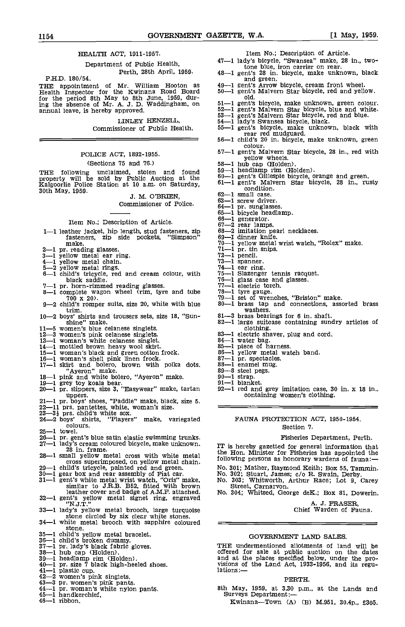# HEALTH ACT, 1911-1957.

Department of Public Health, Perth, 28th April, 1959. PhD. 180/54.

THE appointment of Mr. William Hooton as  $49-$ Health Inspector for the Kwinana Road Board 50-1 for the period 8th May to 8th June, 1959, dur-ing the absence of Mr. A. J. D. Waddingham, on annual leave, is hereby approved.

> LINLEY HENZELL, Commissioner of Public Health.

# POLICE ACT, 1892-1955.

#### (Sections 75 and 76.)

THE following unclaimed, stolen and found  $59-1$ <br>property will be sold by Public Auction at the  $60-1$ <br>Kalgoorlie Police Station at 10 a.m. on Saturday,  $61-1$ <br>30th May, 1959.<br>J. M. O'BRIEN,  $62-1$ 

Commissioner of Police.

# Item No.; Description of Article.

- 1-1 leather jacket, hip length, stud fasteners, zip 68-2 fasteners, zip side pockets, "Simpson" make.
- 
- 
- 
- 
- make.  $70-1$  yellow metal wrist watch,  $71-1$  pr. tin snips.<br>  $3-1$  yellow metal ear ring.  $71-1$  pr. tin snips.<br>  $4-1$  yellow metal chain.<br>  $5-2$  yellow metal rings.  $74-1$  ear ring.<br>  $6-1$  child's tricycle, red and crea black saddle. 76-1<br>
7-1 pr. horn-rimmed reading glasses. 77-1<br>
8-1 complete wagon wheel (rim, tyre and tube 78-1
- 
- $700 \times 20$ .<br>3-2 child's romper suits, size 20, white with blue  $80-$
- 
- trim.<br>
10-2 boys' shirts and trousers sets, size 18, "Sun-<br>
shine" make.<br>
82
- 
- 
- 
- 
- 
- 
- 5. The matter of the clanese singlets.<br>
12–3 women's blue celanese singlets.<br>
12–3 women's blue celanese singlets.<br>
12–3 women's pink celanese singlets.<br>
13–1 woman's white celanese singlets.<br>
13–1 woman's white celanese s
- 
- 
- 
- 
- 
- uppers.<br>
21-1 pr. boys' shoes, "Paddle" make, black, size 5.<br>
22-11 prs. pantettes, white, woman's size.<br>
23-3<sup>1</sup> prs. child's white sox.<br>
24-2 boys' shirts, "Players" make, variegated colours.
- $25-1$  towel.
- 26<sub>i</sub> Pr. gent's blue satin elastic swimming trunks.<br>27-1 lady's cream coloured bicycle, make unknown, 28 in. frame.
- 
- 
- 
- 28—1 small yellow metal cross with white metal<br>cross superimposed, on yellow metal chain.<br>29—1 child's tricycle, painted red and green.<br>30—1 gear box and rea assembly of Friat car. No. 30<br>31—1 gent's white metal wrist wat leather cover and badge of A.M.F. attached. No. 30<br>32-1 gent's yellow metal signet ring, engraved
- 
- 33-1 lady's yellow metal brooch, large turquoise stone circled by six clear white stones.<br>34-1 white metal brooch with sapphire coloured =
- stone.<br>  $35-1$  child's yellow metal bracelet.<br>  $36-1$  child's broken dummy.<br>  $37-1$  pr. lady's black fabric gloves.<br>  $33-1$  hub cap (Holden).<br>  $39-1$  headlamp rim (Holden).<br>  $40-1$  pr. size 7 black high-heeled shoes.<br>  $41$
- 
- 
- 
- 
- 
- 
- 
- 
- 43-3 pr. women's pink pants.<br>44-1 pr. women's pink pants.<br>44-1 pr. woman's white nylon pants.<br>45-1 handkerchief,<br>46-1 ribbon.
- 
- 

Item No.; Description of Article.

- 
- 47-1 lady's bicycle, "Swansea" make, 28 in., two-<br>tone blue, iron carrier on rear. 48-1 gent's 28 in. bicycle, make unknown, black and green.
- 
- 
- 
- 
- 
- 
- 49—1 gent's Arrow bicycle, cream front wheel.<br>50—1 gent's Malvern Star bicycle, red and yellow.<br>51—1 gent's Malvern Star bicycle, red and yellow.<br>52—1 gent's Malvern Star bicycle, blue and white.<br>53—1 gent's Malvern Star
- 56-1 child's 20 in. bicycle, make unknown, green colour.
- 57-1 gent's Malvern Star bicycle, 28 In., red with yellow wheels.<br>58—1 hub cap (Holden).<br>59—1 headlamp rim (Holden).
- 
- 
- 
- 58—1 hub cap (Holden).<br>59—1 headlamp rim (Holden).<br>60—1 gent's Gillespie bicycle, orange and green.<br>61—1 gent's Malvern Star bicycle, 28 in., rusty condition.
- -1 small case.
- 
- 63-1 screw driver.<br>64-1 pr. sunglasses.
- 64-1 pr. sunglasses.<br>65-1 bicycle headlamp.
- 
- 
- 66-1 generator.<br>67-2 rear lamps.<br>68-2 imitation pearl necklaces.<br>69-1 dinner knife.
- 
- 70-1 yellow metal wrist watch, "Rolex" make.<br>71-1 pr. tin snips.<br>72-1 pencil.<br>73-1 spanner.<br>75-1 slazenger tennis racquet.<br>76-1 glass case and glasses.<br>77-1 electric torch.
- 
- 
- 
- 
- 
- 
- 
- 
- 
- 77—1 electric torch.<br>78—1 tyre gauge.<br>79—1 set of wrenches, "Briston" make.<br>80—1 brass tap and connections, assorted brass<br>81—3 brass bearings for 6 in. shaft.
- 
- clothing.<br>
83-1 electric shaver, plug and complete<br>
84-1 water bag.<br>
85-1 piece of harness.<br>
86-1 yellow metal watch band.<br>
87-1 pr. spectacles.

92i red and grey imitation case, 30 in. x i8 In., containing women's clothing.

Fisheries Department, Perth.

A. J. FRASER, Chief Warden of Fauna.

IT is hereby gazetted for general information that the Hon. Minister for Fisheries has appointed the following persons as honorary wardens of fauna:

FAUNA PROTECTION ACT, i950-1954. Section 7.

No. 301; Mather, Raymond Keith; Box 55, Tammin. No. 302; Stuart, James; c/o R. Swain, Derby. No. 303; Whitworth, Arthur Race; Lot 9, Carey Street, Carnarvon. No. 304; Whitsed, George deK.; Box 81, Dowerin.

GOVERNMENT LAND SALES.

THE undermentioned allotments of land will be offered for sale at public auction on the dates and at the places specified below, under the pro- visions of the Land Act, 1933-1956, and its regu- lations :-

PERTH.

8th May, 1959, at 3.30 p.m., at the Lands and Surveys Department:-<br>Kwinana-Town (A) (B) M.951, 30.4p., £305,

- 
- 
- 
- 
- 
- 
- 
-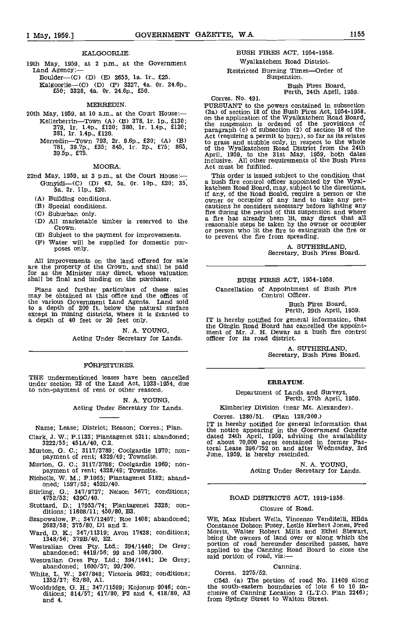#### KALGOORLIE.

19th May, 1959, at 2 p.m., at the Government<br>Land Agency:—<br>Boulder—(C) (D) (E) 2655, 1a. 1r., £25.

ICalgoorlie(C) (D) (F) 3327, 4a. Or. 24.6p., £50; 3328, 4a. Or. 24.6p., £50.

#### MERREDIN.

- $20th$  May, 1959, at 10 a.m., at the Court House:-Kellerberrin—Town (A) (B) 378, 1r. 1p., £130;<br>379, 1r. 1.4p., £120; 380, 1r. 1.4p., £120;<br>381, 1r. 1.4p., £120.
	- Merredin—Town 793, 2r. 9.6p., £30; (A) (B) {<br>781, 39.7p., £35; 845, 1r. 2p., £75; 865, { 39.5p., £75.

#### MOORA.

(A) Building conditions.

- 
- (B) Special conditions.<br>(C) Suburban only.
- 
- (D) All marketable timber is reserved to the Crown.
- 
- 

All improvements on the land offered for sale are the property of the Crown, and shall be paid for as the Minister may direct, whose valuation shall be final and binding on the purchaser.

Plans and further particulars of these sales may be obtained at this office and the offices of the various Government Land Agents. Land sold to a depth of 200 ft. below the natural surface except in mining districts, where it is granted to a depth of 40 feet or 20 feet only. IT is help

> N. A. YOUNG, Acting Under Secretary for Lands.

## FORFEITURES.

THE undermentioned leases have been cancelled under section 23 of the Land Act, 1933-1954, due to non-payment of rent or other reasons.

N. A. YOUNG,

Acting Under Secretary for Lands.

Name; Lease; District; Reason; Corres.; Plan.

- Clark, J. W.; P.1133; Plantagenet 5211; abandoned; 3222/55; 451A/40, C.2.
- Murton, G. C.; 3117/3789; Coolgardie 1970; non- payment of rent; 4329/49; Townsite.
- Murton, 0. C.; 3117/3788; Coolgardie 1969; non- payment of rent; 4328/49; Townslte.
- Nicholls, W. M.; P.1065; Plantagenet 5182; aband- oned; 1597/53; 452D/4O.
- Stirling, G.; 347/9727; Nelson 5677; conditions; 4752/53; 439C/40.
- Stuttard, D.; 17953/74; Plantagenet 3328; con-dItions; 11608/11; 450/80, B3.
- Szapowalow, P.; 347/12407; Roe 1408; abandoned; 2683/58; 375/80, Dl and 2.
- 
- Westralian Ores Pty. Ltd.; 394/1440; De Grey; abandoned; 4419/56; 99 and 108/300.
- Westralian Ores Pty. Ltd.; 394/1441; De Grey; abandoned; 1600/51; 99/300.
- White, L. W.; 347/849; victoria 9632; conditions; 1352/37; 62/80, Al.
- Wooldridge, 0. H.; 347/11599; Kojonup 9046; con- ditions; 814/57; 417/80, F3 and 4, 418/80, A3 and 4.

# BUSH FIRES ACT, 1954-1958. Wyalkatchem Road District. Restricted Burning Times-Order of<br>Suspension.

Bush Fires Board,<br>
Perth, 24th April, 1959.<br>
Corres. No. 491.

PURSUANT to the powers contained in subsection (3a) of section 18 of the Bush Fires Act, 1954-1958,<br>on the application of the Wyalkatchem Road Board,<br>the suspension is ordered of the provisions of<br>paragraph (c) of subsection (2) of section 18 of the<br>Act (requiring a p to grass and stubble only, in respect to the whole of the Wyalkatchem Road District from the 24th April, 1959, to the 31st May, 1959, both dates inclusive. All other requirements of the Bush Fires Act must be fulfilled.

22nd May, 1959, at 3 p.m., at the Court House:- This order is issued subject to the condition that<br>Gunyidi-(C) (D) 42, 5a. 0r. 10p., £20; 35, a bush fire control officer appointed by the Wyal-<br>5a. 2r. 11p., £20. 10p., £20; Subject to the payment for improvements.<br>
(F) Subject to the payment for improvements.<br>
(F) Water will be supplied for domestic pur-<br>
poses only.<br>
A SUTHERLAND,<br>
A SUTHERLAND, He avenue to the Road Board, require a person or the<br>owner or occupier of any land to take any pre-<br>cautions he considers necessary before lighting any<br>fire during the period of this suspension and where<br> $\frac{1}{2}$ a fire has already been lit, may direct that all reasonable steps be taken by the owner or occupier to prevent the fire from spreading.

A. SUTHERLAND, Secretary, Bush Fires Board.

#### BUSH FIRES ACT, 1954-1958.

Cancellation of Appointment of Bush Fire Control Officer.

Bush Fires Board Perth, 29th April, 1959.

IT is hereby notified for general information, that the Gingin Road Board has cancelled the appoint- ment of Mr. J. H. Dewar as a bush fire control officer for Its road district.

A. SUTHERLAND,<br>Secretary, Bush Fires Board.

## ERRATUM.

Department of Lands and Surveys, Perth, 27th April, 1959.

Kimberley Division (near Mt. Alexander).

Corres. 1380/51. (Plan 128/300.)

IT is hereby notified for general information that<br>the notice appearing in the Government Gazette<br>dated 24th April, 1959, advising the availability<br>of about 70,000 acres contained in former Pas-<br>toral Lease 396/752 on and June, 1959, Is hereby rescinded.

N. A. YOUNG,<br>Acting Under Secretary for Lands.

ROAD DISTRICTS ACT, 1919-1956.

#### Closure of Road.

Ward, D. K.; 347/11319; Avon 17428; conditions; Morris, Walter Robert Mills and Ethel Stewart,<br>1348/56; 379B/40, E2.<br>Westralian Ores Pty. Ltd.; 394/1440; De Grey; portion of road hereunder described passes, have<br>abandoned: WE, Max Hubert Wells, Vincenzo Venditelli, Hilda<br>Constance Dobson Pusey, Leslie Herbert Jones, Fred<br>Morris, Walter Robert Mills and Ethel Stewart,<br>being the owners of land over or along which the said portion of road, viz:

# Canning. Corres. 2275/52.

C543. (a) The portion of road No. 11409 along the south-eastern boundaries of lots 6 to 10 Inclusive of Canning Location 2 (L.T.O. Plan 2246); from Sydney Street to Walton Street,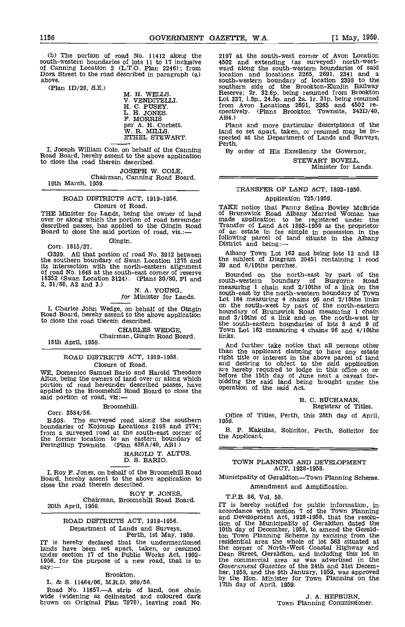(b) The portion of road No. 11412 along the south-western boundaries of lots 11 to 17 inclusive 4502 and example of Canning Location 2 (L.T.O. Plan 2246); from ward along Dora Street to the road described in paragraph (a) lost above.

 $(Plan 1D/20, S.E.)$  M. H. WELLS.

V. VENDITELLI. H. C. PUSEY. L. H. JONES. F. MORRIS per A. H. Corbett.<br>W. R. MILLS. ETHEL STEWART.

I, Joseph William Cole, on behalf of the Canning By Road Board, hereby assent to the above application to close the road therein described.

JOSEPH W. COLE,<br>Chairman, Canning Road Board.<br>19th March, 1959.

# ROAD DISTRICTS ACT, 1919-1956. Closure of Road.

THE Minister for Lands, being the owner of land over or along which the portion of road hereunder described passes, has applied to the Gingin Road Board to close the said portion of road, viz.:-

Gingin. Corr. 1815/37.

G399. All that portion of road No. 3912 between the southern boundary of Swan Location 1375 and the sits intersection with the north-eastern alignment 39 and of road No. 1648 at the south-east corner of reserve 18352 (Swan Location 3124). (Plans 30/80, P1 and south<br>
2, 31/80, A2 and 3.) N. A. YOUNG, measured<br>
for Minister for Lands.  $\begin{array}{ccc}\n & \text{if } \\
 \text{for } \text{Minter} & \text{for } \text{Lands}\n\end{array}$ 

I, Charles John Wedge, on behalf of the Gingin Road Board, hereby assent to the above application to close the road therein described.

CHARLES WEDGE, Chairman, Gingin Road Board. 18th April, 1959.

# ROAD DISTRICTS ACT, 1919-1958.

Closure of Road.<br>WE, Domenico Samuel Bario and Harold Theodore WE, Domenico Samuel Bario and Harold Theodore all and Altus, being the owners of land over or along which before<br>portion of road hereunder described passes, have biddin applied to the Broomehill Road Board to close the opera said portion of road, viz:-

Broomehill.

Corr. 3584/56.

B.598. The surveyed road along the southern  $1959$ .<br>boundaries of Kojonup Locations 2198 and 2774; boundaries of Kojonup Locations 20198 and 27744; from a surveyed road at the south-east corner of the former location to an eastern boundary of Peringillup Townsite. (Plan 436A/40, AB1.)

HAROLD T. ALTUS.<br>D. S. BARIO.

I, Roy F. Jones, on behalf of the Broomehill Road Board, hereby assent to the above application to close the road therein described,

ROY F. JONES,<br>Chairman, Broomehill Road Board. 20th April, 1959.

# ROAD DISTRICTS ACT, 1919-1956.<br>Department of Lands and Surveys,

Department of Lands and Surveys,  $\begin{array}{ccc}\n\text{Deth} & \text{Deth} & \text{Deth} \\
\text{Perth} & \text{Ist May, 1959.} & \text{ton To}\n\end{array}$ <br>IT is hereby declared that the undermentioned itself lands have been set apart, taken, or resumed the co under section 17 of the Public Works Act, 1902-<br>1956, for the purpose of a new road, that is to the co  $say:=$ 

# Erookton.

L. & S. 11464/06, M.R.D. 269/56.

Road No. 11657.—A strip of land, one chain<br>wide (widening as delineated and coloured dark brown on Original Plan 7970), leaving road No.

2197 at the south-west corner of Avon Location 4502 and extending (as surveyed) north-westward along the south-western boundaries of said location and locations 3265, 2691, 2341 and a south-western boundary of location 2398 to the southern side of the Brookton-Kunjin Railway Reserve; 2r. 32.6p. being resumed from Brcokton Lot 337, 1.5p., 24.5p. and 2a. 1r. 31p. being resumed from Avon Locations 2691, 3265 and 4502 respectively. (Plans Brookton Townsite, 343D/40, AB4.)

Plans and more particular descriptions of the land so set apart, taken, or resumed may be in-<br>spected at the Department of Lands and Surveys,<br>Perth.

By order of His Excellency the Governor,

STEWART BOVELL Minister for Lands.

# TRANSFER OF LAND ACT, 1893-1950. Application 725/1959.

TAKE notice that Fanny Selina Bowley McBride of Brunswick Road Albany Married Woman has made application to be registered under the Transfer of Land Act 1893-1950 as the proprietor Transfer of Land Act 1893-1950 as the proprietor of an estate in fee simple in possession in the following parcel of land situate in the Albany<br>District and being:—

Albany Town Lot 163 and being lots 12 and 13 the subject of Diagram 20451 containing 1 rood 39 and 6/lOths perches.

Bounded on the north-east by part of the south-western boundary of Burgoyne Road measuring 1 chain and 2/lOths of a link on the south-east by the north-western boundary of Town Lot 164 measuring 4 chains 96 and 2/lOths links on the south-west by part of the north-eastern boundary of Brunswick Road measuring 1 chain and 3/loths of a link and on the north-west by the south-eastern boundaries of lots 8 and 9 of Town Lot 162 measuring 4 chains 96 and 4/lOths links.

And further take notice that all persons other than the applicant claiming to have any estate right title or interest in the above parcel of land and desiring to object to the said application are hereby required to lodge in this office on or before the 15th day of June next a caveat for-<br>bidding the said land being brought under the operation of the said Act.

# R. C. BUCHANAN, Registrar of Titles.

Office of Titles, Perth, this 28th day of April,

B. P. Kakulas, Solicitor, Perth, Solicitor for the Applicant.

# TOWN PLANNING AND DEVELOPMENT ACT, 1928-1958.

Municipality of Geraldton-Town Planning Scheme. Amendment and Amplification,

T,P.B. 86, Vol. 58.

IT is hereby notified for public information, in accordance with section 7 of the Town Planning and Development Act, 1928-1958, that the resolution of the Municipality of Geraldton dated the 10th day of December, 1958, to amend the Geraldton Town Planning Scheme by excising from the residential area the whole of lot 563 situated at the corner of North-West Coastal Highway and Dean Street, Geraldton, and including this lot in the commercial area as was advertised in the Government Gazettes of the 24th and 31st December, 1958, and the 9th January, 1959, was approved by the Hon. Minister for Town Planning on the 17th day of April, 1959.

> J. A. HEPBURN, Town Planning Commissioner,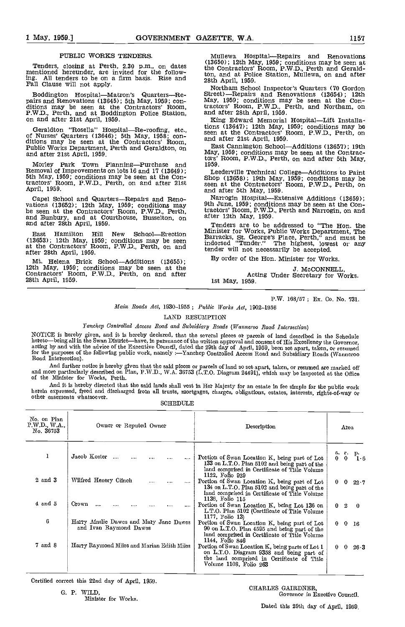## PUBLIC WORKS TENDERS.

Tenders, closing at Perth, 2.30 p.m., on dates the mentioned hereunder, are invited for the following. All tenders to be on a firm basis. Rise and  $_{28th}$ Fall Clause will not apply.

Boddington Hospital—Matron's Quarters—Re- pairs and Renovations (13654); 12th pairs and Renovations (13654); 5th May, 1959; con-<br>ditions may be seen at the Contractors' Room, P.W.D., Perth, and at Boddington Police Station

Geraldton "Rosella" Hospital—Re-roofing, etc.,<br>of Nurses' Quarters (13646); 5th May, 1958; con-<br>ditions may be seen at the Contractors' Room, and after 21st April, 1959.<br>Public Works Department, Perth and Geraldton, on<br>May and after 21st April, 1959.

Morley Park Town Planning—Purchase and 1959.<br>Removal of Improvements on lots 16 and 17 (13649); Seederly Leederly May, 1959; conditions may be seen at the Contractors' Room, P.W.D., Perth, on and after 21st  $\overline{s}$ <br>April, 1959.

Capel School and Quarters—Repairs and Reno-<br>vations (13652); 12th May, 1959; conditions may be seen at the Contractors' Room, P.W.D., Perth, tractor<br>and Bunbury, and at Courthouse, Busselton, on after<br>and after 28th April,

East Hamilton Hill New School—Erection  $\rm_{Barrad}$ (13653); 12th May, 1959; conditions may be seen at the Contractors' Room, P.W.D., Perth, on and indors after 26th April, 1959.

Mt. Helena Brick School—Additions (13655); 12th May, 1959; conditions may be seen at the Contractors' Room, P.W.D., Perth, on and after 15th May, 1959.

Mullewa Hospital—Repairs and Renovations (13650); 12th May, 1959; conditions may be seen at the Contractors' Room, P.W.D., Perth and Geraldton, and at Police Station, Mullewa, on and after 28th April, 1959.

Northam School Inspector's Quarters (70 Gordon Street)—Repairs and Renovations (13654); 12th May, 1959; conditions may be seen at the Con-<br>tractors' Room, P.W.D., Perth, and Northam, on and after 28th April, 1959.

King Edward Memorial Hospital-Lift Installations (13641); 12th May, 1959; conditions may be seen at the Contractors' Room, P.W.D., Perth, on and after 21st April, 1959.

East Cannington School—Additions (13657); 19th May, 1959; conditions may be seen at the Contractors' Room, P.W,D., Perth, on and after 5th May, 1959.

Leederville Technical College—Additions to Paint Shop (13658); 19th May, 1959; conditions may be seen at the Contractors' Room, P.W.D., Perth, on and after 5th May, 1959.

Narrogin Hospital—Extensive Additions (13659);<br>9th June, 1959; conditions may be seen at the Con-<br>tractors' Room, P.W.D., Perth and Narrogin, on and<br>after 12th May, 1959.

Tenders are to be addressed to "The Hon. the Minister for Works, Public Works Department, The<br>Barracks, St. George's Place, Perth," and must be<br>indorsed "Tender." The highest, lowest or any<br>tender will not necessarily be accepted.

By order of the Hon. Minister for Works.

J. McCONNELL,<br>Acting Under Secretary for Works.

P.W. 168/57; Ex. Co. No. 731.

# Main Roads Act, 1930-1955; Public Works Act, 1902-1956

LAND RESUMPTION

Yanchep Controlled Access Road and Subsidiary Roads (Wanneroo Road Intersection)

NOTICE is hereby given, and it is hereby declared, that the several pieces or parcels of land described in the Schedule Access of land described in the Schedule<br>hereto—being all in the Swan District—have, in pursuance of the written approval and consent of His Excellency the Governor,<br>acting by and with the advice of the Executive Council,

And further notice is hereby given that the said pieces or parcels of land so set apart, taken, or resmned are marked off and more particularly described on Plan, P.W.D., W.A. 36753 (L.T.O. Diagram 24491), which may be inspected at the Office<br>of the Minister for Works, Perth.

And it is hereby directed that the said lands shall vest in Her Majesty for an estate in fee simple for the public work herein expressed, freed and discharged from all trusts, mortgages, charges, obligations, estates, inte

| SCHEDULE |
|----------|
|----------|

| No. on Plan<br>P.W.D., W.A.,<br>No. 36753 | Owner or Reputed Owner                                            | Description                                                                                                                                                          | Атеа                                           |
|-------------------------------------------|-------------------------------------------------------------------|----------------------------------------------------------------------------------------------------------------------------------------------------------------------|------------------------------------------------|
| 1                                         | Jacob Koster                                                      | Portion of Swan Location K, being part of Lot<br>133 on L.T.O. Plan 5102 and being part of the<br>land comprised in Certificate of Title Volume<br>1122, Folio 929   | г.<br>а.<br>р.<br>ົ1 6<br>$\bf{0}$<br>$\bf{0}$ |
| 2 and 3                                   | Wilfred Henery Clinch                                             | Portion of Swan Location K, being part of Lot<br>134 on L.T.O. Plan 5102 and being part of the<br>land comprised in Certificate of Title Volume<br>1136, Folio 115   | 0<br>$\bf{0}$<br>$22 - 7$                      |
| $4 \text{ and } 5$                        | Crown<br>$\cdots$<br>                                             | Portion of Swan Location K, being Lot 136 on<br>L.T.O. Plan 5102 (Certificate of Title Volume<br>1177, Folio 13)                                                     | 0<br>$\mathbf{2}$<br>$\theta$                  |
| 6                                         | Harry Ainslie Dawes and Mary Jane Dawes<br>and Ivan Raymond Dawes | Portion of Swan Location K, being part of Lot<br>90 on L.T.O. Plan 4595 and being part of the<br>land comprised in Certificate of Title Volume<br>1144, Folio 846    | $\bf{0}$<br>$\bf{0}$<br>-16                    |
| $7$ and $8$                               | Harry Raymond Miles and Marian Edith Miles                        | Portion of Swan Location K, being parts of Lot 1<br>on L.T.O. Diagram 9358 and being part of<br>the land comprised in Certificate of Title<br>Volume 1108, Folio 263 | 0<br>$26 - 3$<br>0                             |

Certified correct this 22nd day of April, 1959.

G. P. WILD,

Minister for Works.

CHARLES GAIRDNER, Governor in Exeetive Council.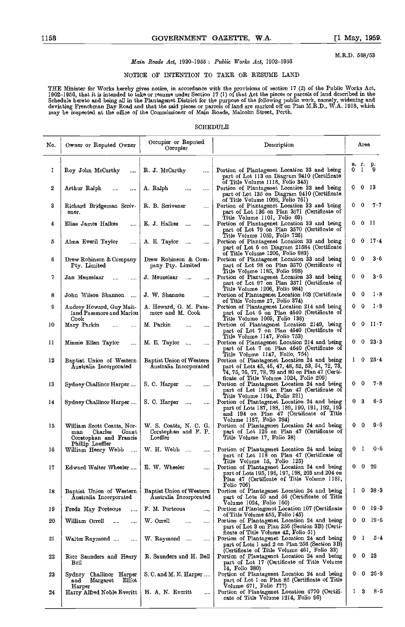M.R.D. 568/53

# Main Roads Act, 1930-1955 : Public Works Act, 1902-1956

# NOTICE OF IWIENTION TO TAKE OR RESUME LAND

THE Minister for Works hereby gives notice, in accordance with the provisions of section 17 (2) of the Public Works Act, 1902–1956, that it is intended to take or resume under Section 17 (1) of that Act the pieces or parcels of land described in the<br>Schedule hereto and being all in the Plantagenet District for the purpose of the following pu deviating Frenchman Bay Road and that the said pieces or parcels of land are marked off on Plan M.R.D., WA. 1918, which may be inspected at the office of the Commissioner of Main Roads, Malcolm Street, Porth.

## SCHEDULE

| No. | Owner or Reputed Owner                                                                              | Occupier or Reputed<br>Occupier                            | Description                                                                                                                                                                                            | Area                         |  |
|-----|-----------------------------------------------------------------------------------------------------|------------------------------------------------------------|--------------------------------------------------------------------------------------------------------------------------------------------------------------------------------------------------------|------------------------------|--|
| I   | Roy John McCarthy<br>$\cdots$                                                                       | R. J. McCarthy                                             | Portion of Plantagenet Location 33 and being<br>part of Lot 113 on Diagram 9410 (Certificate                                                                                                           | a. r. p.<br>0 I<br>9         |  |
| 2   | Arthur Ralph<br>$\cdots$<br>$\cdots$                                                                | A. Ralph<br>                                               | of Title Volume 1118, Folio 345)<br>Portion of Plantagenet Location 33 and being<br>part of Lot 135 on Diagram 9410 (Certificate                                                                       | 0013                         |  |
| 3   | Richard Bridgeman Scriv-<br>ener.                                                                   | R. B. Scrivener                                            | of Title Volume 1098, Folio 761)<br>Portion of Plantagenct Location 33 and being<br>part of Lot 136 on Plan 3571 (Certificate of                                                                       | $0\quad 0$<br>$7 - 7$        |  |
| 4   | Elias James Halkes<br>$\cdots$                                                                      | E. J. Halkes<br>$\sim$<br>$\cdots$                         | Title Volume IIOI, Folio 69)<br>Portion of Plantagenet Location 33 and being<br>part of Lot 79 on Plan 3570 (Certificate of                                                                            | 00 II                        |  |
| 5   | Alma Everil Taylor<br>$\cdots$                                                                      | A. E. Taylor<br>$\sim$                                     | Title Volume 1059, Folio 726)<br>Portion of Plantagenet Location 33 and being<br>part of Lot 6 on Diagram 21584 (Certificate                                                                           | $0 \t0 \t17.4$               |  |
| 6   | Drew Robinson & Company<br>Pty. Limited                                                             | Drew Robinson & Com-<br>pany Pty. Limited                  | of Title Volume 1206, Folio 983)<br>Portion of Plantagenet Location 33 and being<br>part of Lot 98 on Plan 3570 (Certificate of                                                                        | $3-6$<br>$0\quad 0$          |  |
| 7   | Jan Meuzelaar<br>                                                                                   | J. Meuzelaar<br>$\sim$                                     | Title Volume 1185, Folio 998)<br>Portion of Plantagenet Location 33 and being<br>part of Lot 97 on Plan 3571 (Certificate of                                                                           | $0\quad 0$<br>3 - 6          |  |
| 8   | John Wilson Shannon<br>$\ddotsc$                                                                    | J. W. Shannon<br>$\cdots$                                  | Title Volume 1206, Folio 984)<br>Portion of Plantagenet Location 103 (Certificate<br>of Title Volume 27, Folio 374)                                                                                    | 0<br>$1 - 8$<br>0.           |  |
| 9   | Audrey Howard, Guy Mait-<br>land Passmore and Marion                                                | A. Howard, G. M. Pass-<br>more and M. Cook                 | Portion of Plantagenet Location 214 and being<br>part of Lot 6 on Plan 4640 (Certificate of                                                                                                            | $0\quad 0$<br>$1 - 8$        |  |
| 10  | Cook<br>Mary Parkin<br>                                                                             | M. Parkin<br>$\cdots$                                      | Title Volume 1069, Folio 138)<br>Portion of Plantagenet Location 2149, being<br>part of Lot 7 on Plan 4640 (Certificate of                                                                             | $0 \t0 \t117$                |  |
| П   | Minnie Ellen Taylor<br>$\cdots$                                                                     | M. E. Taylor<br>$\cdots$                                   | Title Volume 1147, Folio 753)<br>Portion of Plantagenet Location 214 and being<br>part of Lot 7 on Plan 4640 (Certificate of                                                                           | $0 \t 0 \t 23 \t 3$          |  |
| 12  | Baptist Union of Western<br>Australia Incorporated                                                  | Baptist Union of Western<br>Australia Incorporated         | Title Volume 1147, Folio, 754)<br>Portion of Plantagenet Location 24 and being<br>part of Lots 45, 46, 47, 48, 52, 53, 54, 72, 73,<br>74, 75, 76, 77, 78, 79 and 80 on Plan 47 (Certi-                 | $1 \t0 \t254$                |  |
| 13  | Sydney Challinor Harper                                                                             | S. C. Harper<br>$\cdots$<br>$\cdots$                       | ficate of Title Volume 1024, Folio 209)<br>Portion of Plantagenet Location 24 and being<br>part of Lot 186 on Plan 47 (Certificate of                                                                  | 0<br>78<br>0.                |  |
| 14  | Sydney Challinor Harper                                                                             | S. C. Harper<br>$\sim$ 0.000 $\mu$                         | Title Volume 1194, Folio 221)<br>Portion of Plantagenet Location 24 and being<br>part of Lots 187, 188, 189, 190, 191, 192, 193<br>and 194 on Plan 47 (Certificate of Title<br>Volume 1187, Folio 294) | 0 <sup>3</sup><br>65         |  |
| Iб  | William Scott Coatts, Nor-<br>Charles<br>Grant<br>man<br>Corstophan and Francis<br>Phillip Loeffler | W. S. Coatts, N. C. G.<br>Corstophan and F. P.<br>Loeffler | Portion of Plantagenet Location 24 and being<br>part of Lot 126 on Plan 47 (Certificate of<br>Title Volume 17, Folio 38)                                                                               | 9 - 6<br>$0\quad 0$          |  |
| 16  | William Henry Webb                                                                                  | $W.$ H. Webb $\ldots$                                      | Portion of Plantagenet Location 24 and being<br>part of Lot II8 on Plan 47 (Certificate of<br>Title Volume 15, Folio 125)                                                                              | 0.6<br>0<br>1                |  |
| 17  | Edward Walter Wheeler    E. W. Wheeler                                                              |                                                            | Portion of Plantagenet Location 24 and being<br>part of Lots 195, 196, 197, 198, 203 and 204 on<br>Plan 47 (Certificate of Title Volume 1181,                                                          | $0\quad 29$<br>0.            |  |
| 18  | Baptist Union of Western<br>Australia Incorporated                                                  | Baptist Union of Western<br>Australia Incorporated         | Folio 706)<br>Portion of Plantagenet Location 24 and being<br>part of Lots 55 and 56 (Certificate of Title                                                                                             | $1 \quad 0 \quad 38 \quad 3$ |  |
| 19  | Freda May Porteous<br>                                                                              | F. M. Porteous<br>$\cdots$                                 | Volume 1024, Folio 160)<br>Portion of Plantagenct Location 107 (Certificate                                                                                                                            | 0<br>- 19 - 3<br>0           |  |
| 20  | William Orrell<br>$\cdots$<br>$\cdots$                                                              | W. Orrell<br><br>$\cdots$                                  | of Title Volume 455, Folio 145)<br>Portion of Plantagenet Location 24 and being<br>part of Lot 3 on Plan 256 (Section 3B) (Certi-                                                                      | $19-6$<br>0<br>0             |  |
| 21  | Walter Raymond<br>                                                                                  | W. Raymond<br>                                             | ficate of Title Volume 42, Folio 51)<br>Portion of Plantagenet Location 24 and being<br>part of Lots I and 2 on Plan 256 (Section 3B)                                                                  | 5.4<br>0<br>- 1              |  |
| 22  | Rice Saunders and Henry<br>$_{\rm Bell}$                                                            | R. Saunders and H. Bell                                    | (Certificate of Title Volume 461, Folio 33)<br>Portion of Plantagenct Location 24 and being<br>part of Lot 17 (Certificate of Title Volume                                                             | 0<br>-23<br>0                |  |
| 23  | Sydney Challinor Harper<br>Elliot<br>Margaret<br>and                                                | S. C. and M. E. Harper                                     | 14, Folio 380)<br>Portion of Plantagenet Location 24 and being<br>part of Lot I on Plan 85 (Certificate of Title                                                                                       | 26-8<br>0<br>0               |  |
| 24  | Harper<br>Harry Alfred Noble Everitt                                                                | H. A. N. Everitt<br>                                       | Volume 671, Folio 177)<br>Portion of Plantagenet Location 4770 (Certifi-<br>cate of Title Volume 1214, Folio 96)                                                                                       | 85<br>3<br>$\mathbf{I}$      |  |
|     |                                                                                                     |                                                            |                                                                                                                                                                                                        |                              |  |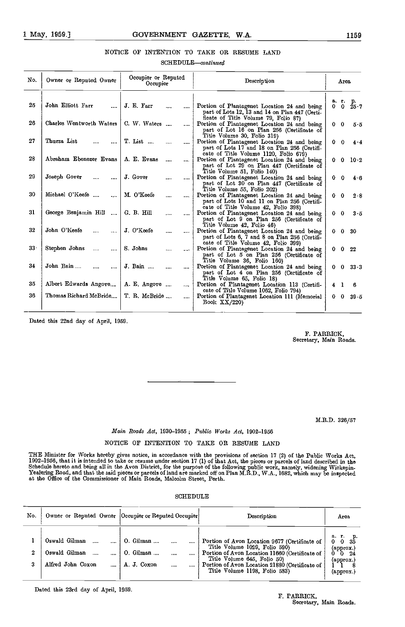# NOTICE OF INTENTION TO TAKE OR RESUME LAND

 $SCHEDULE$ -continued

| No.             | Owner or Reputed Owner                | Occupier or Reputed<br>Occupier    | Description                                                                                                                                                       | Area                                   |
|-----------------|---------------------------------------|------------------------------------|-------------------------------------------------------------------------------------------------------------------------------------------------------------------|----------------------------------------|
| 25              | John Elliott Farr                     | J. E. Farr<br>                     | Portion of Plantagenet Location 24 and being<br>part of Lots 12, 13 and 14 on Plan 447 (Certi-                                                                    | a. r. p.<br>$0 \t 0 \t 25.7$           |
| 26              | Charles Wentworth Waters              | C. W. Waters<br>$\cdots$           | ficate of Title Volume 79, Folio 87)<br>Portion of Plantagenet Location 24 and being<br>part of Lot 16 on Plan 256 (Certificate of<br>Title Volume 30, Folio 319) | $0\quad 0$<br>$5-5$                    |
| 27              | Thurza List                           | T. List<br>$\cdots$                | Portion of Plantagenet Location 24 and being<br>part of Lots 17 and 18 on Plan 256 (Certifi-<br>cate of Title Volume 1120, Folio 679)                             | $0\quad 0$<br>4.4                      |
| 28              | Abraham Ebenezer Evans                | A. E. Evans<br>$\cdots$            | Portion of Plantagenet Location 24 and being<br>part of Lot 29 on Plan 447 (Certificate of<br>Title Volume 51, Folio 140)                                         | $0 \t 0 \t 10 \t 2$                    |
| 29              | Joseph Gover<br>$\cdots$              | J. Gover<br><br>                   | Portion of Plantagenet Location 24 and being<br>part of Lot 30 on Plan 447 (Certificate of<br>Title Volume 55, Folio 202)                                         | $0\quad 0$<br>$4-6$                    |
| 30              | Michael O'Keefe<br>$\cdots$           | M. O'Keefe<br><br>$\cdots$         | Portion of Plantagenet Location 24 and being<br>part of Lots 10 and 11 on Plan 256 (Certifi-<br>cate of Title Volume 42, Folio 398)                               | $0 \quad 0$<br>2.8                     |
| 31              | George Benjamin Hill<br>$\sim$        | G. B. Hill<br>$\cdots$<br>$\cdots$ | Portion of Plantagenet Location 24 and being<br>part of Lot 9 on Plan 256 (Certificate of<br>Title Volume 42, Folio 46)                                           | $\mathbf 0$<br>$3 - 5$<br>$\mathbf{0}$ |
| 32              | John O'Keefe<br>$\cdots$<br>$\ddotsc$ | J. O'Keefe<br><br>$\cdots$         | Portion of Plantagenet Location 24 and being<br>part of Lots 6, 7 and 8 on Plan 256 (Certifi-<br>cate of Title Volume 42, Folio 399)                              | $0\quad 30$<br>0.                      |
| 33 <sub>1</sub> | Stephen Johns<br>$\cdots$<br>         | S. Johns<br><br>                   | Portion of Plantagenet Location 24 and being<br>part of Lot 5 on Plan 256 (Certificate of<br>Title Volume 36, Folio 160)                                          | $0\quad 22$<br>О.                      |
| 34              | John Bain<br>$\cdots$<br>$\cdots$     | J. Bain<br>$\cdots$<br>$\cdots$    | Portion of Plantagenet Location 24 and being<br>part of Lot 4 on Plan 256 (Certificate of<br>Title Volume 65, Folio 18)                                           | $0 \t 0 \t 33.3$                       |
| 35              | Albert Edwards Angove                 | A. E. Angove<br>$\cdots$           | Portion of Plantagenet Location 113 (Certifi-<br>cate of Title Volume 1062, Folio 794)                                                                            | 6<br>$\overline{4}$<br>1               |
| 36              | Thomas Richard McBride                | T. R. McBride<br>                  | Portion of Plantagenet Location 111 (Memorial<br>Book $XX/220$                                                                                                    | $0 \t0 \t39.5$                         |

Dated this 22nd day of April, 1059.

F. PARRICK, Secretary, Main Roads.

M.R.D. 326/57

# Main Roads Act, 1930-1955; Public Works Act, 1902-1956

# NOTICE OF INTENTION TO TAKE OR RESUME LAND

THE Minister for Works hereby gives notice, in accordance with the provisions of section 17 (2) of the Public Works Act, 1902–1956, that it is intended to take or resume under section 17 (1) of that Act, the pieces or parcels of land described in the<br>Schedule hereto and being all in the Avon District, for the purpose of the following public Yealering Road, and that the said pieces or parcels of land are marked off on Plan M.R.D., W.A., 1682, which may be inspected at the Office of the Commissioner of Main Roads, Malcolm Street, Perth.

# SCHEDULE

| No.                   | Owner or Reputed Owner Occupier or Reputed Occupier |                                                    | Description                                                                                                                                                                                                                                            | Area                                             |
|-----------------------|-----------------------------------------------------|----------------------------------------------------|--------------------------------------------------------------------------------------------------------------------------------------------------------------------------------------------------------------------------------------------------------|--------------------------------------------------|
| $\boldsymbol{2}$<br>3 | Oswald Gilman<br>Oswald Gilman<br>Alfred John Coxon | $0.$ Gilman $\ldots$<br>$0.$ Gilman<br>A. J. Coxon | <br>Portion of Avon Location 9677 (Certificate of<br>Title Volume 1029, Folio 590)<br>Portion of Avon Location 11660 (Certificate of<br>Title Volume 645, Folio 50)<br>Portion of Avon Location 21880 (Certificate of<br>Title Volume 1198, Folio 583) | a.<br>(approx.)<br>-24<br>(арргох.)<br>(approx.) |

Dated this 23rd day of April, 1959.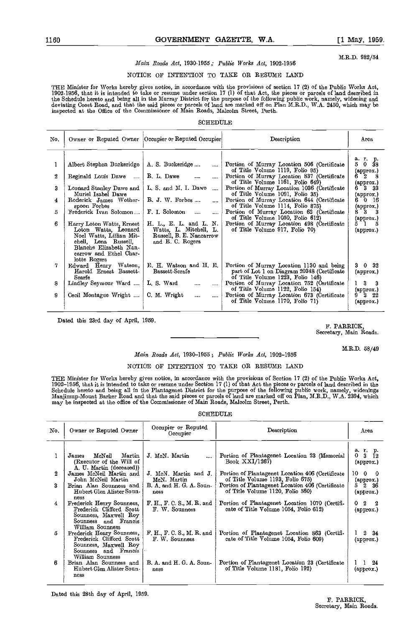M.R.D. 982/54

# Main Roads Act, 1930-1955; Public Works Act, 1902-1956

# NOTICE OF INTENTION TO TAXE OR RESUME LAND

THE Minister for Works hereby gives notice, in accordance with the provisions of section 17 (2) of the Public Works Act, 1902-1956, that it is intended to take or resume under section 17 (1) of that Act, the pieces or parcels of land described in the Schedule hereto and being all in the Murray District for the purpose of the following public work, namely, widening and<br>deviating Coast Road, and that the said pieces or parcels of land are marked off on Plan M.R.D., W inspected at the Office of the Coinmissionor of Main Roads, Malcolm Street, Perth.

#### **SCHEDULE**

| No.              |                                                                                                                                                                           | Owner or Reputed Owner   Occupier or Reputed Occupier                                            | Description                                                                                                                  | Area                                             |
|------------------|---------------------------------------------------------------------------------------------------------------------------------------------------------------------------|--------------------------------------------------------------------------------------------------|------------------------------------------------------------------------------------------------------------------------------|--------------------------------------------------|
|                  | Albert Stephen Buckeridge                                                                                                                                                 | A. S. Buckeridge<br>$\sim$                                                                       | Portion of Murray Location 506 (Certificate<br>of Title Volume 1119, Folio 95)                                               | агр.<br>$5 \t0 \t38$                             |
| $\boldsymbol{2}$ | Reginald Louis Dawe                                                                                                                                                       | R. L. Dawe<br>$\cdots$                                                                           | Portion of Murray Location 837 (Certificate<br>of Title Volume 1161, Folio 649)                                              | (approx.)<br>6 2<br>8<br>(approx.)               |
| 3                | Leonard Stanley Dawe and<br>Muriel Isabel Dawe                                                                                                                            | L. S. and M. I. Dawe<br>$\cdots$                                                                 | Portion of Murray Location 1036 (Certificate<br>of Title Volume 1091, Folio 35)                                              | 6 3 33<br>(approx.)                              |
| 4                | Roderick James Wother-<br>spoon Forbes                                                                                                                                    | $R. J. W.$ Forbes                                                                                | Portion of Murray Location 644 (Certificate<br>of Title Volume 1114, Folio 875)                                              | 6016<br>(approx.)                                |
| 5                | Frederick Ivan Solomon                                                                                                                                                    | F. I. Solomon<br>$\cdots$<br>$\cdots$                                                            | Portion of Murray Location 62 (Certificate<br>of Title Volume 1050, Folio 612)                                               | $8^{\circ}$ $3^{\circ}$ $3^{\circ}$<br>(approx.) |
| 6                | Harry Loton Watts, Ernest<br>Loton Watts, Leonard<br>Noel Watts, Lillian Mit-<br>chell, Lena Russell,<br>Blanche Elizabeth Nan-<br>carrow and Ethel Char-<br>lotte Rogers | H. L., E. L. and L. N.<br>Watts, L. Mitchell, L.<br>Russell, B. E. Nancarrow<br>and E. C. Rogers | Portion of Murray Location 498 (Certificate<br>of Title Volume 917, Folio 70)                                                | 51<br>5<br>(approx.)                             |
| 7                | Edward Henry Watson,<br>Harold Ernest Bassett-<br>Scarfe                                                                                                                  | E. H. Watson and H. E.  <br>Bassett-Scrafe                                                       | Portion of Murray Location 1130 and being<br>part of Lot 1 on Diagram 20348 (Certificate<br>of Title Volume 1223, Folio 146) | $3 \quad 0 \quad 32$<br>(approx.)                |
| 8                | Lindley Seymour Ward    L. S. Ward                                                                                                                                        | $\cdots$<br>$\cdots$                                                                             | Portion of Murray Location 752 (Certificate<br>of Title Volume 1122, Folio 154)                                              | $1 \quad 3 \quad 3$<br>(approx.)<br>$9$ 2 22     |
| 9                | Cecil Montague Wright                                                                                                                                                     | C. M. Wright<br>$\ddotsc$<br>                                                                    | Portion of Murray Location 673 (Certificate<br>of Title Volume 1170, Folio 71)                                               | (арргох.)                                        |

Dated this 23rd day of April, 1959.

F. PARRICK, Secretary, Main Roads.

M.R.D. 58/49

# Main Roads Act, 1930-1955; Public Works Act, 1902-1956

# NOTICE OF INTENTION TO TAKE OR RESUME LAND

THE Mmister for Works hereby gives notice, in accordance with the provisions of Section 17 (2) of the Public Works Act, 1902–1956, that it is intended to take or resume under Section 17 (1) of that Act the pieces or parcels of land described in the<br>Schedule hereto and being all in the Plantagenet District for the purpose of the following pu may be inspected at the office of the Commissioner of Main Roads, Malcolm Street, Perth.

# **SCHEDULE**

| No. | Owner or Reputed Owner                                                                                                             | Occupier or Reputed<br>Description<br>Occupier |                                                                                         | Area                                                  |  |
|-----|------------------------------------------------------------------------------------------------------------------------------------|------------------------------------------------|-----------------------------------------------------------------------------------------|-------------------------------------------------------|--|
|     | Martin<br>McNeil<br>James<br>(Executor of the Will of                                                                              | J. McN. Martin<br>$\cdots$                     | Portion of Plantagenet Location 23 (Memorial<br>Book $XXI/1267$                         | a 1 p.<br>$3 \t12$<br>0<br>$\left($ approx. $\right)$ |  |
| 2   | A. U. Martin (deceased))<br>James McNeil Martin and<br>John McNeil Martin                                                          | J McN Martin and J.<br>McN. Martin             | Portion of Plantagenet Location 406 (Certificate<br>of Title Volume 1193, Folio 675)    | 10 0<br>- 0<br>(approx.)                              |  |
| 3   | Brian Alan Sounness and<br>Hubert Glen Alister Soun-                                                                               | B. A. and H. G. A. Soun-<br>ness               | Portion of Plantagenet Location 406 (Certificate<br>of Title Volume 1120, Folio 560)    | $5\,2\,36$<br>(approx.)                               |  |
| 4   | ness<br>Frederick Henry Sounness,<br>Frederick Clifford Scott<br>Sounness, Maxwell Roy<br>Sounness and Francis<br>William Sounness | F. H., F. C. S., M. R. and<br>F. W. Sounness   | Portion of Plantagenet Location 1070 (Certifi-<br>cate of Title Volume 1054, Folio 612) | $\overline{2}$<br>2<br>0.<br>(approx.)                |  |
| 5   | Frederick Henry Sounness,<br>Frederick Clifford Scott<br>Sounness, Maxwell Roy<br>Sounness and Francis                             | F. H., F. C. S., M. R. and<br>F. W. Sounness   | Portion of Plantagenet Location 863 (Certifi-<br>cate of Title Volume 1054, Foho 609)   | $2 \quad 34$<br>(approx.)                             |  |
| 6   | William Sounness<br>Brian Alan Sounness and<br>Hubert Glen Alister Soun-<br>ness                                                   | B. A. and H. G. A. Soun-<br>ness               | Portion of Plantagenet Location 23 (Certificate<br>of Title Volume 1181, Foho 192)      | 24<br>(арргох.)                                       |  |

Dated this 28th day of April, 1959.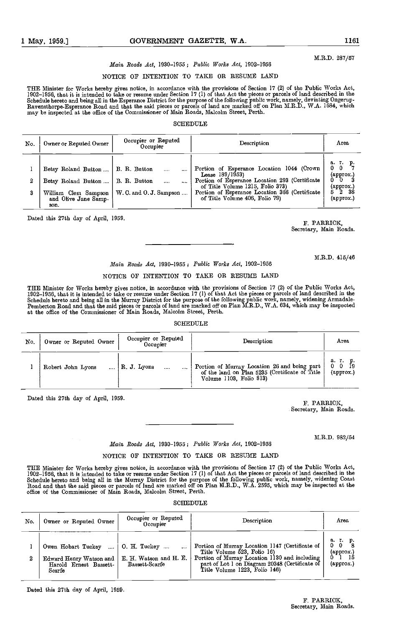#### M.R.D. 287/57

# Main Roads Act, 1930-1955; Public Works Act, 1902-1956

# NOTICE OF INTENTION TO TAKE OR RESUME LAND

THE Minister for Works hereby gives notice, in accordance with the provisions of Section 17 (2) of the Public Works Act, 1902-1956, that it is intended to take or resume under Section 17 (1) of that Act the pieces or parcels of land described in the Schedule hereto and being all in the Esperance District for the purpose of the following public work, namely, deviating Ongerup-<br>Ravensthorpe-Esperance Road and that the said pieces or parcels of land are marked off on Pla may be inspected at the office of the Commissioner of Main Roads, Malcolm Street, Perth.

# SCHEDULE

| No. | Owner or Reputed Owner                                                                             | Occupier or Reputed<br>Occupier                         | Description                                                                                                                                                                                                                             | Area                                                                          |
|-----|----------------------------------------------------------------------------------------------------|---------------------------------------------------------|-----------------------------------------------------------------------------------------------------------------------------------------------------------------------------------------------------------------------------------------|-------------------------------------------------------------------------------|
|     | Betsy Roland Button<br>Betsy Roland Button<br>William Clem Sampson<br>and Olive Jane Samp-<br>son. | B. R. Button<br>B. R. Button<br>W. C. and O. J. Sampson | Portion of Esperance Location 1044 (Crown<br>Lease $189/1953$<br>Portion of Esperance Location 293 (Certificate<br>of Title Volume 1215, Folio 373)<br>Portion of Esperance Location 366 (Certificate<br>of Title Volume 406, Folio 79) | аг. р.<br>$0\quad 0$<br>(approx.)<br>n.<br>(approx.)<br>- 2 - 38<br>(approx.) |

Dated this 27th day of April, 1959.

F. PARRICK, Secretary, Main Roads.

# M.R.D. 415/46

# Main Roads Act, 1930-1955 : Public Works Act, 1902-1956

#### NOTICE OF INTENTION TO TAKE OR RESUME LAND

THE Minister for Works hereby gives notice, in accordance with the provisions of Section 17 (2) of the Public Works Act,<br>1902–1956, that it is intended to take or resume under Section 17 (1) of that Act the pieces or parce Schedule hereto and being all in the Murray District for the purpose of the following public work, namely, widening Armadale-<br>Pemberton Road and that the said pieces or parcels of land are marked off on Plan M.R.D., W.A. 6 at the office of the Commissioner of Main Roads, Malcolm Street, Perth.

#### SCHEDULE<sup>R</sup>

| No. | Owner or Reputed Owner | Occupier or Reputed<br>Occupier |          | Description                                                                                                               | Area                                |
|-----|------------------------|---------------------------------|----------|---------------------------------------------------------------------------------------------------------------------------|-------------------------------------|
|     | Robert John Lyons      | $R$ , J. Lyons                  | $\cdots$ | Portion of Murray Location 26 and being part<br>of the land on Plan 5235 (Certificate of Title<br>Volume 1103, Folio 813) | a. r. p.<br>$0\quad 0$<br>(approx.) |

 $\bar{\beta}$ 

Dated this 27th day of April, 1959.<br>
F. PARRICK, F. PARRICK, Secretary, Main Roads.

M.R.D. 982/54

# Main Roads Act, 1930-1955; Public Works Act, 1902-1956

# NOTICE OF INTENTION TO TAKE OR RESUME LAND

THE Minister for Works hereby gives notice, in accordance with the provisions of Section 17 (2) of the Public Works Act,<br>1902–1956, that it is intended to take or resume under Section 17 (1) of that Act the pieces or parce Schedule hereto and being all in the Murray District for the purpose of the following public work, namely, widening Coast<br>Road and that the said pieces or parcels of land are marked off on Plan M.R.D., W.A. 2595, which may office of the Commissioner of Main Roads, Malcolm Street, Perth.

## **SCHEDULE**

| No. | Owner or Reputed Owner                                                                      | Occupier or Reputed<br>Occupier                                | Description                                                                                                                                                                                                        | Area                                                    |
|-----|---------------------------------------------------------------------------------------------|----------------------------------------------------------------|--------------------------------------------------------------------------------------------------------------------------------------------------------------------------------------------------------------------|---------------------------------------------------------|
| 2   | Owen Hobart Tuckey<br>$\sim$<br>Edward Henry Watson and<br>Harold Ernest Bassett.<br>Scarfe | $\pm$ 0. H. Tuckey<br>E. H. Watson and H. E.<br>Bassett-Scarfe | Portion of Murray Location 1147 (Certificate of<br>Title Volume 523, Folio 16)<br>Portion of Murray Location 1130 and including<br>part of Lot 1 on Diagram 20348 (Certificate of<br>Title Volume 1223, Folio 146) | аг. р.<br>$\Omega$<br>(approx.)<br>$\{\text{approx.}\}$ |

Dated this 27th day of April, 1959.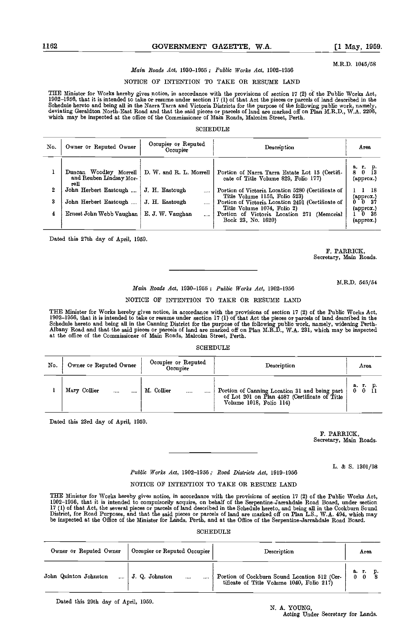## Main Roads Act, 1930-1955; Public Works Act, 1902-1956

# NOTICE OF INTENTION TO TAKE OR RESUME LAND

THE Minister for Works hereby gives notice, in accordance with the provisions of section 17 (2) of the Public Works Act,<br>1902–1956, that it is intended to take or resume under section 17 (1) of that Act the pieces or parce Schedule hereto and being all in the Narra Tarra and Victoria Districts for the purpose of the following public work, namely,<br>deviating Geraldton North-East Road and that the said pieces or parcels of land are marked off o which may be inspected at the office of the Commissioner of Main Roads, Malcolm Street, Perth.

### **SCHEDULE**

| No. | Owner or Reputed Owner                                    | Occupier or Reputed<br>Occupier | Description                                                                            | Area                                                   |
|-----|-----------------------------------------------------------|---------------------------------|----------------------------------------------------------------------------------------|--------------------------------------------------------|
|     | Duncan Woodley Morrell<br>and Reuben Lindsay Mor-<br>rell | D. W. and R. L. Morrell         | Portion of Narra Tarra Estate Lot 15 (Certifi-<br>cate of Title Volume 829, Folio 177) | а.<br>г. р.<br>0<br>8<br>$(\text{approx.})$            |
| 2   | John Herbert Eastough                                     | J. H. Eastough<br>              | Portion of Victoria Location 5280 (Certificate of<br>Title Volume 1156, Folio 523)     | - 18                                                   |
| 3   | John Herbert Eastough                                     | J. H. Eastough<br>$\cdots$      | Portion of Victoria Location 2491 (Certificate of<br>Title Volume 1074, Folio 2)       | $(\text{approx.})$<br>$0^-0^-37$<br>$(\text{approx.})$ |
| 4   | Ernest John Webb Vaughan                                  | E. J. W. Vaughan<br>$\cdots$    | Portion of Victoria Location 271 (Memorial<br>Book 23, No. 1620)                       | $1^-0^-35$<br>$(\text{approx.})$                       |

Dated this 27th day of April, 1959.

F. PARRICK, Secretary, Main Roads.

M.R.D. 545/54

# Main Roads Act, 1930-1955 ; Public Works Act, 1902-1956

# NOTICE OF INTENTION TO TAKE OR RESUME LAND

THE Minister for Works hereby gives notice, in accordance with the provisions of section 17 (2) of the Public Works Act,<br>1902–1956, that it is intended to take or resume under section 17 (1) of that Act the pieces or parce Schedule hereto and being all in the Canning District for the purpose of the following public work, namely, widening Perth-<br>Albany Road and that the said pieces or parcels of land are marked off on Plan M.R.D., W.A. 231, w at the office of the Commissioner of Main Roads, Malcolm Street, Perth.

#### SCHEDULE

| No. | Owner or Reputed Owner | Occupier or Reputed<br>Occupier | Description                                                                                                               | Area                   |  |
|-----|------------------------|---------------------------------|---------------------------------------------------------------------------------------------------------------------------|------------------------|--|
|     | Mary Collier<br><br>   | M. Collier<br><br>              | Portion of Canning Location 31 and being part<br>of Lot 201 on Plan 4587 (Certificate of Title<br>Volume 1018, Folio 114) | а. г. р.<br>$0\quad 0$ |  |

Dated this 23rd day of April, 1959.

F. PARRICK, Secretary, Main Roads.

L. & S. 1301/98

# Public Works Act, 1902-1956; Road Districts Act, 1919-1956

# NOTICE OF INTENTION TO TAKE OR RESUME LAND

THE Minister for Works hereby gives notice, in accordance with the provisions of section 17 (2) of the Public Works Act,<br>1902–1956, that it is intended to compulsorily acquire, on behalf of the Serpentine-Jarrahdale Road B 17 (1) of that Act, the several pieces or parcels of land described in the Schedule hereto, and being all in the Cockburn Sound<br>District, for Road Purposes, and that the said pieces or parcels of land are marked off on Pla

# **SCHEDULE**

| Owner or Reputed Owner | Occupier or Reputed Occupier   | Description                                                                               | Area       |
|------------------------|--------------------------------|-------------------------------------------------------------------------------------------|------------|
| John Quinton Johnston  | J. Q. Johnston<br>$\cdots$<br> | Portion of Cockburn Sound Location 512 (Cer-<br>tificate of Title Volume 1040, Folio 217) | а. г.<br>0 |

Dated this 29th day of April, 1959.

# N. A. YOUNG,

Acting Under Secretary for Lands.

M.R.D, 1045/58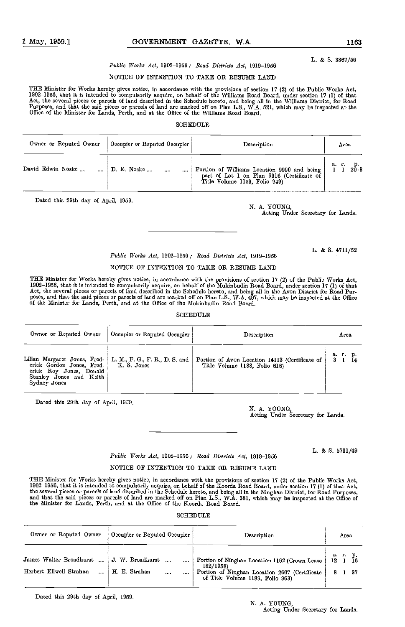L. & 5. 3867/56

# Public Works Act, 1902-1956; Road Districts Act, 1919-1956

# NOTICE OF INTENTION TO TAKE OR RESUME LAND

THE Minister for Works hereby gives notice, in accordance with the provisions of section 17 (2) of the Public Works Act,<br>1902–1956, that it is intended to compulsorily acquire, on behalf of the Williams Road Board, under s Act, the several pieces or parcels of land described in the Schedule hereto, and being all in the Williams District, for Road<br>Purposes, and that the said pieces or parcels of land are marked off on Plan L.S., W.A. 521, whi

#### SCHEDULE

| Owner or Reputed Owner | Occupier or Reputed Occupier | Description                                                                                                                  | Arca         |
|------------------------|------------------------------|------------------------------------------------------------------------------------------------------------------------------|--------------|
| David Edwin Noske      | D. E. Noske<br>$\cdots$      | Portion of Williams Location 9990 and being  <br>part of Lot 1 on Plan 6316 (Certificate of<br>Title Volume 1153, Folio 949) | 20.3<br>а г. |

Dated this 29th day of April, 1959.

N. A. YOUNG, Acting Under Secretary for Lands.

L. & 5. 4711/52

L. & S. 5701/49

# Public Works Act, 1902-1956; Road Districts Act, 1919-1956 NOTICE OF INTENTION TO TAKE OR RESUME LAND

THE Minister for Works hereby gives notice, in accordance with the provisions of section 17 (2) of the Public Works Act,<br>1902–1956, that it is intended to compulsorily acquire, on behalf of the Mukinbudin Road Board, under Act, the several pieces or parcels of land described in the Schedule hereto, and being all in the Avon District for Road Purposes, and that the said picees or parcels of land are marked off on Plan L.S., W.A. 497, which may be inspected at the Office<br>of the Minister for Lands, Perth, and at the Office of the Mukinbudin Road Board.

#### **SCHEDULE**

| Owner or Reputed Owner                                                                                                                                           | Occupier or Reputed Occupier | Description                                                                     | Arca     |
|------------------------------------------------------------------------------------------------------------------------------------------------------------------|------------------------------|---------------------------------------------------------------------------------|----------|
| Lilian Margaret Jones, Fred.   L. M., F. G., F. R., D. S. and<br>crick Gordon Jones, Fred-<br>crick Roy Jones, Donald<br>Stanley Jones and Keith<br>Sydney Jones | K.S. Jones                   | Portion of Avon Location 14113 (Certificate of<br>Title Volume 1188, Folio 818) | а. г. р. |

Dated this 29th day of April, 1959.

N. A. YOUNG, Acting Under Secretary for Lands.

# Public Works Act, 1902-1956; Road Districts Act, 1919-1956

## NOTICE OF INTENTION TO TAKE OR RESUME LAND

THE Minister for Works hereby gives notice, in accordance with the provisions of section 17 (2) of the Public Works Act,<br>1902–1956, that it is intended to compulsorily acquire, on behalf of the Koorda Road Board, under sec the several pieces or parcels of land described in the Schedule hereto, and being all in the Ninghan District, for Road Purposes,<br>and that the said pieces or parcels of land are marked off on Plan L.S., W.A. 381, which may

| $\operatorname{SCHEDULE}$ |  |
|---------------------------|--|
|                           |  |

| Owner or Reputed Owner                                         | Occupier or Reputed Occupier                  | Description                                                                                                                                     | Area                                |
|----------------------------------------------------------------|-----------------------------------------------|-------------------------------------------------------------------------------------------------------------------------------------------------|-------------------------------------|
| James Walter Broadhurst<br>$\cdots$<br>Herbert Ellwell Strahan | J. W. Broadhurst<br>H. E. Strahan<br>$\cdots$ | Portion of Ninghan Location 1162 (Crown Lease<br>182/1958)<br>Portion of Ninghan Location 2607 (Certificate<br>of Title Volume 1189, Folio 963) | a. r. p.<br>12 1 16<br>12<br>8 1 37 |

Dated this 29th day of April, 1959.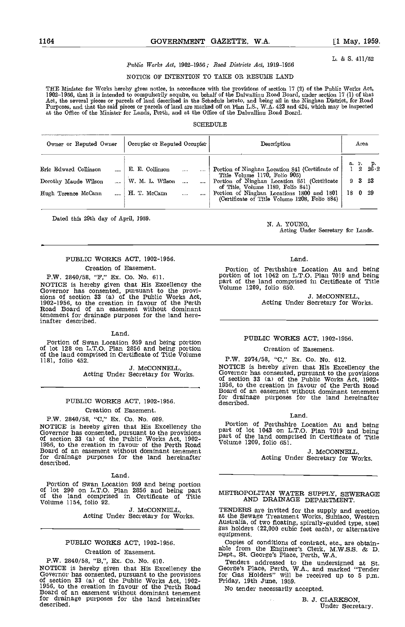L. & S. 411/52

# Public Works Act, 1902-1956; Road Districts Act, 1919-1956

# NOTICE OF INTENTION TO TAKE OR RESUME LAND

THE Minister for Works hereby gives notice, in accordance with the provisions of section 17 (2) of the Public Works Act, 1902–1956, that it is intended to compulsorily acquire, on behalf of the Dalwallinu Road Board, under section 17 (1) of that<br>Act, the several pieces or parcels of land described in the Schedule hereto, and being all in the Purposes, and that the said pieces or parcels of land are marked off on Plan L.S., W.A. 423 and 424, which may be inspected at the Office of the Minister for Lands, Perth, and at the Office of the Dalwallinu Road Board.

#### SCHEDULE<sub>E</sub>

| Owner or Reputed Owner | Occupier or Reputed Occupier | Description                                                                                 |         | Area               |                                       |
|------------------------|------------------------------|---------------------------------------------------------------------------------------------|---------|--------------------|---------------------------------------|
| Eric Edward Collinson  | E. E. Collinson              | Portion of Ninghan Location 841 (Certificate of  <br>Title Volume 1170, Folio 905)          |         |                    | a. r. p.<br>$1\quad 2\quad 26\cdot 2$ |
| Dorothy Maude Wilson   | W. M. L. Wilson              | Portion of Ninghan Location 851 (Certificate<br>of Title, Volume 1189, Folio 841)           |         | $9\quad 3\quad 23$ |                                       |
| Hugh Terence McCann    | H. T. McCann                 | Portion of Ninghan Locations 1800 and 1801<br>(Certificate of Title Volume 1208, Folio 884) | 18 0 29 |                    |                                       |

Dated this 29th day of April, 1959.

N. A. YOUNG,

Acting Under Secretary for Lands.

# PUBLIC WORKS ACT, 1902-1956.

# Creation of Easement.

P.W. 2840/58, "F," Ex. Co. No. 611.<br>NOTICE is hereby given that His Excellency the NOTICE is hereby given that His Excellency the  $\frac{\text{part of}}{\text{Volum}}$ <br>Governor has consented, pursuant to the provi-<br>sions of section 33 (a) of the Public Works Act,<br>1902-1956, to the creation in favour of the Perth<br>Road Board tenement for drainage purposes for the land hereinafter described.

#### Land.

Portion of Swan Location 959 and being portion of lot 128 on L.T.O. Plan 2856 and being portion of the land comprised in Certificate of Title Volume 1181, folio 452.

J. McCONNELL, Acting Under Secretary for Works.

# PUBLIC WORKS ACT, 1902-1956. Creation of Easement.

P.W. 2840/58, "C," Ex. Co. No. 609.<br>NOTICE is hereby given that His Excellency the NOTICE is hereby given that His Excellency the Fort Governor has consented, pursuant to the provisions of section 33 (a) of the Public Works Act, 1902-<br>1956, to the creation in favour of the Perth Road Volum<br>Board of an e for drainage purposes for the land hereinafter described.

#### Land.

Portion of Swan Location 959 and being portion of lot 290 on L.T.O. Plan 2856 and being part of the land comprised in Certificate of Title Volume 1154, folio 92.

J. McCONNELL, Acting Under Secretary for Works.

# PUBLIC WORKS ACT, 1902-1956.

## Creation of Easement.

P.W. 2840/58, "B,", Ex. Co. No. 610.<br>NOTICE is hereby given that His Excellency the NOTICE is hereby given that His Excellency the George<br>Governor has consented, pursuant to the provisions for Given and S3 (a) of the Public Works Act, 1902-<br>1956, to the creation in favour of the Perth Road No t<br>Board of a for drainage purposes for the land hereinafter<br>described.

# Land

Portion of Perthshire Location Au and being portion of lot 1042 on L.T.O. Plan 7019 and being part of the land comprised in Certificate of Title Volume 1209, folio 650.

J. McCONNELL, Acting Under Secretary for Works.

#### PUBLIC WORKS ACT, 1902-1956.

## Creation of Easement.

P.W. 2974/58, "C," Ex. Co. No. 612. NOTICE is nereby given that ris Excellency the<br>Governor has consented, pursuant to the provisions<br>of section 33 (a) of the Public Works Act, 1902-<br>1956, to the creation in favour of the Perth Road<br>Board of an easement with

#### Land.

Portion of Perthshire Location Au and being part of lot 1043 on L.T.O. Plan 7019 and being part of the land comprised in Certificate of Title Volume 1209, folio 651.

3. McCONNELL, Acting Under Secretary for Works.

## METROPOLITAN WATER SUPPLY, SEWERAGE AND DRAINAGE DEPARTMENT.

TENDERS are invited for the supply and erection at the Sewage Treatment Works, Subiaco, Western Australia of two floating, spirally-guided type, steel gas holders (22,000 cubic feet each), or alternative gas holders (22,000 cubic feet each), or alternative equipment.<br>Copies of conditions of contract, etc., are obtain-

Copies of conditions of contract, etc., are obtain- able from the Engineer's Clerk, M.W.S.S. & U. Dept., St. George's Place, Perth, WA.

Tenders addressed to the undersigned at St. George's Place, Perth, W.A., and marked "Tender for Gas Holders" will be received up to 5 p.m. Thiday, 19th June, 1959.

No tender necessarily accepted.

B. J. CLARKSON, Under Secretary.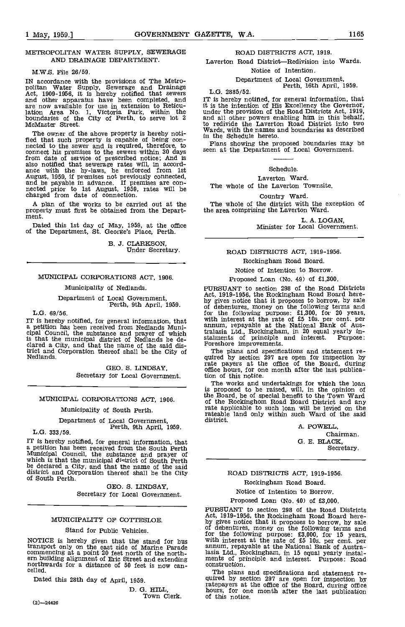#### M.W.S. File 26/59.

IN accordance with the provisions of The Metro-<br>politan Water Supply, Sewerage and Drainage<br>Act, 1909-1956, it is hereby notified that sewers<br>and other apparatus have been completed, and are now available for use in extension to Reticu-lation Area No. 1, Victoria Park, within the boundaries of the City of Perth, to serve lot 2 McMaster Street.

The owner of the above property is hereby noti-<br>fied that such property is capable of being con-<br>nected to the sewer and is required, therefore, to change connect his premises to the sewers within 30 days from date of service of prescribed notice; And is also notified that sewerage rates will, in accord- ance with the by-laws, be enforced from 1st August, 1959, if premises not previously connected, and be payable in advance. If premises are con- nected prior to 1st August, 1959, rates will be charged from date of connection.

A plan of the works to be carried out at the property must first be obtained from the Depart- ment.

Dated this 1st day of May, 1959, at the office of the Department, St. George's Place, Perth.

B, J. CLARKSON, Under Secretary.

# MUNICIPAL CORPORATIONS ACT, 1906.

# Municipality of Nedlands.

# Department of Local Government, Perth, 9th April, 1959.

L.G. 69/56.

IT is hereby notified, for general information, that a with i<br>a petition has been received from Nedlands Muni-<br>cipal Council, the substance and prayer of which tralasi is that the municipal district of Nedlands be de-<br>clared a City, and that the name of the said district and Corporation thereof shall be the City of Nedlands.

> GEO. S. LINDSAY, Secretary for Local Government.

MUNICIPAL CORPORATIONS ACT, 1906.

Municipality of South Perth.

Department of Local Government, Perth, 9th April, 1959. L.G. 333/59.

IT is hereby notified, for general information, that<br>a petition has been received from the South Perth<br>Municipal Council, the substance and prayer of<br>which is that the municipal  $d$  is trict of South Perth be declared a City, and that the name of the said<br>district and Corporation thereof shall be the City<br>of South Perth.

> GEO. S. LINDSAY, Secretary for Local Government.

# MUNICIPALITY OF COTTESLOE.

### Stand for Public Vehicles.

NOTICE is hereby given that the stand for bus transport only on the east side of Marine Parade commencing at a point 20 feet north of the north-<br>ern building alignment of Eric Street and extending ment<br>northwards for a distance of 50 feet is now can-<br>celled.

Dated this 28th day of April, 1959.

D. G. HILL,<br>Town Clerk.

(2)-24426

# ROAD DISTRICTS ACT, 1919.

Laverton Road District-Redivision into Wards.

Notice of Intention.

# Department of Local Government, Perth, 16th April, 1959.

L.G. 2885/52.

IT is hereby notified, for general information, that it is the intention of His Excellency the Governor,<br>under the provision of the Road Districts Act, 1919,<br>and all other powers enabling him in this behalf,<br>to redivide the Laverton Road District into two<br>Wards, with the nam

Plans showing the proposed boundaries may be seen at the Department of Local Government.

### Schedule.

#### Laverton Ward.

The whole of the Laverton Townsite.

Country Ward.

The whole of the district with the exception of the area comprising the Laverton Ward.

L. A. LOGAN,<br>Minister for Local Government.

# ROAD DISTRICTS ACT, 1919-1956.

Rockingham Road Board.

Notice of Intention to Borrow.

# Proposed Loan (No. 49) of £1,300.

PURSUANT to section 298 of the Road Districts Act, 1919-1956, the Rockingham Road Board here-<br>by gives notice that it proposes to borrow, by sale for the following purpose: £1,300, for 20 years, with interest at the rate of £5 lOs. per cent. per annum, repayable at the National Bank of Australasia Ltd., Rockingham, in 20 equal yearly in- stalments of principle and interest. Purpose: Foreshore improvements.

The plans and specifications and statement re- quired by section 297 are open for inspection by rate payers at the office of the Board, during office hours, for one month after the last publication of this notice.

The works and undertakings for which the loan is proposed to be raised, will, in the opinion of the Board, be of special benefit to the Town Ward of the Rockinghom Road Board District and any rate applicable to such loan will be levied on the rateable land only within such Ward of the said district.

A. POWELL, Chairman. 0. E. BLACK, Secretary.

# ROAD DISTRICTS ACT, 1919-1956.

Rockingham Road Board.

Notice of Intention to Borrow.

Proposed Loan (No. 40) of £3,000.

PURSUANT to section 298 of the Road Districts Act, 1919-1956, the Rockingham Road Board here-<br>by gives notice that it proposes to borrow, by sale<br>of debentures, money on the following terms and for the following purpose: £3,000, for 15 years, with interest at the rate of £5 lOs. per cent, per annum, repayable at the National Bank of Australasia Ltd., Rockingham, in 15 equal yearly instal- ments of principle and interest. Purpose: Road construction.

The plans and specifications and statement re- quired by section 297 are open for inspection by ratepayers at the office of the Board, during office hours, for one month after the last publication hours, for one month after the last publication<br>of this notice.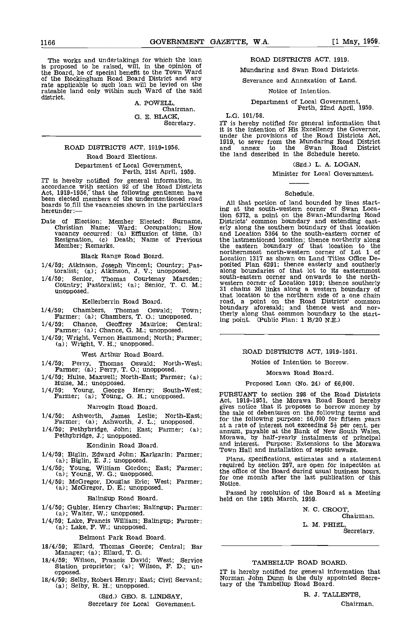The works and undertakings for which the loan is proposed to be raised, wfll, in the opinion of the Board, be of special benefit to the Town Ward of the Rockingham Road Board District and any rate applicable to such loan will be levied on the rateable land only within such Ward of the said district.

A. POWELL, Chairman. G. B. BLACK,

Secretary.

# ROAD DISTRICTS ACT, 1919-1956.

# Road Board Elections.

# Department of Local Government, Perth, 21st April, 1959.

IT is hereby notified for general information, in accordance with section 92 of the Road Districts Act, 1919-1956, that the following gentlemen have<br>been elected members of the undermentioned road boards to fill the vacancies shown in the particulars in the particulars hereunder: — the vacancies shown in the particulars in the particular of the shown in the particular of the shown in the particular of the shown in t

Date of Election; Member Elected: Surname, Christian Name; Ward; Occupation; How vacancy occurred: (a) Effluxion of time, (b) and<br>Resignation, (c) Death; Name of Previous the<br>Member; Remarks. the

Black Range Road Board.

- 1/4/59; Atkinson, Joseph Vincent; Country; Pas-toralist; (a); Atkinson, J. V.; unopposed.
- 1/4/59; Senior, Thomas Courtenay Marsden; Country; Pastoralist; (a); Senior, T. C. M.; unopposed.

# Kellerberrin Road Board.

- 
- 1/4/59; Chambers, Thomas Oswald; Town; Farmer; (a); Chambers, T. 0.; unopposed.
- 1/4/59; Chance, Geoffrey Maurice; Central; Farmer; (a); Chance, 0. M.; unopposed.
- 1/4/59; Wright, Vernon Hammond; North; Farmer; (a); Wright, V. H.; unopposed.

# West Arthur Road Board.

- 1/4/59; Perry, Thomas Oswald; North-West; Farmer; (a); Perry, T. 0.; unopposed.
- 1/4/59; Hulse, Maxwell; North-East; Farmer; (a); Hulse, M.; unopposed.
- 1/4/59; Young, George Henry; South-West; Farmer; (a); Young, G. H.; unopposed.

#### Narrogin Road Board.

- 1/4/59; Ashworth, James Leslie; North-East; Farmer; (a); Ashworth, 3. L.; unopposed.
- 1/4/59; Pethybridge, John; East; Farmer; (a); Pethybridge, J.; unopposed.

# Kondinin Road Board.

- 1/4/59; Biglin, Edward John; Karlgarin; Farmer; (a); Biglin, E. J.; unopposed.
- 1/4/59; Young, William Gordon; East; Farmer;  $\begin{array}{cc} \text{r} \\ \text{a)}; \text{ Young, W. G.; unopposed.} \end{array}$
- 

#### Balingup Road Board.

- 1/4/59; Gubler, Henry Charles; Balingup; Farmer: (a); Walter, W.; unopposed.
- 1/4/59; Lake, Francis William; Balingup; Farmer; (a); Lake, F. W.; unopposed.

## Belmont Park Road Board.

- 18/4/59; Ellard, Thomas George; Central; Bar —<br>Manager; (a); Ellard, T. G.
- 18/4/59; Wilson, Francis David; West; Service Station proprietor; (a); Wilson, F. D.; unopposed.
- 18/4/59; Selby, Robert Henry; East; Civil Servant; (a); Selby, R. H.; unopposed.

#### (Sgd.) GEO. S. LINDSAY,

Secretary for Local Government.

# ROAD DISTRICTS ACT, 1919.

Mundaring and Swan Road Districts.

Severance and Annexation of Land.

#### Notice of Intention.

Department of Local Government,<br>Perth, 22nd April, 1959.

L.G. 101/58.

IT is hereby notified for general information that it is the intention of His Excellency the Governor, under the provisions of the Road Districts Act, it is the intention of His Excellency the Governor, under the provisions of the Road Districts Act, 1919, to sever from the Mundaring Road District and annex to the Swan Road District the land described in the Schedule hereto.

(Sgd.) L. A. LOGAN,

# Minister for Local Government.

#### Schedule.

All that portion of land bounded by lines start-ing at the south-western corner of Swan Location 6372, a point on the Swan-Mundaring Road Districts' common boundary and extending east- erly along the southern boundary of that location and Location 5364 to the south-eastern corner of the lastmentioned location; thence northerly along the eastern boundary of that location to the northernmost north-western corner of Lot 1 of Location 1317 as shown on Land Titles Office De-posited Plan 6291; thence easterly and southerly along boundaries of that lot to its easternmost south-eastern corner and onwards to the northwestern corner of Location 1919; thence southerly 31 chains 36 links along a western boundary of that location to the northern side of a one chain road, a point on the Road Districts' common boundary aforesaid; and thence west and northerly along that common boundary to the starting point. (Public Plan: 1 B/20 N.E.)

# ROAD DISTRICTS ACT, 1919-1951.

# Notice of Intention to Borrow.

# Morawa Road Board.

# Proposed Loan (No. 24) of £6,000.

PURSUANT to section 298 of the Road Districts Act, 1919-1951, the Morawa Road Board hereby gives notice that it proposes to borrow money by the sale of debentures on the following terms and for the following purpose:  $£6,000$  for fifteen years<br>at a rate of interest not exceeding  $5\frac{1}{2}$  per cent. per<br>annum, payable at the Bank of New South Wales,<br>Morawa, by half-yearly instalments of principal<br>and interes

(a), Young, W. C., unopposed.<br>1/4/59; McGregor, Douglas Eric; West; Farmer; (a); McGregor, D. E.; unopposed.<br>(a); McGregor, D. E.; unopposed. Plans, specifications, estimates and a statement required by section 297, are open for inspection at the office of the Board during usual business hours, for one month after the last publication of this Notice.

Passed by resolution of the Board at a Meeting held on the 19th March, 1959.

N. C. CROOT. Chairman. L. M. PHIEL Secretary.

# TAMBELLUP ROAD BOARD.

IT is hereby notified for general information that Norman John Dunn is the duly appointed Secretary of the Tambellup Road Board.

R. 3. TALLENTS,

Chairman.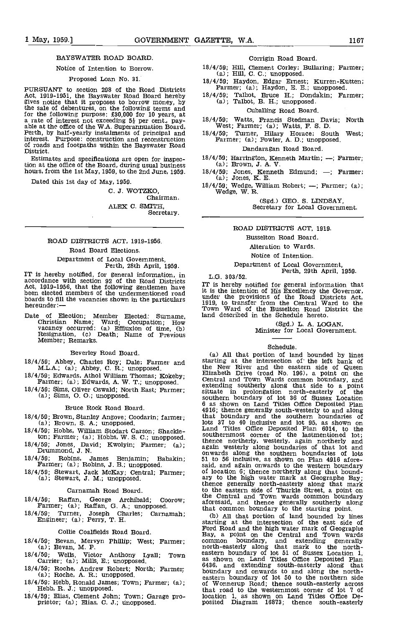# BAYSWATER ROAD BOARD.

## Notice of Intention to Borrow.

#### Proposed Loan No. 31.

PURSUANT to section 295 of the Road Districts Act, 1919-1951, the Bayswater Road Board hereby gives notice that it proposes to borrow money, by the sale of debentures, on the following terms and for the following purpose: £30,000 for 10 years, at a rate of interest not exceeding  $5\frac{1}{2}$  per cent., pay-<br>able at the office of the W.A. Superannuation Board, Perth, by half-yearly instalments of principal and interest. Purpose: construction and reconstruction of roads and footpaths within the Bayswater Road District.

Estimates and specifications are open for inspection at the office of the Board, during usual business hours, from the 1st May, 1959, to the 2nd June, 1959.

Dated this 1st day of May, 1959.

C. J. WOTZKO, Chairman. ALEX C. SMITH, Secretary.

# ROAD DISTRICTS ACT, 1919-1956. Road Board Elections. Department of Local Government, Perth, 28th April, 1959.

IT is hereby notified, for general information, in  $L_G$ ,  $303/52$ . accordance with section 92 of the Road Districts<br>Act, 1919-1956, that the following gentlemen have heen elected members of the undermentioned road boards to fill the vacancies shown in the particulars hereunder:

Date of Election; Member Elected: Surname, Christian Name; Ward; Occupation; How vacancy occurred: (a) Effluxion of time, (b)<br>Resignation, (c) Death; Name of Previous Member; Remarks.

Beverley Road Board.

- 18/4/59; Abbey, Charles Roy; Dale; Farmer and M.L.A.; (a); Abbey, C. R.; unopposed.
- 18/4/59; Edwards, Athol William Thomas; Kokeby;  $\begin{bmatrix} 1 \\ 1 \end{bmatrix}$  Farmer; (a); Edwards, A. W. T.; unopposed.
- Farmer; (a); Edwards, A. W. T.; unopposed.<br>18/4/59; Sims, Oliver Oswald; North East; Farmer; (a); Sims, O. O.; unopposed.

Bruce Rock Road Board.

- 18/4/59; Brown, Stanley Angove; Coodarin; farmer; (a); Brown, S. A.; unopposed.
- 18/4/59; Hobbs, William Stodart Carson; Shackle-
- 18/4/59; Jones, David; Kwolyin; Farmer; (a); Drummond, J. N.
- 18/4/59; Robins, James Benjamin; Babakin; Farmer; (a); Robins, J. B,; unopposed.
- 18/4/59; Stewart, Jack McKay; Central; Farmer; (a); Stewart, J. M.; unopposed.
	- Carnamah Road Board
- 18/4/59; Raffan, George Archibald; Coorow; Farmer; (a); Raffan, G. A.; unopposed.
- 18/4/59; Turner, Joseph Charles; Carnamah; Engineer; (a); Perry, T. H.

#### Collie Coalfields Road Board.

- 18/4/59; Bevan, Mervyn Phillip; West; Farmer; (a); Bevan, M. P.
- 18/4/59; Wells, Victor Anthony Lyall; Town easter<br>Carrier; (a); Mills, E.; unopposed. as a stage
- 18/4/59; Roche, Andrew Robert; North; Farmer; (a); Roche, A. R.: unopposed.
- 18/4/59; Hebb, Ronald James; Town; Farmer; (a); Hebb, R. J.; unopposed.
- 18/4/59; Elias, Clement John; Town; Garage pro- prietor; (a); Elias, C. J.; unopposed.

#### Corrigin Road Board.

- 18/4/59; Hill, Clement Corley; Bullaring; Farmer; (a); Hill, C. C.; unopposed.
- 18/4/59; Haydon, Edgar Ernest; Kurren-Kutten; Farmer; (a); Haydon, E. B.; unopposed.
- $18/4/59$ ; Talbot, Bruce H.; Dondakin; Farmer; (a); Talbot, B. H.; unopposed.

# Cuballing Road Board.

- 18/4/59; Watts, Francis Stedman Davis; North West; Farmer; (a); Watts, F. S. D.
- 18/4/59; Turner, Hilary Horace; South West; Farmer; (a); Fowler, A. D.; unopposed.

# Dandaragan Road Board.

- 18/4/59; Harrington, Kenneth Martin; --; Farmer; (a); Brown, J. A. V.
- 18/4/59; Jones, Kenneth Edmund;  $-$ ; Farmer; (a); Jones, K. E.
- 18/4/59; Wedge, William Robert; Farmer; (a); Wedge, W. R.

(Sgd.) GEO. S. LINDSAY, Secretary for Local Government.

# ROAD DISTRICTS ACT, 1919.

# Busselton Road Board.

Alteration to Wards.

Notice of Intention.

Department of Local Government,<br>Perth, 29th April, 1959.

IT is hereby notified for general information that 11 is the intention of His Excellency the Governor, that is the intention of His Excellency the Governor, under the provisions of the Road Districts Act, 1919, to transfer from the Central Ward to the Town Ward of the Buss

(Sgd.) L. A. LOGAN, Minister for Local Government.

# Schedule.

All that portion of land bounded by lines starting at the intersection of' the left bank of the New River and the eastern side of Queen Elizabeth Drive (road No. 196), a point on the Central and Town Wards common boundary, and extending southerly along that side to a point<br>situate in prolongation north-easterly of the<br>southern boundary of lot 36 of Sussex Location<br>6 as shown on Land Titles Office Deposited Plan 4916; thence generally south-westerly to and along that boundary and the southern boundaries of lots 37 to 40 inclusive and lot 95, as shown on Land Titles Office Deposited Plan 6014, to the southernmost corner of the lastmentioned lot; thence northerly, westerly, again northerly and again westerly along boundaries of that lot and onwards along the southern boundaries of lots 51 to 56 inclusive, as shown on Plan 4916 afore- said, and again onwards to the western boundary of location 6; thence northerly along that bound- ary to the high water mark at Geographe Bay; thence generally north-easterly along that mark to the eastern side of Thurkle Street, a point on the Central and Town wards common boundary aforesaid, and thence generally southerly along

that common boundary to the starting point.<br>
(b) All that portion of land bounded by lines starting at the intersection of the east side of Ford Road and the high water mark of Geographe Bay, a point on the Central and Tow common boundary, and extending generally north-easterly along that mark to the north-<br>eastern boundary of lot 51 of Sussex Location 1, as shown on Land Titles Office Deposited Plan 6436, and extending south-easterly along that boundary and onwards to and along the north-eastern boundary of lot 50 to the northern side of Wonnerup Road; thence south-easterly across that road to the westernmost corner of lot 7 of location 1, as shown on Land Titles Office Deposited Diagram 16873; thence south-easterly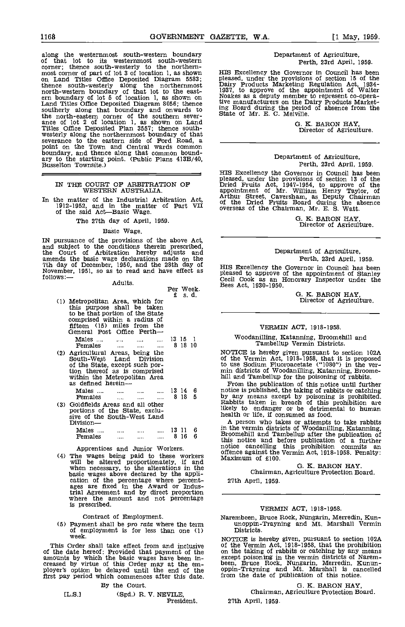Per Week.

along the westernmost south-western boundary south-westernmost south-western corner; thence south-westernly to the northern-<br>corner; thence south-westerly to the northern-<br>most corner of part of lot 3 of location 1, as shown corner; thence south-westerly to the northern-<br>most corner of part of lot 3 of location 1, as shown HIS I<br>on Land Titles Office Deposited Diagram 5583; please thence south-westerly along the northernmost Dairy<br>north-western boundary of that lot to the east-<br>ern boundary of lot 5 of location 1, as shown on Noakes<br>Land Titles Office Deposited Diagram 8056; thence  $\frac{1}{2}$ southerly along that boundary and onwards to  $\frac{\text{ing}}{\text{Stets}}$ the north-eastern corner of the southern severance of lot 2 of location 1, as shown on Land Titles Office Deposited Plan 3557; thence south-<br>westerly along the northernmost boundary of that<br>severance to the eastern side of Ford Road, a<br>point on the Town and Central wards common boundary, and thence along that common bound-<br>ary to the starting point. (Public Plans 413B/40,<br>Busselton Townsite.)

# IN THE COURT OF ARBITRATION OF WESTERN AUSTRALIA.

In the matter of the Industrial Arbitration Act,  $1912-1952$ , and in the matter of Part VII of the said Act—Basic Wage.

## The 27th day of April, 1959.

## Basic Wage.

IN pursuance of the provisions of the above Act, and subject to the conditions therein prescribed, the Court of Arbitration hereby adjusts and amends the basic wage declarations made on the **7th day of** Perth, 23rd April, 1959.<br>
Th day of December, 1950, and the 28th day of HIS Excellency the Governor in Council has been<br>
November, 1951, so as to read and have ef

Adults.

|     |                                                                                                                                                                                             | £  |                  | s. d.  |                                   |
|-----|---------------------------------------------------------------------------------------------------------------------------------------------------------------------------------------------|----|------------------|--------|-----------------------------------|
| (1) | Metropolitan Area, which for<br>this purpose shall be taken<br>to be that portion of the State<br>comprised within a radius of<br>fifteen (15) miles from the<br>General Post Office Perth- |    |                  |        |                                   |
|     | Males<br>Females<br>$\cdots$<br>$\cdots$<br>                                                                                                                                                |    | 13 15<br>8 18 10 | - 1    |                                   |
| (2) | Agricultural Areas, being the<br>South-West Land Division<br>of the State, except such por-<br>tion thereof as is comprised<br>within the Metropolitan Area<br>as defined herein—           |    |                  |        | NC<br>of<br>to<br>mi.<br>hi1<br>J |
|     | Males<br>$\cdots$<br>Females<br>$\cdots$<br>$\cdots$                                                                                                                                        | 8. | 13 14<br>-18     | 6<br>5 | not<br>by                         |
| (3) | Goldfields Areas and all other<br>portions of the State, exclu-<br>sive of the South-West Land<br>Division—                                                                                 |    |                  |        | Ra<br>1ik<br>hei<br>A             |
|     | Males                                                                                                                                                                                       |    | 13 11            | 6      | in<br>$\mathbf{B}_{\text{I}}$     |
|     | <b>Females</b><br>$\cdots$<br>$\cdots$                                                                                                                                                      | 8  | 16               | 6      | いしこ                               |

Apprentices and Junior Workers. notice cancelling<br>
(4) The wages being paid to these workers offence against the<br>
will be altered proportionately, if and<br>
when necessary, to the alterations in the<br>
basic wages above declar trial Agreement and by direct proportion where the amount and not percentage is prescribed.

Contract of Employment.

(5) Payment shall be pro rata where the term  $\frac{1}{2}$  unoppin-Trayning and Mt. Marshall Vermin of employment is for less than one (1) Districts.

This Order shall take effect from and inclusive of the on the state hereof: Provided that payment of the on the amounts by which the basic wages have been in-<br>creased by virtue of this Order may at the em-<br>ployer's option be delayed until the end of the oppinfirst pay period which commences after this date.

# By the Court.

# [L.S.] (Sgd.) R. V. NEVILE, President.

# Department of Agriculture, Perth, 23rd April, 1959.

HIS Excellency the Governor in Council has been<br>pleased, under the provisions of section 15 of the<br>Dairy Products Marketing Regulation Act, 1934-<br>1937, to approve of the appointment of Walter<br>Noakes as a deputy member to r

G. K. BARON HAY, Director of Agriculture.

# Department of Agriculture, Perth, 23rd April, 1959.

HIS Excellency the Governor in Council has been pleased, under the provisions of section 13 of the Dried Fruits Act, 1947-1954, to approve of the appointment of Mr. William Henry Taylor, of Arthur Street, Caversham, as Deputy Chairman of the Dried Fruits Board during the absence overseas of the Chairman, Mr. E. S. Watt.

G. K; BARON HAY, Director of Agriculture.

# Department of Agriculture, Perth, 23rd April, 1959.

HIS Excellency the Governor in Council has been pleased to approve of the appointment of Stanley Cecil Cook as an Honorary Inspector under the Bees Act, 1930-1950.

G. K. BARON HAY, Director of Agriculture.

# VERMIN ACT, 1918-1958.

# Woodanilling, Katanning, Broomehill and Tambellup Vermin Districts.

NOTICE is hereby given pursuant to section 102A<br>of the Vermin Act, 1918-1958, that it is proposed<br>to use Sodium Fluoroacetate ("1080") in the ver-<br>min districts of Woodanilling, Katanning, Broome-<br>hill and Tambellup for th

From the publication of this notice until further<br>13 14 6 notice is published, the taking of rabbits or catching 8 18 <sup>5</sup> by any means except by poisoning is prohibited. Rabbits taken in breach of this prohibition are likely to endanger or be detrimental to human health or life, if consumed as food.

A person who takes or attempts to take rabbits in the vermin districts of Woodanilling, Katanning, Broomehill and Tambellup after the publication of<br>this notice and before publication of a further<br>notice cancelling this prohibition commits an offence against the Vermin Act, 1918-1958. Penalty: Maximum of £100.

# G. K. BARON HAY.

Chairman, Agriculture Protection Board. 27th April, 1959.

### VERMIN ACT, 1918-1958.

Narembeen, Bruce Rock, Nungarin, Merredin, Kun-

NOTICE is hereby given, pursuant to section 102A of the Vermin Act, 1918-1958, that the prohibition<br>on the taking of rabbits or catching by any means<br>except poisoning in the vermin districts of Narem-<br>been, Bruce Rock, Nungarin, Merredin, Kunun-<br>oppin-Trayning and Mt. Ma from the date of publication of this notice.

# G. K. BARON HAY,

Chairman, Agriculture Protection Board. 27th April, 1959.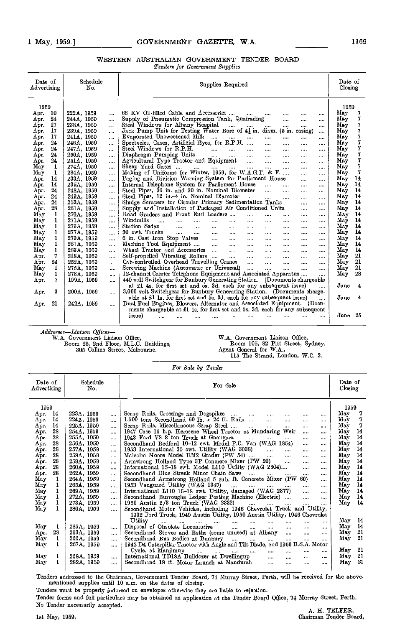# WESTERN AUSTRALIAN GOVERNMENT TENDER BOARD Tenders for Government Supplies

| Date of<br>Advertising | Schedulc<br>Supplies Required<br>No. |                                                                                                                                                                                          |            |  |  |
|------------------------|--------------------------------------|------------------------------------------------------------------------------------------------------------------------------------------------------------------------------------------|------------|--|--|
| 1959                   |                                      |                                                                                                                                                                                          | 1959       |  |  |
| 10<br>Apr.             | 222A, 1959<br>$\cdots$               | 66 KV Oil-filled Cable and Accessories<br>$\cdots$<br>$\cdots$<br><br>$\cdots$                                                                                                           | $\rm\,May$ |  |  |
| 24<br>Apr.             | 244A, 1959<br>$\cdots$               | Supply of Pneumatic Compression Tank, Quairading<br>$\cdots$<br>$\cdots$<br>                                                                                                             | 7<br>May   |  |  |
| 17<br>Apr.             | 238A, 1959<br>$\cdots$               | Steel Windows for Albany Hospital<br>and the state of the state of the state of the state of the state of the state of the state of the state of the<br>$\cdots$<br>$\cdots$<br>$\cdots$ | 7<br>Mav   |  |  |
| 17<br>Apr.             | 239A, 1959<br>$\cdots$               | Jack Pump Unit for Testing Water Bore of $4\frac{1}{2}$ in. diam. (5 in. casing)<br>$\cdots$                                                                                             | 7<br>May   |  |  |
| 17<br>Apr.             | 241A, 1959<br>$\cdots$               | Evaporated Unsweetcned Milk<br>$\cdots$<br>$\cdots$<br>$\cdots$                                                                                                                          | 7<br>Mav   |  |  |
| 24<br>Apr.             | 246A, 1959<br>                       | Spectacles, Cases, Artificial Eyes, for R.P.H.<br>$\cdots$<br>$\cdots$<br>$\cdots$<br>$\cdots$                                                                                           | 7<br>May   |  |  |
| 24<br>Apr.             | 247A, 1959<br>$\cdots$               | Steel Windows for R.P.H.<br><b>Contract Contract Contract</b><br>$\sim 10^{-10}$<br><b>Sales Controller</b><br><br>$\cdots$<br>$\cdots$                                                  | 7<br>Mav   |  |  |
| 24<br>Apr.             | 250A, 1959<br>$\cdots$               | Diaphragm Pumping Units<br>$\cdots$<br>$\cdots$<br>$\cdots$<br>$\cdots$<br>$\cdots$                                                                                                      | 7<br>May   |  |  |
| 24<br>Apr.             | 251A, 1959<br>                       | Agricultural Type Tractor and Equipment<br>$\sim 100$ km s $^{-1}$<br>$\cdots$<br>$\cdots$<br><br>                                                                                       | 7<br>May   |  |  |
| May<br>1               | 274A, 1959<br>                       | Sheep Yard Gates<br>$\frac{1}{2}$ . The contract of $\frac{1}{2}$<br><b>SALE</b><br>$\cdots$<br>$\cdots$<br>$\cdots$                                                                     | 7<br>May   |  |  |
| May<br>1               | 284A, 1959<br>$\cdots$               | Making of Uniforms for Winter, 1959, for W.A.G.T. & F.<br>$\cdots$<br>$\cdots$                                                                                                           | 7<br>May   |  |  |
| 14<br>Apr.             | 233A, 1959<br>$\cdots$               | Paging and Division Warning System for Parliament House<br>$\cdots$<br>$\cdots$                                                                                                          | 14<br>May  |  |  |
| 14<br>Apr.             | 235A, 1959                           | Internal Telephone System for Parliament House<br>$\mathbf{r}$                                                                                                                           | 14<br>May  |  |  |
| 24<br>Apr.             | $\cdots$<br>248A, 1959               | $\cdots$<br>$\cdots$<br>Steel Pipes, 36 in. and 30 in. Nominal Diameter<br><b>Service</b><br>$\cdots$                                                                                    | Mav<br>14  |  |  |
| 24<br>Apr.             | $\cdots$<br>249A, 1959               | $\cdots$<br>$\cdots$<br>Steel Pipes, 12 in.-4 in. Nominal Diameter<br>المستحدث المسار                                                                                                    | 14<br>Mav  |  |  |
| 24<br>Apr.             | <br>253A, 1959                       | $\cdots$<br>$\cdots$<br>$\cdots$<br>Sludge Scrapers for Circular Primary Sedimentation Tanks                                                                                             | 14<br>Mav  |  |  |
| 28                     | $\cdots$<br>261A, 1959               | $\cdots$<br>$\cdots$<br>Supply and Installation of Packaged Air Conditioned Units                                                                                                        | 14<br>Mav  |  |  |
| Apr.<br>1              | $\cdots$                             | $\cdots$<br>$\cdots$<br>Road Graders and Front End Loaders                                                                                                                               | 14<br>May  |  |  |
| May                    | 270A, 1959<br>$\cdots$               | $\cdots$<br>$\cdots$<br><br>$\cdots$<br>$\cdots$<br>Windmills                                                                                                                            | 14         |  |  |
| May                    | 271A, 1959<br>$\cdots$               | <b>Contract Contract</b><br><b>Sales Common</b><br>$\cdots$<br>$\cdots$<br><br>$\cdots$<br>$\cdots$<br>                                                                                  | May        |  |  |
| May<br>1               | 276A, 1959<br>                       | Station Sedan<br><b>Contract Contract</b><br>$\cdots$<br>$\sim$ $\sim$<br>$\cdots$<br>$\cdots$<br>$\cdots$<br>$\cdots$<br><br>$\cdots$                                                   | 14<br>May  |  |  |
| May<br>1               | 277A, 1959<br>$\cdots$               | 30 cwt. Trucks<br>$\cdots$ $\cdots$<br>$\sim$<br>$\sim$<br>$\cdots$<br>$\cdots$<br><br><br>                                                                                              | May<br>14  |  |  |
| May<br>1               | 279A, 1959<br>$\cdots$               | 6 in. Cast Iron Stop Valves<br>$\sim$<br>$\cdots$<br>$\cdots$<br>$\cdots$<br>1.11<br>$\cdots$                                                                                            | 14<br>May  |  |  |
| May<br>ı               | 281A, 1959<br>$\cdots$               | Machine Tool Equipment<br>$\sim 100$<br>$\cdots$<br>1.111<br>$\cdots$<br>$\cdots$<br>$\cdots$                                                                                            | 14<br>Mav  |  |  |
| May<br>1               | 283A, 1959<br>                       | Wheel Tractor and Accessories<br>$\sim 100$<br>$\sim 100$ km s $^{-1}$<br>$\sim 100$<br>$\cdots$<br>$\cdots$<br>$\cdots$                                                                 | 14<br>May  |  |  |
| 7<br>Apr.              | 218A, 1959<br>$\cdots$               | Self-propelled Vibrating Rollers<br>$\sim 100$<br>$\cdots$<br>$\cdots$<br>$\sim$ - $\sim$                                                                                                | 21<br>Mav  |  |  |
| 24<br>Apr.             | 252A, 1959<br>$\cdots$               | Cab-controlled Overhead Travelling Cranes<br>$\mathbf{r}$<br>$\cdots$<br>$\cdots$<br>$\cdots$                                                                                            | 21<br>May  |  |  |
| May<br>1               | 275A, 1959<br>$\cdots$               | Screwing Machine (Automatic or Universal)<br>$\Delta \Delta \Delta \Delta \Delta$<br>$\cdots$<br>$\cdots$<br>$\cdots$                                                                    | 21<br>May  |  |  |
| May<br>1               | 278A, 1959<br>$\cdots$               | 12-channel Carrier Telephone Equipment and Associated Apparatus<br>$\cdots$                                                                                                              | 28<br>May  |  |  |
| 7<br>Apr.              | 199A, 1959<br>                       | 440 volt Switchgear for Bunbury Generating Station. (Documents chargeable                                                                                                                |            |  |  |
|                        |                                      | at £1 4s. for first set and 5s. 3d. each for any subsequent issue)<br>$\cdots$                                                                                                           | June<br>4  |  |  |
| 3<br>Apr.              | 200A, 1959<br>$\cdots$               | 3,000 volt Switchgear for Bunbury Generating Station. (Documents charge-                                                                                                                 |            |  |  |
|                        |                                      | able at £1 1s. for first set and 5s. 3d. each for any subsequent issue)<br>$\cdots$                                                                                                      | June<br>4  |  |  |
| 21<br>Apr.             | 242A, 1959<br>$\cdots$               | Dual Fuel Engines, Blowers, Alternator and Associated Equipment. (Docu-                                                                                                                  |            |  |  |
|                        |                                      | ments chargeable at $\pounds 1$ ls, for first set and 5s. 3d. each for any subsequent                                                                                                    |            |  |  |
|                        |                                      | issue)<br>a a car<br>$\cdots$                                                                                                                                                            | June 25    |  |  |
|                        |                                      |                                                                                                                                                                                          |            |  |  |

Addresses-Liaison Offices-WA. Government Liaison Office, Room 25, 2nd Floor, M.L.C. Buildings, 305 Collins Street, Melbourne.

W.A. Government Liaison Office, Room 105, 82 Pitt Street, Sydney. Agent General for W.A.,<br>115 The Strand, London, W.C. 2.

|  |  |  | For Sale by Tender |  |
|--|--|--|--------------------|--|
|--|--|--|--------------------|--|

| Date of<br>Advertising |    | Schedule<br>No.            | For Sale                                                                                   | Date of<br>Closing |
|------------------------|----|----------------------------|--------------------------------------------------------------------------------------------|--------------------|
| 1959                   |    |                            |                                                                                            | 1959               |
| Apr.                   | 14 | 223A, 1959<br>$\cdots$     | Scrap Rails, Crossings and Dogspikes<br>$\cdots$<br><br><br>                               | Мау                |
| Apr.                   | 14 | 224A, 1959<br>$\cdots$     | $1,500$ tons Secondhand 60 lb. x 24 ft. Rails<br>$\cdots$<br><br><br>                      | 7<br>May           |
| Арг.                   | 14 | 225A, 1959<br>$\cdots$     | Scrap Rails, Miscellancous Scrap Steel<br>$\cdots$<br><br><br>                             | 7<br>May           |
| Apr.                   | 28 | 254A, 1959<br>$\cdots$     | 1947 Case 16 h.p. Kerosene Wheel Tractor at Mundaring Weir<br><br>                         | 14<br>May          |
| Apr.                   | 28 | 255A, 1959<br>             | 1943 Ford V8 3 ton Truck at Gnangara<br><br>                                               | 14<br>May          |
| Aрг.                   | 28 | 256A, 1959<br>             | Secondhand Bedford 10-12 cwt. Model P.C. Van (WAG 1854)<br><br>                            | 14<br>Ma v         |
| Apr.                   | 28 | 257A, 1959<br>$\cdots$     | 1953 International 35 cwt. Utility (WAG 3038)<br>$\cdots$<br>$\cdots$<br>$1 - 11$<br>1.1.1 | 14<br>May          |
| Apr.                   | 28 | 258A, 1959<br>             | Malcolm Moore Model RM2 Grader (PW 54)<br>$\cdots$<br><br>                                 | 14<br>May          |
| Apr.                   | 28 | 259A, 1959<br>             | Armstrong Holland Type 3P Concrete Mixer (PW 20)<br><b>Service</b><br>$\cdots$<br>$\cdots$ | 14<br>Мау          |
| Apr.                   | 28 | 260A, 1959<br>             | International 15-18 cwt. Model L110 Utility (WAG 2804)<br>1.111<br>                        | 14<br>May          |
| Apr.                   | 28 | 262A, 1959<br>$\cdots$     | Secondhand Blue Streak Minor Chain Saws<br>and the same<br><br>                            | 14<br>May          |
| May                    |    | 264A, 1959<br>$\cdots$     | Secondhand Armstrong Holland 5 cub. ft. Concrete Mixer (PW 60)<br>                         | 14<br>May          |
| May                    |    | 265A, 1959<br>.            | 1953 Vanguard Utility (WAG 1347)<br>$\cdots$<br>                                           | 14<br>May          |
| May                    |    | 269A, 1959<br>$\cdots$     | International L110 15-18 cwt. Utility, damaged (WAG 2377)<br>$\cdots$<br>                  | 14<br>May          |
| May                    |    | 272A, 1959<br>$\cdots$     | Secondhand Burroughs Ledger Posting Machine (Electric)<br>$\cdots$<br>                     | 14<br>May          |
| May                    |    | 273A, 1959<br>             | 1950 Austin $2/3$ ton Truck (WAG 2332)<br>$\cdots$<br><br>$\cdots$                         | May<br>14          |
| May                    |    | 280A, 1959<br>$\cdots$     | Secondhand Motor Vehicles, including 1946 Chevrolet Truck and Utility,                     |                    |
|                        |    |                            | 1932 Ford Truck, 1949 Austin Utility, 1950 Austin Utility, 1946 Chevrolet                  |                    |
|                        |    |                            | Utility<br><b>Sales</b><br>$\cdots$<br>and the same company of<br>$\cdots$<br>             | May<br>14          |
| May                    | 1  | 285A, 1959<br>1.11         | Disposal of Obsolete Locomotive<br>and the most<br>$\cdots$<br>$\cdots$<br>$\cdots$        | 14<br>May          |
| Apr.                   | 28 | 263A, 1959<br>$\cdots$     | Secondhand Stoves and Baths (some unused) at Albany<br>$\sim 100$<br>$\cdots$<br>$\cdots$  | 21<br>Мау          |
| May                    | 1  | 266A, 1959                 | Secondhand Bus Bodies at Bunbury<br>and the<br><br>$\cdots$<br>$\cdots$                    | 21<br>May          |
| May                    | 1  | $\cdots$<br>267A, 1959<br> | 1942 D4 Caterpillar Tractor with Angle and Tilt Blade, and 1950 B.S.A. Motor               |                    |
|                        |    |                            | Cycle, at Manjimup<br>$\cdots$<br>$\cdots$<br><br>                                         | -21<br>May         |
| May                    | ı  | 268A, 1959                 | International TD18A Bulldozer at Dwellingup<br>$\sim 10^{-11}$                             | 21<br>May          |
| May.                   |    | $\cdots$<br>282A 1959      | $\cdots$<br>$\cdots$<br><br>Secondhand 18 ft. Motor Launch at Mandurah<br>$\cdots$         | 21<br>May          |
|                        |    | $\cdots$                   | <br><br>.                                                                                  |                    |

Tenders addressed to the Cbairman, Government Tender Board, '74 Murray Street, Perth, will be received for the above. mentioned supplies until 10 a.m. on the dates of closing.

Tenders must be properly indorsed on envelopes otherwise they are liable to rejection.

Tender forms and full particulars may be obtained on application at the Tender Board Office, 74 Murray Street, Perth.<br>No Tender necessarily accepted.

No Tender necessarily accepted. A. H. TELFER,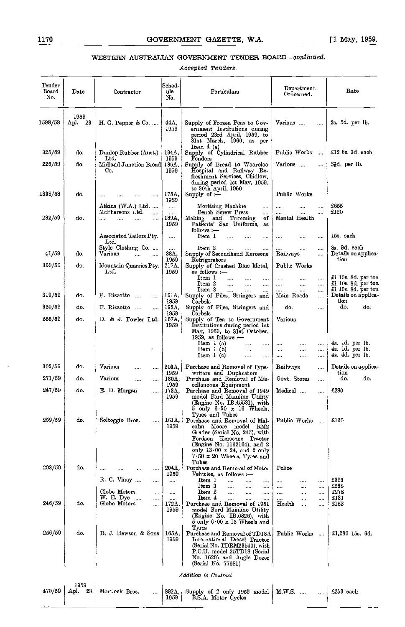# WESTERN AUSTRALIAN GOVERNMENT TENDER BOARD-continued.

Accepted Tenders.

| Tender<br>Board<br>No. | Date                 | Contractor                                                                                | Sched-<br>ule<br>No.          | Particulars                                                                                                                                                                                                                        | Department<br>Concerned.                                                             | Rate                                                  |
|------------------------|----------------------|-------------------------------------------------------------------------------------------|-------------------------------|------------------------------------------------------------------------------------------------------------------------------------------------------------------------------------------------------------------------------------|--------------------------------------------------------------------------------------|-------------------------------------------------------|
| 1598/58                | 1959<br>- 23<br>Apl. | H. G. Pepper & Co.                                                                        | 44 A.<br>1959                 | Supply of Frozen Peas to Gov-<br>ernment Institutions during<br>period 23rd April, 1959, to<br>31st March, 1960, as per<br>Item $4(a)$                                                                                             | Various<br>$\ldots$                                                                  | $2s.5d.$ per $lb.$                                    |
| 325/59                 | do.                  | Dunlop Rubber (Aust.)                                                                     | 194A,                         | Supply of Cylindrical Rubber                                                                                                                                                                                                       | Public Works                                                                         | £12 6s. 3d. each                                      |
| 226/59                 | do.                  | Ltd.<br>Midland Junction Bread<br>Co.                                                     | 1959<br>186A,<br>1959         | Fenders<br>Supply of Bread to Wooroloo<br>Hospital and Railway Re-<br>freshment Services, Chidlow,<br>during period 1st May, 1959,<br>to 30th April, 1960                                                                          | Various<br>$\ddotsc$                                                                 | 5}d. per lb.                                          |
| 1338/58                | do.                  |                                                                                           | 175A,<br>1959                 | Supply of $:$ $-$                                                                                                                                                                                                                  | Public Works                                                                         |                                                       |
| 282/59                 | do.                  | Atkins (W.A.) Ltd.<br>McPhersons Ltd.<br>$\cdots$<br>$\cdots$<br>$\cdots$<br>$\cdots$<br> | $\cdots$<br><br>189A,<br>1959 | Mortising Machine<br><br>Bench Screw Press<br><br>Making and Trimming<br>оf<br>Patients' Sac Uniforms,<br>as<br>$follows :=$                                                                                                       | <br>$\cdots$<br>$\cdots$<br>$\cdots$<br>Mental Health                                | $\pounds 655$<br>£120                                 |
|                        |                      | Associated Tailors Pty.<br>Ltd.                                                           |                               | Item 1<br>$\sim$                                                                                                                                                                                                                   | $\ddotsc$<br><br>                                                                    | 15s. each                                             |
| 41/59                  | do.                  | Style Clothing Co.<br>Various                                                             | <br>38A,<br>1959              | Item 2<br>$\cdots$<br>$\cdots$<br><br>Supply of Secondhand Kerosene<br>Refrigerators                                                                                                                                               | <br><br><br>Railways<br>                                                             | 8s. 9d. each<br>Details on applica-<br>tion           |
| 359/59                 | do.                  | Mountain Quarries Pty.<br>Ltd.                                                            | 217A,<br>1959                 | Supply of Crushed Blue Metal,<br>as follows :-<br>$_{\rm{Item~1}}$<br>$\cdots$<br>$\cdots$<br>$\cdots$<br>Item 2<br>$\cdots$<br>$\cdots$<br>                                                                                       | Public Works<br>$\cdots$<br>$\cdots$<br>$\cdots$<br>$\cdots$<br>$\cdots$<br>$\cdots$ | £1 10s. 8d. per ton<br>£1 10s. 8d. per ton            |
| 319/59                 | do.                  | F. Rizzotto<br>$\ddotsc$                                                                  | 191A,                         | Item 3<br>$\cdots$<br>$\cdots$<br>Supply of Piles, Stringers and                                                                                                                                                                   | <br>$\ddotsc$<br>Main Roads<br>$\ldots$                                              | £1 10s. 8d. per ton<br>Details on applica-            |
| 320/59                 | do.                  | F. Rizzotto<br>$\cdots$                                                                   | 1959<br>192A,                 | Corbels<br>Supply of Piles, Stringers and                                                                                                                                                                                          | do.<br>$\cdots$                                                                      | tion<br>do.<br>do.                                    |
| 255/59                 | do.                  | D. & J. Fowler Ltd.                                                                       | 1959<br>167A,<br>1959         | Corbels<br>Supply of Tea to Government<br>Institutions during period 1st<br>May, 1959, to 31st October,                                                                                                                            | Various                                                                              |                                                       |
|                        |                      |                                                                                           |                               | 1959, as follows $:$ ---<br>Item $1(a)$<br>$\cdots$<br>Item 1 (b)<br>$\overline{1}$<br>$\cdots$<br>Item $1$ (c)<br>$\ldots$<br>$\ldots$                                                                                            | <br><br>$\cdots$<br><br>$\ddotsc$<br>$\cdots$<br><br>$\ddotsc$<br>$\ddotsc$          | 4s. 1d. per lb.<br>4s. 1d. per lb.<br>4s. 4d. per lb. |
| 302/59                 | do.                  | Various<br><br>                                                                           | 203A,<br>1959                 | Purchase and Removal of Type-<br>writers and Duplicators                                                                                                                                                                           | Railways<br>                                                                         | Details on applica-<br>tion                           |
| 271/59                 | do.                  | Various<br><br>                                                                           | 180A,<br>1959                 | Purchase and Removal of Mis-<br>cellaneous Equipment                                                                                                                                                                               | Govt. Stores<br>                                                                     | do.<br>do.                                            |
| 247/59                 | do.                  | E. D. Morgan<br>                                                                          | 173A,<br>1959                 | Purchase and Removal of 1949<br>model Ford Maiuline Utility<br>(Engine No. IB.45531), with<br>$5$ only $6.50 \times 16$ Wheels,<br>Tyres and Tubes                                                                                 | Medical<br>$\ldots$                                                                  | £280                                                  |
| 259/59                 | do.                  | Soltoggio Bros.<br>$\cdots$                                                               | 161A,<br>1959                 | Purchase and Removal of Mal-<br>colm Moore model<br>RM2<br>Grader (Serial No. 245), with<br>Fordson Kerosene Tractor<br>(Engine No. 1162164), and 2<br>only $13.00 \times 24$ , and 2 only<br>7 50 x 20 Wheels, Tyres and<br>Tubes | Public Works                                                                         | £160                                                  |
| 293/59                 | do.                  | $\cdots$                                                                                  | 204A,<br>1959                 | Purchase and Removal of Motor<br>Vehicles, as follows :—                                                                                                                                                                           | Police                                                                               |                                                       |
|                        |                      | R. C. Viney<br><br>Globe Motors<br>                                                       | $\cdots$                      | Item 1<br>$\ddotsc$<br><br>Item 3<br>$\cdots$<br>Item 2<br><br>                                                                                                                                                                    | $\cdots$<br><br>$\cdots$<br><br><br>$\cdots$                                         | £396<br>£268<br>£278                                  |
| 246/59                 | do.                  | W. E. Dye<br>$\cdots$<br><br>Globe Motors<br>                                             | <br><br>172A<br>1959          | $\cdots$<br>Item 4<br>.<br><br>Purchase and Removal of 1951<br>model Ford Mainline Utility<br>(Engine No. IB.6826), with<br>$5$ only $6 \cdot 00 \times 16$ Wheels and                                                             | <br><br><br>$\cdots$<br>Health<br><br>                                               | £131<br>£152                                          |
| 256/59                 | do.                  | R. J. Hewson & Sons                                                                       | 165A,<br>1959                 | Tyres<br>Purchase and Removal of TD18A<br>International Diesel Tractor<br>(Serial No. TDRM23540), with<br>P.C.U. model 25TD18 (Serial<br>No. 1629) and Angle Dozer<br>(Serial No. 77681)                                           | Public Works<br>$\sim$ and $\sim$                                                    | £1,280 15s. 6d.                                       |

| 1959 | $470/59$ Apl. 23 Mortlock Bros. |  | 892A, Supply of 2 only 1959 model M.W.S.  1959 $\left  \right.$ M.W.S. |  | $\ldots$ £253 each |  |
|------|---------------------------------|--|------------------------------------------------------------------------|--|--------------------|--|
|      |                                 |  |                                                                        |  |                    |  |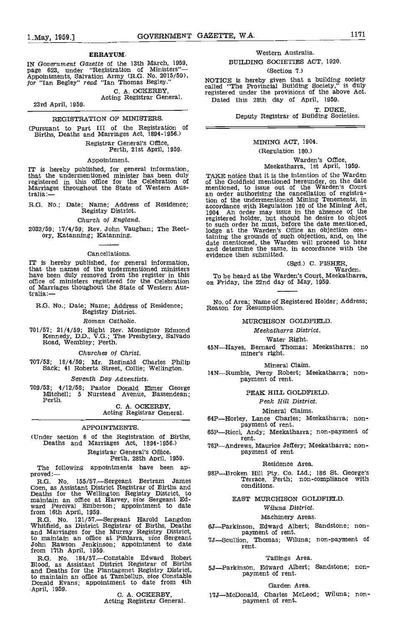#### ERRATUM.

IN Government Gazette of the 13th March, 1959, page 623, under 'Registration of Ministers" Appointments, Salvation Army (R.G. No. 2015/59),<br>for "Ian Begley" read "Ian Thomas Begley."

C. A. OCKERBY, Acting Registrar General.

23rd April, 1959.

# REGISTRATION OF MINISTERS.

(Pursuant to Part III of the Registration of Births, Deaths and Marriages Act, 1894-1956.)

Registrar General's Office, Perth, 21st April, 1959.

Appointment.

IT is hereby published, for general information, that the undermentioned minister has been duly registered in this office for the Celebration of of<br>Marriages throughout the State of Western Aus-<br>tralia:— an

R.G. No.; Date; Name; Address of Residence; Registry District.

Church of England.

2032/59; 17/4/59; Rev. John Vaughan; The Rect- ory, Katanning; Katanning.

#### Cancellations.

IT is hereby published, for general information, that the names of the undermentioned ministers have been duly removed from the register in this To b<br>office of ministers registered for the Celebration on Fri of Marriages thoughout the State of Western Aus-<br>tralia:—

R.G. No,; Date; Name; Address of Residence; Registry District.

Roman Catholic.

'101/57; 21/4/59; Right Rev. Monsignor Edmond Kennedy, D.D., V.G.; The Presbytery, Salvado Road, Wembley; Perth.

Churches of Christ.

'107/53; 18/4/59; Mr. Reginald Charles Philip Sack; 41 Roberts Street, Collie; Wellington.

Seventh Day Adventists.

709/53; 4/12/58; Pastor Donald Elmer George MItchell; <sup>5</sup> Nurstead Avenue, Bassendean; Perth.

C. A. OCKERBY, Acting Registrar General.

#### APPOINTMENTS.

(Under section 6 of the Registration of Births, Deaths and Marriages Act, 1894-1956.)

# Registrar General's Office, Perth, 28th April, 1959.

The following appointments have been ap-<br>proved:— $R$ .G. No 155/57.—Sergeant Bertram James

155/57. Sergeant Bertram Coen, as Assistant District Registrar of Births and Deaths for the Wellington Registry District, to maintain an office at Harvey, vice Sergeant Edward Percival Emberson; appointment to date<br>from 16th April, 1959.

R.G. No.  $121/57$ —Sergeant Harold Langdon<br>Whitfield, as District Registrar of Births, Deaths 6J—Pa<br>and Marriages for the Murray Registry District,<br>to maintain an office at Pinjarra, vice Sergeant  $7J$ —Sc<br>John Rawson Jenki from 17th April, 1959.

R.G. No. 184/57.-Constable Edward Robert Blood, as Assistant District Registrar of Births<br>and Deaths for the Plantagenet Registry District,<br>to maintain an office at Tambellup, *vice* Constable<br>Donald Evans; appointment to date from 4th<br>April, 1959.<br>C. A. OCKERBY,

# Western Australia. BUILDING SOCIETIES ACT, 1920.

### (Section 7.)

NOTICE is hereby given that a building society called "The Provincial Building Society," is duly registered under the provisions of the above Act. Dated this 28th day of April, 1959.

> T. DUKE Deputy Registrar of Building Societies.

# MINING ACT, 1904.

#### (Regulation 180.)

Warden's Office, Meekatharra, 1st April, 1959.

TAKE notice that it is the intention of the Warden of the Goldfleld mentioned hereunder, on the date mentioned, to issue out of the Warden's Court an order authorising the cancellation of registration of the undermentioned Mining Tenements, in accordance with Regulation 180 of the Mining Act, 1904 An order may issue in the absence of the registered holder, but should he desire to object to such order he must, before the date mentioned, lodge at the Warden's Office an objection containing the grounds of such objection, and, on the date mentioned, the Warden will proceed to hear and determine the same, in accordance with the evidence then submitted.

(Sgd.) C. FISHER, Warden.

To be heard at the Warden's Court, Meekatharra, on Friday, the 22nd day of May, 1959.

No. of Area; Name of Registered Holder; Address; Reason for Resumption.

# MURCHISON GOLDFIELD.

Meekatharra District.

Water Right.<br> 45N—Hayes, Bernard Thomas; Meekatharra; no<br> miner's right.

Mineral Claim.

14N-Rumble, Percy Robert; Meekatharra; non-<br>payment of rent.

PEAK HILL GOLDFIELD

#### Peak Hill District.

Mineral Claims.<br>64P—Horley, Lance Charles; Meekatharra; non-

payment of rent.<br>65P—Ricci, Andy; Meekatharra; non-payment of rent.

76PAndrews, Maurice Jeffery; Meekatharra; non- payment of rent.

#### Residence Area.

98P-Broken Hill Pty. Co. Ltd.; 186 St. George's Terrace, Perth; non-compliance with conditions.

EAST MURCHISON GOLDFIELD.

Wiluna District.

# Machinery Areas.

6J—Parkinson, Edward Albert; Sandstone; non-<br>payment of rent.<br>7J—Scullion, Thomas; Wiluna; non-payment of

rent.

# Tailings Area.

5J-Parkinson, Edward Albert; Sandstone; non-<br>payment of rent.

## Garden Area.

17J-McDonald, Charles McLeod; Wiluna; non-<br>payment of rent,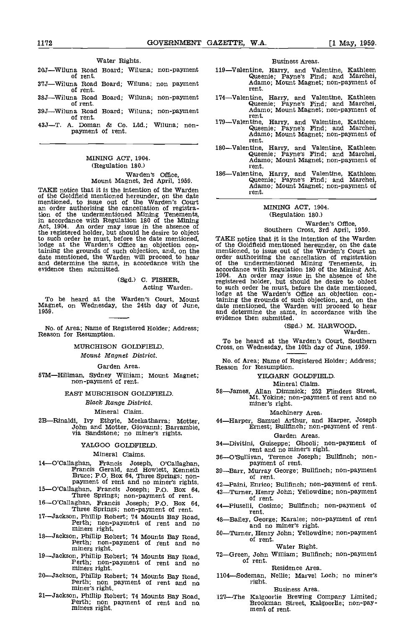## Water Rights.

| 20J—Wiluna Road Board; Wiluna; non-payment<br>of rent. |  |                               | 11 |
|--------------------------------------------------------|--|-------------------------------|----|
| 37J—Wiluna Road Board; Wiluna; non payment<br>of rent. |  |                               |    |
| 38J—Wiluna Road Board; Wiluna; non-payment<br>of rent. |  |                               | 1' |
| 39J—Wiluna Road Board; Wiluna; non-payment<br>of rent. |  |                               | 1' |
| $127$ m                                                |  | A Doman & Co Itd. Willing non |    |

43J.T. A. Doman & Co. Ltd.; Wiluna; non- payment of rent.

# MINING ACT, 1904. (Regulation 180.) Warden's office, Mount Magnet, 3rd April, 1959.

TAKE notice that it is the intention of the Warden of the Goldfield mentioned hereunder, on the date of the Goldfleld mentioned hereunder, on the date mentioned, to issue out of the Warden's Court an order authorising the cancellation of registration of the undermentioned Mining Tenements, in accordance with Regulation 180 of the Mining Act, 1904. An order may issue in the absence of the registered holder, but should he date mentioned, TAKE notice that it is the intention of the Warden lodge at the Warden's Office an objection con-<br>lodge at the Warden's Office an objection con-<br>of the Goldfield mention taining the grounds of such objection, and, on the date mentioned, the Warden will proceed to hear and determine the same, in accordance with the evidence then submitted,

> (Sgd.) C. FISHER, Acting Warden.

To be heard at the Warden's Court, Mount Magnet, on Wednesday, the 24th day of June 1959.

No. of Area; Name of Registered Holder; Address; Reason for Resumption.

MURCHISON GOLDFIELD

Mount Magnet District.

Garden Area.

57M-Hiliman, Sydney William; Mount Magnet; non-payment of rent.

EAST MURCHISON GOLOFIELD.

Black Range District.

# Mineral Claim.

2B-Rinaldi, Ivy Ethyle, Meekatharra; Motter, John and Motter, Giovanni; Barrambie, via Sandstone; no miner's rights.

# YALGOO GOLDFIELD.

# Mineral Claims.

- 14-O'Callaghan, Francis Joseph, O'Callaghan, Francis Gerald, and Howlett, Kenneth Bruce; P.O. Box 64, Three Springs; non-<br>payment of rent and no miner's rights.<br>15-O'Callaghan, Francis Joseph; P.O. Box 64, Three Springs; n
- 
- 16-O'Callaghan, Francis Joseph; P.O. Box 64,<br>Three Springs; non-payment of rent.<br>17-Jackson, Phillip Robert; 74 Mounts Bay Road,
- Perth; non-payment of rent and no<br>miners right.<br>18—Jackson, Phillip Robert; 74 Mounts Bay Road,
- 1811 Months Bay Road, Perth; non-payment of rent and no miners right.
- 19-Jackson, Phillip Robert; 74 Mounts Bay Road,<br>Perth; non-payment of rent and no<br>miners right.<br>20-Jackson, Phillip Robert; 74 Mounts Bay Road,
- 21-Jackson, Phillip Robert; 74 Mounts Bay Road, Perth; non payment of rent and no
- Perth; non payment of rent and no, miners right.

#### Business Areas.

- 119-Valentine, Harry, and Valentine, Kathleen Queenie; Payne's Find; and Marchei, Adamo; Mount Magnet; non-payment of rent.<br>rent.
- 174-Valentine, Harry, and Valentine, Kathleen Queenie; Payne's Find; and Marchei, Adamo; Mount Magnet; non-payment of rent.
- 179-Valentine, Harry, and Valentine, Kathleen Queenie; Payne's Find; and Marchei, Adamo; Mount Magnet; non-payment of rent.
- 180-Valentine, Harry, and Valentine, Kathleen Queenie; Payne's Find; and Marchei, Adamo; Mount Magnet; non-payment of rent.
- 186-Valentine, Harry, and Valentine, Kathleen Queenie; Payne's Find; and Marchei, Adamo; Mount Magnet; non-payment of rent. Queenie; Payne's Find; and Marchei,<br>Adamo; Mount Magnet; non-payment of

# MINING ACT, 1904, (Regulation 180.)

# Warden's Office, Southern Cross, 3rd April, 1959.

TAKE notice that it is the intention of the Warden of the Goldfleld mentioned hereunder, on the date mentioned, to issue out of the Warden's Court an order authorising the cancellation of registration of the undermentioned Mining Tenements, in accordance with Regulation 180 of the Mining Act, 1904. An order may issue in the absence of the registered holder, but should he desire to object to such order he must, before the date mentioned, lodge at the Warden's Office an objection containing the grounds of such objection, and, on the date mentioned, the Warden will proceed to hear and determine the same, in accordance with the evidence then submitted.

# (Sgd.) M. HARWOOD, Warden.

To be heard at the Warden's Court, Southern Cross, on Wednesday, the 10th day of June, 1959.

No. of Area; Name of Registered Holder; Address; Reason for Resumption.

#### YILGARN GOIDFIELD

# Mineral Claim.

58-James, Allan Dimmick; 252 Flinders Street, Mt. Yokine; non-payment of rent and no miner's right.

Machinery Area.<br>44—Harper, Samuel Arthur, and Harper, Joseph<br>Ernest; Bullfinch; non-payment of rent.

# Garden Areas.

- 34-Divitini, Guiseppe; Ghooli; non-payment of rent and no miner's right.
- 36-O'Sullivan, Terence Joseph; Bullfinch; non- payment of rent.
- 39-Barr, Murray George; Bullfinch; non-payment of rent.
- 42-Faini, Enrico; Bullfinch; non-payment of rent.
- 43-Turner, Henry John; Yellowdine; non-payment of rent.
- 44-Piuselli, Cosimo; Bullfinch; non-payment of rent.
- 48-Bailey, George; Karalee; non-payment of rent and no miner's right.
- 50-Turner, Henry John; Yellowdine; non-payment of rent.

#### Water Right.

72-Green, John William; Bullfinch; non-payment of rent.

# Residence Area.

1 l04-Sodeman, Nellie; Marvel Loch; no miner's right.

#### Business Area.

127---The Kalgoorlie Brewing Company Limited; Brookman Street, Kalgoorlie; non-pay-<br>ment of rent.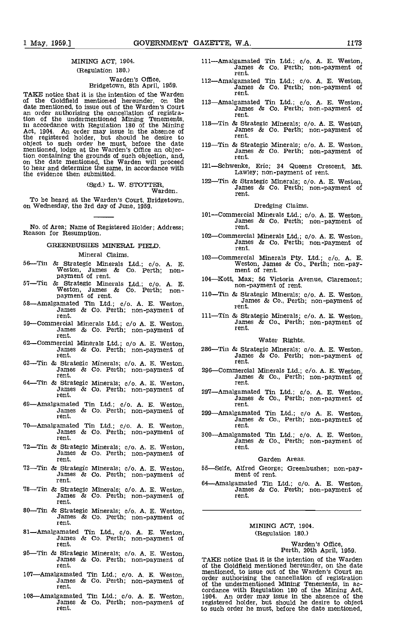# MINING ACT, 1904. (Regulation 180.)

# Warden's Office, Eridgetown, 8th April, 1959.

TAKE notice that it is the intention of the Warden of the Goldfield mentioned hereunder, on the date mentioned, to issue out of the Warden's Court tion of the undermentioned Mining Tenements,<br>in accordance with Regulation 180 of the Mining 118—T<br>Act, 1904. An order may issue in the absence of the registered holder, but should he desire to object to such order he must, before the date mentioned, lodge at the Warden's Office an objection containing the grounds of such objection, and,<br>on the date mentioned, the Warden will proceed<br>to hear and determine the same, in accordance with 121—S the evidence then submitted.

(Sgd.) L. W. STOTTER, Warden.

To be heard at the Warden's Court, Bridgetown, on Wednesday, the 3rd day of June, 1959.

No. of Area; Name of Registered Holder; Address; Reason for Resumption,

# GREENBUSHES MINERAL FIELD

#### Mineral Claims.

- 56—Tin & Strategic Minerals Ltd.; c/o. A. E.<br>Weston, James & Co. Perth; non-<br>payment of rent.
- 57—Tin & Strategic Minerals Ltd.; c/o. A. E. Weston, James & Co. Perth; non-<br>payment of rent.<br>58—Amalgamated Tin Ltd.; c/o. A. E. Weston, James & Co. Perth; non-payment of
- rent.
- 59-Commercial Minerals Ltd.; c/o A. E. Weston, James & Co. Perth; non-payment of rent.
- 62—Commercial Minerals Ltd.; c/o A. E. Weston,<br>James & Co. Perth; non-payment of 286<br>rent.
- 63-Tin & Strategic Minerals; c/o. A. E. Weston, James & Co. Perth; non-payment of rent.
- 64—Tin & Strategic Minerals; c/o. A. E. Weston,<br>James & Co. Perth; non-payment of perth.
- 69—Amalgamated Tin Ltd.; c/o. A. E. Weston, James & Co. Perth; non-payment of rent. James & Co. Perth; non-payment of
- 70—Amalgamated Tin Ltd.; c/o. A. E. Weston,<br>James & Co. Perth; non-payment of source.<br>rent.
- 72—Tin & Strategic Minerals;  $c/o$ . A. E. Weston, James & Co. Perth; non-payment of rent.
- 73—Tin & Strategic Minerals; c/o. A. E. Weston, James & Co. Perth; non-payment of rent.
- 18The 18The Controller of the Control of the Control of Times & Co. Performal and Strategic Minerals; c/o. A. E. Weston, James & Co. Perth; non-payment of the control of the control of the control of the control of the con rent.
- 80—Tin & Strategic Minerals; c/o. A. E. Weston, James & Co. Perth; non-payment of rent.
- 81—Amalgamated Tin Ltd., c/o. A. E. Weston,<br>James & Co. Perth; non-payment of<br>rent.
- 95—Tin & Strategic Minerals; c/o. A. E. Weston,<br>James & Co. Perth; non-payment of TA<br>rent. of
- 107—Amalgamated Tin Ltd.; c/o. A. E. Weston, James & Co. Perth; non-payment of rent. James & Co. Perth; non-payment of
- 108—Amalgamated Tin Ltd.; c/o. A. E. Weston,<br>James & Co. Perth; non-payment of rent.
- 111Amalgamated Tin Ltd.; c/o. A. Fl. Weston, James & Co. Perth; non-payment of rent.
- 112—Amalgamated Tin Ltd.; c/o. A. E. Weston,<br>James & Co. Perth; non-payment of rent.
- 113—Amalgamated Tin Ltd.; c/o. A. E. Weston,<br>James & Co. Perth; non-payment of rent.
- 118—Tin & Strategic Minerals; c/o. A. E. Weston, James & Co. Perth; non-payment of rent.
- 119—Tin & Strategic Minerals; c/o. A. E. Weston, James & Co. Perth; non-payment of rent.
- 121-Schwenke, Eric; 34 Queens Crescent, Mt.<br>Lawley; non-payment of rent.
- 122—Tin & Strategic Minerals; c/o. A. E. Weston, James & Co. Perth; non-payment of rent. James & Co. Perth; non-payment of

Dredging Claims.

- 101-Commercial Minerals Ltd.; c/o. A. E. Weston, James & Co. Perth; non-payment of rent.
- 102—Commercial Minerals Ltd.; c/o. A. E. Weston, James & Co. Perth; non-payment of rent.
- 103-Commercial Minerals Pty. Ltd.; c/o. A. E. Weston, James & Co., Perth; non-pay- ment of rent.
- 104Kott, Max; 56 Victoria Avenue, Claremont; non-payment of rent.
- 110—Tin & Strategic Minerals; c/o. A. E. Weston,<br>James & Co., Perth; non-payment of<br>rent.
- 111—Tin & Strategic Minerals; c/o. A. E. Weston, James & Co., Perth; non-payment of rent.

#### Water Rights.

- 286—Tin & Strategic Minerals; c/o. A. E. Weston, James & Co. Perth; non-payment of rent.
- 296-Commercial Minerals Ltd.; c/o. A. E. Weston, James & Co., Perth; non-payment of rent.
- 297—Amalgamated Tin Ltd.; c/o. A. E. Weston,<br>James & Co., Perth; non-payment of<br>rent.
- 299Amalgamated Tin Ltd.; c/o A. E. Weston, James & Co. Perth; non-payment of rent.
- 300Amalgamated Tin Ltd.; c/o. A. Fl. Weston, James & Co. Perth; non-payment of rent.

#### Garden Areas.

- 55Selfe, Alfred George; Greenbushes; non-pay- ment of rent.
- amated Tin Ltd.; c/o. A. E. Weston, James & Co. Perth; non-payment of rent.

# MINING ACT, 1904. (Regulation 180.)

# Warden's Office, Perth, 20th April, 1959.

TAKE notice that it is the intention of the Warden of the Goldfield mentioned hereunder, on the date mentioned, to issue out of the Warden's Court an order authorising the cancellation of registration of the undermentioned Mining Tenements, in ac- cordance with Regulation 180 of the Mining Act, 1904. An order may issue in the absence of the registered holder, but should he desire to object to such order he must, before the date mentioned,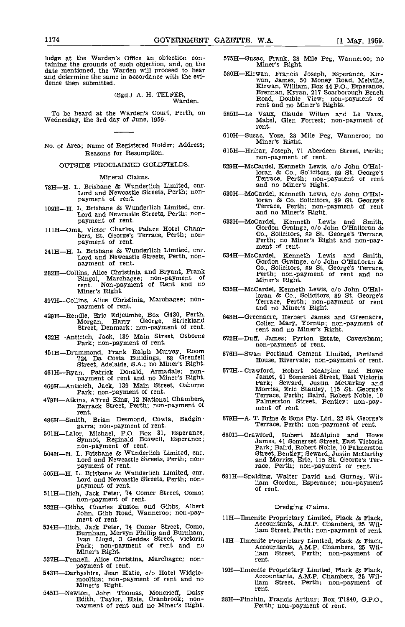lodge at the Warden's Office an objection containing the grounds of such objection, and, on the date mentioned, the Warden will proceed to hear and determine the same in accordance with the evidence then submitted.

(Sgd.) A. H. TELFER, Warden.

To be heard at the Warden's Court, Perth, on 585H—Le Wednesday, the 3rd day of June, 1959.

No. of Area; Name of Registered Holder; Address; Reasons for Resumption.

## OUTSIDE PROCLAIMED GOLDFIELDS.

#### Mineral Claims.

- 7811-H. L. Brisbane & Wunderlich Limited, cnr. Lord and Newcastle Streets, Perth; non- payment of rent.
- 10911-H. L. Brisbane & Wunderlich Limited, cnr. Lord and Newcastle Streets, Perth; non- payment of rent.
- 11111-Oma, Victor Charles, Palace Hotel Cham- bers, St. George's Terrace, Perth; non- payment of rent.
- 24111-H. L. Brisbane & Wunderlich Limited, cnr. Lord and Newcastle Streets, Perth, non- payment of rent.
- 28211-Collins, Alice Christinia and Bryant, Frank Ringol, Marchagee; non-payment of rent. Non-payment of Rent and no Miner's Right.
- 39711-Collins, Alice Christinia, Marchagee; non- payment of rent.
- 429H-Rendle, Eric Edjcumbe, Box 0430, Perth, Morgan, Harry George, Strickland Street, Denmark; non-payment of rent.
- 432H-Anticich, Jack, 139 Main Street, Osborne Park; non-payment of rent.
- 451H-Drummond, Frank Ralph Murray, Room 724 IDa Costa Buildings, 68 Grenfell Street, Adelaide, S.A.; no Miner's Right.
- 46111-Ryan, Patrick Donald, Armadale; non-payment of rent and no Miner's Right.
- 469H-Anticich, Jack, 139 Main Street, Osborne Park; non-payment of rent.
- 47911-Atkins, Alfred King, 12 NatIonal Chambers, Barrack Street, Perth; non-payment of
- rent.<br>186H—Smith, Brian Desmond, Cowla, Badgin-<br>186H—Smith, Brian Desmond, Cowla, Badgin-
- 48611-Ealor, Michael, P.O. Box 31, Esperance, Synnot, Reginald Boswell, Esperance; non-payment of rent. 504H-H. L. Brisbane & Wunderlich Limited, cnr.
- 
- Lord and Newcastle Streets, Perth; non-<br>payment of rent.<br>505H—H. L. Brisbane & Wunderlich Limited, cnr.<br>Lord and Newcastle Streets, Perth; non-<br>payment of rent.<br>511H—Ilich, Jack Peter, 74 Comer Street, Como;<br>non-payment of
- 
- 532H-Gibbs, Charles Euston and Gibbs, Albert John, Gibb Road, Wanneroo; non-pay-<br>ment of rent.
- 534H-Illch, Jack Peter, 74 Comer Street, Como, Burnham, Mervyn Phillip and Burnham, Ivan Lloyd, 3 Geddes Street, Victoria Park' non-payment of rent and no Miner's Right.<br>537H—Fennell, Alice Christina, Marchagee; non-
- 
- 543H-Fennell, Alice Christian, Marchael, Alice Christian, Marchael, Alice Christian, Marchael, Jean Katie, do Hotel Widgie-<br>mooltha; non-payment of rent and no<br>Miner's Right.
- 54511-Newton, John Thomas, Moncrieff, Daisy Edith, Taylor, Elsie, Cranbrook; non- payment of rent and no Miner's Right,
- 575H-Susac, Frank, 28 Mile Peg, Wanneroo; no Miner's Right,
- 580H-Kirwan, Francis Joseph, Esperance, Kir- wan, James, 50 Money Road, Melville, Kirwan, William, Box 44 P.O., Esperance, Brennan, Kyran, 217 Scarborough Beach Road, Double View; non-payment of rent and no Miner's Rights.
- 585H-Le Vaux, Claude Wilton and Le Vaux, Mabel, Glen Forrest; non-payment of rent.
- 610H-Susac, Yoze, 28 Mile Peg, Wanneroo; no Miner's Right.
- 615H-Hribar, Joseph, 71 Aberdeen Street, Perth;<br>non-payment of rent.
- 629H-McCardel, Kenneth Lewis, c/o John O'Halloran & Co., Solicitors, 89 St. George's Terrace, Perth; non-payment of rent and no Miner's Right.
- 630H-McCardel, Kenneth Lewis, c/o John O'Halloran & Co. Solicitors. 89 St. George's Terrace, Perth; non-payment of rent and no Miner's Right.
- 633H-McCardel, Kenneth Lewis and Smith, Gordon Grainge, do John O'Halloran & Co., Solicitors, 89 St. George's Terrace. Perth; no Miner's Right and non-pay- ment of rent.
- 634H-McCardel, Kenneth Lewis and Smith, Gordon Grainge, do John O'Halloran & Co., Solicitors, 89 St. George's Terrace, Perth; non-payment of rent and no Miner's Right.
- 635H-McCardel, Kenneth Lewis, c/o John O'Halloran & Co., Solicitors, 89 St. George's Terrace, Perth; non-payment of rent and no Miner's Right.
- 648H-Greenacre, Herbert James and Greenacre, Cohen Mary, Yornup' non-payment of rent and no Miner's Right.
- 61211-Duff, James; Pyrton Estate, Caversham; non-payment of rent.
- 67611-Swan Portland Cement Limited, Portland House, Rivervale; non-payment of rent.
- 67711-Crawford, Robert McAlpine and Howe James, 41 Somerset Street, East Victoria Park; Seward, Justin McCarthy and Morriss, Eric Stanley, 115 St. George's Terrace, Perth; Baird, Robert Noble, 10 Palmerston Street, Bentley; non-pay-<br>ment of rent.
- 679H-A. T, Brine & Sons Pty. Ltd., 22 St. George's Terrace, Perth; non-payment of rent.
- 680H-Crawford, Robert MoAlpine and Howe James, 41 Somerset Street, East Victoria Park; Baird, Robert Noble, 10 Palmerston Street, Bentley; Seward, Justin McCarthy and Morriss, ErIc, 115 St. George's Ter- race, Perth; non-payment or rent.
- 68 1H-Spalding, Walter David and Gurney, Wil- ham Gordon, Esperance; non-payment of rent.

# Dredging Claims.

- 1111-Ilmenite Proprietary Limited, Flack & Flack, Accountants, A.M.P. Chambers, 25 William Street, Perth; non-payment of rent.
- 13H-Ilmenite Proprietary Limited, Flack & flack, Accountants, A.M.P. Chambers, 25 William Street, Perth; non-payment of rent.
- 1911-Ilmenite Proprietary Limited, Flack & flack, Accountants, AMP. Chambers, 25 William Street, Perth; non-payment of rent.
- 2811-Pinchin, Francis Arthur; Box T1840, G.P.O., Perth; non-payment of rent.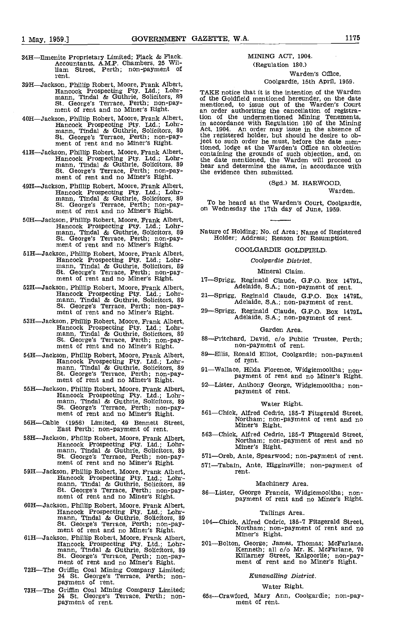- 34H—Ilmenite Proprietary Limited; Flack & Flack.<br>Accountants, A.M.P. Chambers, 25 Wil-11am Street, Perth; non-payment of rent.
- 39H—Jackson, Phillip Robert, Moore, Frank Albert, Hancock Prospecting Pty. Ltd.; Lohr-<br>mann, Tindal & Guthrie, Solicitors, 89<br>St. George's Terrace, Perth; non-pay-<br>ment of rent and no Miner's Right.
- 40H-Jackson, Phillip Robert, Moore, Frank Albert, Hancock Prospecting Pty. Ltd.; Lohrmann, Tindal & Guthrie, Solicitors, 89<br>
St. George's Terrace, Perth; non-pay-<br>
ment of rent and no Miner's Right.
- 41H-Jackson, Phillip Robert, Moore, Frank Albert,<br>Hancock Prospecting Pty. Ltd.; Lohrmann, Tindal & Guthrie, Solicitors, 89 Stear and no Miner's Right.<br>St. George's Terrace, Perth; non-pay-<br>ment of rent and no Miner's Right.
- 49H-Jackson, Phillip Robert, Moore, Frank Albert, (Sga.) M. HARWOOD,<br>Hancock Prospecting Pty. Ltd.; Lohr-<br>mann, Tindal & Guthrie, Solicitors, 89<br>St. George's Terrace, Perth; non-pay- ment of rent and no Miner's Right. on W
- 50H—Jackson, Phillip Robert, Moore, Frank Albert,  $\footnotesize \begin{array}{ll} \text{Hancock} \end{array}$  Prospecting Pty. Ltd.; Lohr-<br>
mann, Tindal & Guthrie, Solicitors, 89 Nature of Holding; No. of Area; Name of Registe<br>
St. George's Terrace, Perth;
- MIX-Jackson, Phillip Robert, Moore, Frank Albert, Hancock Prospecting Pty. Ltd.; Lohr-<br>mann, Tindal & Guthrie, Solicitors, 89<br>St. George's Terrace, Perth; non-pay-<br>ment of rent and no Miner's Right.
- 52H—Jackson, Phillip Robert, Moore, Frank Albert, Hancock Prospecting Pty. Ltd.; Lohrmann, Tindal & Guthrie, Solicitors, 89<br>
St. George's Terrace, Perth; non-pay-<br>
ment of rent and no Miner's Right.
- 53H—Jackson, Phillip Robert, Moore, Frank Albert, Hancock Prospecting Pty. Ltd.; Lohr-<br>mann, Tindal & Guthrie, Solicitors, 89<br>St. George's Terrace, Perth; non-pay-<br>ment of rent and no Miner's Right.
- 54H—Jackson, Phillip Robert, Moore, Frank Albert, Hancock Prospecting Pty. Ltd.; Lohr-<br>mann, Tindal & Guthrie, Solicitors, 89<br>St. George's Terrace, Perth; non-pay-<br>ment of rent and no Miner's Right.
- 55H—Jackson, Phillip Robert, Moore, Frank Albert,<br>Hancock Prospecting Pty. Ltd.; Lohrmann, Tindal & Guthrie, Solicitors, 89<br>St. George's Terrace, Perth; non-pay-<br>ment of rent and no Miner's Right. 561—C
- 5611cable (1956) Limited, 49 Bennett Street, East Perth; non-payment of rent.
- 58H—Jackson, Phillip Robert, Moore, Frank Albert, Hancock Prospecting Pty. Ltd.; Lohr-<br>mann, Tindal & Guthrie, Solicitors, 89<br>St. George's Terrace, Perth; non-pay-<br>ment of rent and no Miner's Right.
- 59H—Jackson, Phillip Robert, Moore, Frank Albert,<br>Hancock Prospecting Pty. Ltd.; Lohrmann, Tindal & Guthrie, Solicitors, 89<br>St. George's Terrace, Perth; non-pay-<br>ment of rent and no Miner's Right. 86—Li
- 6011Jackson, Phillip Robert, Moore, Frank Albert, Hancock Prospecting Pty. Ltd.; Lohrmann, Tindal & Guthrie, Solicitors, 89<br>St. George's Terrace, Perth; non-pay- 104—C<br>ment of rent and no Miner's Right.
- 61H-Jackson, Phillip Robert, Moore, Frank Albert, mancock Prospecting Pty. Ltd.; Lohr-<br>manno, Tindal & Guthrie, Solicitors, 89<br>St. George's Terrace, Perth; non-pay-<br>ment of rent and no Miner's Right.
- 7211The Griffin coal Mining Company Limited; 24 St. George's Terrace, Perth; non- payment of rent.
- 73H-The Griffin Coal Mining Company Limited; 24 St. George's Terrace, Perth; non-<br>payment of rent.

# MINING ACT, 1904.

# (Regulation 180.) Warden's Office,

# Coolgardie, 15th April, 1959.

TAKE notice that it is the intention of the Warden of the Goldfleld mentioned hereunder, on the date mentioned, to issue out of the Warden's Court an order authorising the cancellation of registration of the undermentioned Mining Tenements, in accordance with Regulation 180 of the Mining Act, 1904. An order may issue in the absence of the registered holder, but should he desire to object to such order he must, before the date men-tioned, lodge at the Warden's Office an objection containing the grounds of such objection, and, on the date mentioned, the Warden will proceed to hear and determine the same, in accordance with the evidence then submitted.

# (Sgd.) M, HARWOOD,

Warden.

To be heard at the Warden's Court, Coolgardie,

Nature of Holding; No. of Area; Name of Registered

# COOLGARDIE GOLDREELD

# Coolgardic District.

Mineral Claim.

17-Sprigg, Reginald Claude, G.P.O. Box 1479L,<br>Adelaide, S.A.; non-payment of rent.

- 21-Sprigg, Reginald Claude, G.P.O. Box 1479L,<br>Adelaide, S.A.; non-payment of rent.
- 29-Sprigg, Reginald Claude, G.P.O. Box 1479L,<br>Adelaide, S.A.; non-payment of rent.

#### Garden Area.

- 88-Pritchard, David, c/o Public Trustee, Perth;<br>non-payment of rent.
- 89—Ellis, Ronald Elliot, Coolgardie; non-payment of rent.
- 91Wallace, Hilda Florence, Widgiemooltha; non- payment of rent and no Miner's Right.
- 92-Lister, Anthony George, Widgiemooltha; non-<br>payment of rent.

# Water Right.

- 561—Chick, Alfred Cedric, 185-7 Fitzgerald Street,<br>Northam; non-payment of rent and no<br>Miner's Right.
- 563Chick, Alfred Cedric, 105-7 Fitzgerald Street, Northam; non-payment of rent and no Miner's Right.

571-Oreb, Ante, Spearwood; non-payment of rent.

571-Tabain, Ante, Higginsville; non-payment of rent.

# Machinery Area.

86—Lister, George Francis, Widgiemooltha; non-<br>payment of rent and no Miner's Right.

## Tailings Area.

- 104-Chick, Alfred Cedric, 185-7 Fitzgerald Street,<br>Northam; non-payment of rent and no<br>Miner's Right.
- 201—Bolton, George; James, Thomas; McFarlane, Kenneth; all c/o Mr. K. McFarlane, 70 Killarney Street, Kalgoorlie; non-pay-<br>ment of rent and no Miner's Right.

# Kunanalling District.

# Water Right.

65s-Crawford, Mary Ann, Coolgardie; non-pay-<br>ment of rent.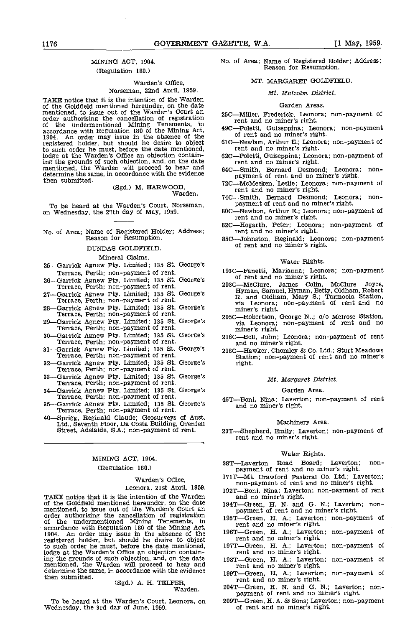# MINING ACT, 1904. (Regulation 180.)

# Warden's Office, Norseman, 22nd April, 1959.

TAKE notice that it is the intention of the Warden of the Goldfield mentioned hereunder, on the date mentioned, to issue out of the Warden's Court an order authorising the cancellation of registration of registration of the undermentioned Mining Tenements, in  $100$  Teletti of the undermentioned Mining Tenements, in  $40^\circ$ accordance with Regulation 180 of the Mining Act,  $490 - 1904$ . An order may issue in the absence of the registered holder, but should he desire to object to such order he must, before the date mentioned, lodge at the Warden's Office an objection containing the grounds of such objection, and, on the date in the grounds of such objection, and, on the date is represented. determine the same, in accordance with the evidence then submitted.

(Sgd.) M. HARWOOD, Warden.

To be heard at the Warden's Court, Norseman, payment of rent and no miner's right.<br>on Wednesday, the 27th day of May, 1959. 80C—Newbon, Arthur E.; Leonora; non-payment of

# No. of Area; Name of Registered Holder; Address; Reason for Resumption.

DUNDAS GOLDFIELD.

| Mineral Claims.                                                                         |      |
|-----------------------------------------------------------------------------------------|------|
| 25-Garrick Agnew Pty. Limited; 135 St. George's                                         |      |
| Terrace, Perth; non-payment of rent.                                                    | 1930 |
| 26-Garrick Agnew Pty. Limited; 135 St. George's<br>Terrace, Perth; non-payment of rent. | 2030 |
| 27-Garrick Agnew Pty. Limited; 135 St. George's<br>Terrace, Perth; non-payment of rent. |      |
| 28-Garrick Agnew Pty. Limited; 135 St. George's<br>Terrace, Perth; non-payment of rent. | 2050 |
| 29-Garrick Agnew Pty. Limited; 135 St. George's<br>Terrace, Perth; non-payment of rent. |      |
| 30—Garrick Agnew Pty. Limited; 135 St. George's<br>Terrace, Perth; non-payment of rent. | 2160 |
| 31-Garrick Agnew Pty. Limited; 135 St. George's<br>Terrace, Perth; non-payment of rent. | 2180 |
| 32-Garrick Agnew Pty. Limited; 135 St. George's<br>Terrace, Perth; non-payment of rent. |      |
| 33—Garrick Agnew Pty. Limited; 135 St. George's<br>Terrace, Perth; non-payment of rent. |      |
| 34 Garrick Agnew Pty. Limited; 135 St. George's<br>Terrace, Perth; non-payment of rent. | 46 T |
| 35—Garrick Agnew Pty. Limited; 135 St. George's<br>Terrace, Perth; non-payment of rent. |      |
| 40—Sprigg, Reginald Claude: Geosurveys of Aust.                                         |      |

Ltd., Seventh Floor, Da Costa Building, Grenfell<br>Street, Adelaide, S.A.; non-payment of rent.

# MINING ACT, 1904. (Regulation 180.)

## Warden's Office,

Leonora, 21st April, 1959.

TAKE notice that it is the intention of the Warden and no miner's right.<br>of the Goldfield mentioned hereunder, on the date  $194T - G$ reen, H. N. and G. N.; Laverton; nonof the Goldfield mentioned hereunder, on the date mentioned, to issue out of the Warden's Court an order authorising the cancellation of registration payment of rent and no miner's right.<br>
order authorising the cancellatio order authorising the cancellation of registration<br>of the undermentioned Mining Tenements, in 195T—Green, H. A.; Laverton<br>of the undermentioned Mining Tenements, in the rent and no miner's right. accordance with Regulation 180 of the Mining Act, 1904. An order may issue in the absence of the registered holder, but should he desh'e to object to such order he must, before the date mentioned, lodge at the Warden's Office an objection containing the grounds of such objection, and, on the date 198T—<br>mentioned, the Warden will proceed to hear and The determine the same, in accordance with the evidence  $10^{10}$ then submitted.

# (Sgd.) A. H. TELFER, Warden.

To be heard at the Warden's Court, Leonora, on 209T—Green, H. A. & Sons; Laverty<br>Wednesday, the 3rd day of June, 1959. en of rent and no miner's right.

No. of Area; Name of Registered Holder; Address; Reason for Resumption.

## MT. MARGARET GOLDFIELD

# Mt. Malcolm District.

#### Garden Areas.

- 25C-Miller, Frederick; Leonora; non-payment of
- 49C-Poletti, Guiseppina; Leonora; non-payment of rent and no miner's right.
- 61C—Newbon, Arthur E.; Leonora; non-payment of rent and no miner's right.
- 62C—Poletti, Guiseppina; Leonora; non-payment of rent and no miner's right.
- 64C-Smith, Bernard Desmond; Leonora; nonpayment of rent and no miner's right.
- 72C—McMeeken, Leslie; Leonora; non-payment of<br>rent and no miner's right.<br>74C—Smith, Bernard Desmond; Leonora; non-
- payment of rent and no miner's right.
- 
- rent and no miner's right.<br>82C—Hogarth, Peter; Leonora; non-payment of rent and no miner's right.
- 85C-Johnston, Reginald; Leonora; non-payment of rent and no miner's right.

## Water Rights.

- 193C—Fanetti, Marianna; Leonora; non-payment<br>of rent and no miner's right.<br>203C—McClure, James Colin, McClure Joyce,
- Hyman, Samuel, Hyman, Betty, Oldham, Robert R. and Oldham, Mary S.; Tarmoola Station, via Leonora; non-payment of rent and no miner's right.
- 205C—Robertson, George N.,; c/o Melrose Station, via Leonora; non-payment of rent and no miner's right.<br>216C—Bell, John; Leonora; non-payment of rent and no miner's right.
- 
- 218CHawker, Chomley & Co. Ltd.; Sturt Meadows Station; non-payment of rent and no miner's right.

#### Mt. Margaret District.

## Garden Area.

46T-Boni, Nina; Laverton; non-payment of rent and no miner's right.

#### Machinery Area.

23T-Shepherd, Emily; Laverton; non-payment of rent and no miner's right.

# Water Rights.

- 38T-Laverton Road Board; Laverton; non-<br>payment of rent and no miner's right.
- 171T-Mt. Crawford Pastoral Co. Ltd.; Laverton; non-payment of rent and no miner's right.
- 192T-Boni, Nina; Laverton; non-payment of rent
- 
- 
- rent and no miner's right.<br>196T—Green, H. A.; Laverton; non-payment of rent and no miner's right.<br>197T—Green, H. A.; Laverton; non-payment of
- 
- 197T—Green, H. A.; Laverton; non-payment of<br>rent and no miner's right.<br>198T—Green, H. A.; Laverton; non-payment of<br>rent and no miner's right.
- 199T-Green, H. A.; Laverton; non-payment of rent and no miner's right.
- 204T-Green, H. N. and G. N.; Laverton; non-<br>payment of rent and no miner's right.
- 209T-Green, H. A. & Sons; Laverton; non-payment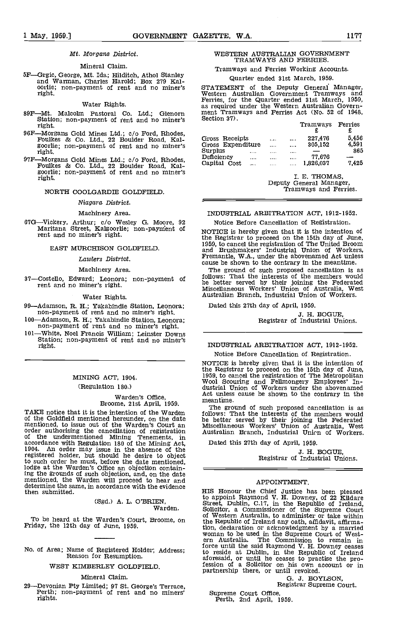# Mt. Morgans District.

#### Mineral Claim.

5F—Grgic, George, Mt. Ida; Hilditch, Athol Stanley and Warman, Charles Harold; Box 279 Kal- oorlie; non-payment of rent and no miner's oorlie; non-payment of rent and no miner's<br>right.

#### Water Rights.

- 89F-Mt. Malcolm Pastoral Co. Ltd.; Glenorn ment Station; non-payment of rent and no miner's Sect right.
- 96F—Morgans Gold Mines Ltd.; c/o Ford, Rhodes, Foulkes & Co. Ltd., 22 Boulder Road, Kal-<br>goorlie; non-payment of rent and no miner's right.
- 97F—Morgans Gold Mines Ltd.; c/o Ford, Rhodes, Definency Foulkes & Co. Ltd., 22 Boulder Road, Kal-<br>goorlie; non-payment of rent and no miner's right.

#### NORTH COOLGARDIE GOLOFIELD.

#### Niagara; District.

## Machinery Area.

67G—Vickery, Arthur; c/o Wesley G. Moore, 92<br>Maritana Street, Kalgoorlie; non-payment of<br>rent and no miner's right.

#### EAST MURCHISON GOLDFIELD.

### Lawlers District.

# Machinery Area.

37-Costello, Edward; Leonora; non-payment of rent and no miner's right.

#### Water Rights.

- 99—Adamson, R. H.; Yakabindie Station, Leonora;<br>non-payment of rent and no miner's right.
- 100—Adamson, R. H.; Yakabindie Station, Leonora;<br>non-payment of rent and no miner's right.<br>101—White, Noel Francis William; Leinster Downs
- 101—White, Noel Francis William; Leinster Downs Station; non-payment of rent and no miner's IN

# MINING ACT, 1904. (Regulation 180.)

Warden's Office, Broome, 21st April, 1959.

TAKE notice that it is the intention of the Warden of the Goldfield mentioned hereunder, on the date mentioned, to issue out of the Warden's Court an order authorising the cancellation of registration<br>of the undermentioned Mining Tenements, in accordance with Regulation 180 of the Mining Act, 1904. An order may issue in the absence of the registered holder, but should he desire to object to such order he must, before the date mentioned, lodge at the Warden's Office an objection containing the grounds of such objection, and, on the date mentioned, the Warden will proceed to hear and determine the same, in accordance with the evidence then submitted.

(Sgd.) A. L. O'BRIEN, Warden.

To be heard at the Warden's Court, Broome, on Friday, the 12th day of June, 1959.

No. of Area; Name of Registered Holder; Address; Reason for Resumption.

WEST KIMBERLEY GOLDFIELD

## Mineral Claim.

29—Devonian Pty Limited; 97 St. George's Terrace, Perth; non-payment of rent and no miners' rights.

# WESTERN AUSTRALIAN GOVERNMENT TRAMWAYS AND FERRIES.

Tramways and Ferries Working Accounts.

# Quarter ended 31st March, 1959.

STATEMENT of the Deputy General Manager,<br>Western Australian Government Tramways and<br>Ferries, for the Quarter ended 31st March, 1959,<br>as required under the Western Australian Government<br>Tramways and Ferries Act (No. 52 of 1

|                     |          |          | Tramways  | Ferries |  |
|---------------------|----------|----------|-----------|---------|--|
| Gross Receipts      | 1.111    |          | 227,476   | 5.456   |  |
| Gross Expenditure   | 1.1.1    | 1.11     | 305,152   | 4.591   |  |
| Surplus<br>$\cdots$ |          | $\cdots$ |           | 865     |  |
| Deficiency<br>1.11  | $\cdots$ | 1.111    | 77.676    |         |  |
| Capital Cost<br>    |          | $\cdots$ | 1.826.037 | 7.425   |  |

I. E. THOMAS, Deputy General Manager, Tramways and Ferries.

# INDUSTRIAL ARBITRATION ACT, 1912-1952.

Notice Before Cancellation of Registration.

NOTICE is hereby given that it is the intention of the Registrar to proceed on the 15th day of June, 1959, to cancel the registration of The United Broom and Brushmakers' Industrial Union of Workers, Fremantle, WA., under the abovenamed Act unless cause be shown to the contrary in the meantime.

The ground of such proposed cancellation is as follows: That the interests of the members would be better served by their joining the Federated Miscellaneous Workers' Union of Australia, West Australian Branch, Industrial Union of Workers.

Dated this 27th day of April, 1959.

J. H. BOGUE,<br>Registrar of Industrial Unions.

# INDUSTRIAL ARBITRATION ACT, 1912-1952. Notice Before Cancellation of Registration.

NOTICE is hereby given that it is the intention of the Registrar to proceed on the 15th day of June, 1959, to cancel the registration of The Metropolitan Wool Scouring and Fellmongery Employees' In-<br>dustrial Union of Workers under the abovenamed<br>at unless under the above n Act unless cause be shown to the contrary in the meantime.

The ground of such proposed cancellation is as follows: That the interests of the members would be better served by their joining the Federated Miscellaneous Workers' Union of Australia, West Australian Branch, Industrial Unien of Workers.

Dated this 27th day of April, 1959.

J. H. BOGUE,<br>Registrar of Industrial Unions.

# APPOINTMENT,

HIS Honour the Chief Justice has been pleased to appoint Raymond V. H. Downey, of 22 Kildare<br>Street, Dublin, C.17, in the Republic of Ireland,<br>Solicitor, a Commissioner of the Supreme Court<br>of Western Australia, to administer or take within<br>the Republic of Ireland any tion, declaration or acknowledgment by a married<br>woman to be used in the Supreme Court of West-<br>ern Australia. The Commission to remain in<br>force until the said Raymond V. H. Downey ceases<br>to reside at Dublin, in the Republ aforesaid, or until he ceases to practise the pro- fession of a Solicitor on his own account or in partnership there, or until revoked.

G. J, BOYLSON, Registrar Supreme Court,

Supreme Court Office, Perth, 2nd April, 1959.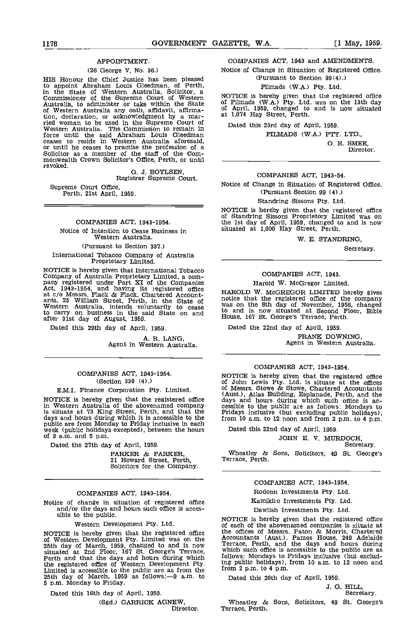# APPOINTMENT.

### (26 George V, No. 36.)

HIS Honour the Chief Justice has been pleased to appoint Abraham Louis Gleedman, of Perth, in the State of Western Australia, Solicitor, a Commissioner of the Supreme Court of Western<br>Australia, to administer or take within the State<br>of Western Australia any oath, affidavit, affirmation, declaration, or acknowledgment by a mar-<br>
ried woman to be used in the Supreme Court of Dat<br>
Western Australia. The Commission to remain in force until the said Abraham Louis Gleedman ceases to reside in Western Australia aforesaid, or until he ceases to practise the profession of a Solicitor as a member of the staff of the Commonwealth Crown Solicitor's Office, Perth, or until revoked.

G. J. BOYLSEN, Registrar Supreme Court.

Supreme Court Office, Perth, 21st April, 1959.

## COMPANIES ACT, 1943-1954.

Notice of Intention to Cease Business in Western Australia.

# (Pursuant to Section 337.)

International Tobacco Company of Australia Proprietary Limited.

NOTICE is hereby given that International Tobacco<br>Company of Australia Proprietary Limited, a com-<br>pany registered under Part XI of the Companies<br>Act, 1943-1954, and having its registered office at c/o Messrs. Flack & Flack, Chartered Account-<br>ants, 25 William Street, Perth, in the State of notice to<br>Western Australia, intends voluntarily to cease was on<br>to carry on business in the said State on and to and Western Australia, intends voluntarily to cease<br>to carry on business in the said State on and<br>after 31st day of August, 1959.

Dated this 29th day of April, 1959.

A. R. LANG, Agent in Western Australia.

# COMPANIES ACT, 1943-1954. (section 330 (4).)

#### E.M.I. Finance Corporation Pty. Limited.

NOTICE is hereby given that the registered office days<br>in Western Australia of the abovenamed company cessibl<br>is situate at 73 King Street, Perth, and that the Friday<br>days and hours during which it is accessible to the fr

Dated the 27th day of April, 1959.

PARKER & PARKER, 21 Howard Street, Perth, Solicitors for the Company.

#### COMPANIES ACT, 1943-1954.

Notice of change in situation of registered office and/or the days and hours such office is acces-<br>sible to the public.<br>NOTICE is hereby given that the registered office

Western Development Pty. Ltd.

situated at 2nd Floor, 167 St. George's Terrace, Perth and that the days and hours during which the registered office of Western Development Pty. Ing public are as from the 170m 2<br>Limited is accessible to the public are as from the 170m 2<br>25th day of March, 1959 as follows:--9 a.m. to 10 Dated 5 p.m. Monday to Friday.

Dated this 16th day of April, 1959.

(Sgd.) GARRICK AGNEW,<br>Director.

## COMPANIES ACT, 1943 and AMENDMENTS.

Notice of Change in Situation of Registered Office. (Pursuant to Section 99(4).)

# Filmads (WA.) Pty. Ltd.

NOTICE is hereby given that the registered office of Filmads (WA.) Pty. Ltd. was on the 13th day of April, 1959, changed to and is now situated at 1,074 Hay Street, Perth.

Dated this 23rd day of April, 1959.

flLMADS (WA.) PTY. LTD.,

0. H. SMEE, Director.

# COMPANIES ACT, 1943-54.

Notice of Change in Situation of Registered Office. (Pursuant Section 99 (4).)

#### Standring Sissons Pty. Ltd.

NOTICE is hereby given that the registered office<br>of Standring Sissons Proprietory Limited was on the 1st day of April, 1959, changed to and is now situated at 1,000 Hay Street, Perth.

W. E. STANDRING,

Secretary.

# COMPANIES ACT, 1943.

# Harold W. McGregor Limited.

HAROLD W. McGREGOR LIMITED hereby gives notice that the registered office 5f the company was on the 8th day of November, 1958, changed to and is now situated at Second Floor, Bible House, 167 St. George's Terrace, Perth.

Dated the 22nd day of April, 1959. FRANK DOWNING, Agent in Western Australia.

# COMPANIES ACT, 1943-1954,

NOTICE is hereby given that the registered office of John Lewis Pty. Ltd. is situate at the offices of Messrs. Stove & Stowe, Chartered Accountants of Messrs. Stowe  $\alpha$  stowe, Chartered Accountants (Aust.), Atlas Building, Esplanade, Perth, and the days and hours during which such office is accessible to the public are as follows: Mondays to Fridays inclusive (but e

Dated this 22nd day of April, 1959.

# JOHN E. V. MURDOCH,<br>Secretary.

Wheatley & Sons, Solicitors, 49 St. George's Terrace, Perth.

# COMPANIES ACT, 1943-1954.

Rodonn Investments Pty. Ltd.

Kamikiro Investments Pty. Ltd.

# Dawlish Investments Pty. Ltd.

NOTICE is hereby given that the registered office the offices of Messrs. Paton & Morris, Chartered<br>of Western Development Pty. Limited was on the Accountants (Aust.), Pamos House, 249 Adelaide<br>25th day of March, 1959, chan NOTICE is hereby given that the registered office of each of the abovenamed companies is situate at the offices of Messrs. Paton & Morris. Chartered Accountants (Aust.), Pamos House, 249 Adelaide Terrace, Perth, and the days and hours during which such office is accessible to the public are as follows: Mondays to Fridays inclusive (but exclud-ing public holidays), from 10 am. to 12 noon and from 2 p.m. to 4 p.m.

Dated this 20th day of April, 1959.

J. G. HILL,<br>Secretary.

Wheatley & Sons, Solicitors, <sup>49</sup> St. George's Terrace, Perth.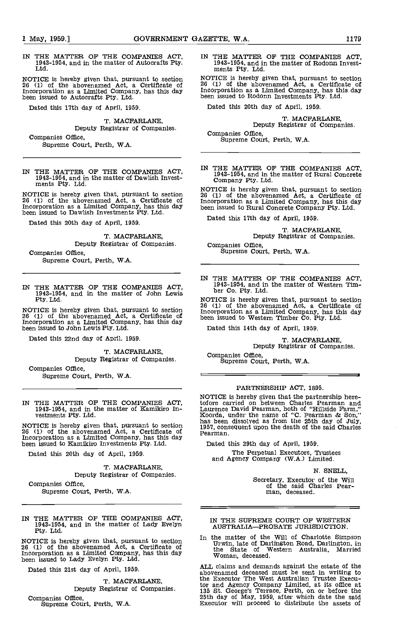IN THE MATTER OF THE COMPANIES ACT, 1943-1954, and in the matter of Autocrafts Pty. Ltd

NOTICE is hereby given that, pursuant to section <sup>26</sup> (1) of the abovenamed Act, a Certificate of Incorporation as a Limited Company, has this day been issued to Autocrafts Pty. Ltd.

Dated this 17th day of April, 1959.

T. MACFARLANE, Deputy Registrar of Companies. Companies Office,

Supreme Court, Perth, W.A.

IN THE MATTER OF THE COMPANIES ACT, 1943-1954, and in the matter of Dawlish Invest- ments Pty. Ltd

NOTICE is hereby given that, pursuant to section 26 (1)<br>26 (1) of the abovenamed Act, a Certificate of Incorporation as a Limited Company, has this day been i been issued to Dawlish Investments Pty. Ltd.

Dated this 20th day of April, 1959.

T. MACFARLANE, Deputy Registrar of Companies. Companies Office,

Supreme Court, Perth, WA.

IN THE MATTER OF THE COMPANIES ACT, 1943-1954, and in the matter of John Lewis Pty. Ltd.

NOTICE is hereby given that, pursuant to section<br>
26 (1) of the abovenamed Act, a Certificate of<br>
Incorporation as a Limited Company, has this day<br>
been issued to John Lewis Pty. Ltd. Dat

Dated this 22nd day of April, 1959.

T. MACFARLANE, Deputy Registrar of Companies.

Companies Office, Supreme Court, Perth, W.A.

IN THE MATTER OF THE COMPANIES ACT. 1943-1954, and in the matter of Kamikiro In- vestments Pty. Ltd.

NOTICE is hereby given that, pursuant to section 1957, 26 (1) of the abovenamed Act, a Certificate of Pearm Incorporation as a Limited Company, has this day been issued to Kamikiro Investments Pty. Ltd.

Dated this 20th day of April, 1959.

T. MACFARLANE, Deputy Registrar of Companies.

Companies Office, Supreme Court, Perth, W.A.

IN THE MATTER OF THE COMPANIES ACT, 1943-1954, and in the matter of Lady Evelyn Pty. Ltd.

NOTICE is hereby given that, pursuant to section  $10\,$  U<br>26 (1) of the abovenamed Act, a Certificate of  $10\,$  U<br>Incorporation as a Limited Company, has this day  $10\,$ been issued to Lady Evelyn Pty. Ltd

Dated this 21st day of April, 1959.

T. MACFARLANE,

Deputy Registrar of Companies.

Companies Office, Supreme Court, Perth, W.A.

IN THE MATTER OF THE COMPANIES ACT. 1943-1954, and in the matter of Rodonn Invest- ments Pty. Ltd.

NOTICE Is hereby given that, pursuant to section <sup>26</sup> (1) of the abovenarned Act, a Certificate of Incorporation as a Limited Company, has this day been issued to Rodonn Investments Pty. Ltd.

Dated this 20th day of April, 1959.

T. MACFARLANE, Deputy Registrar of Companies.

Companies Office, Supreme Court, Perth, WA.

IN THE MATTER OF THE COMPANIES ACT. 1943-1954, and in the matter of Rural Concrete Company Pty. Ltd.

NOTICE is hereby given that, pursuant to section <sup>25</sup> (1) of the abovenamed Act, a Certificate of Incorporation as a Limited Company, has this day been issued to Rural Concrete Company fly. Ltd.

Dated this 17th day of April, 1959.

T. MACFARLANE,<br>Deputy Registrar of Companies.

Companies Office, Supreme Court, Perth, W.A.

IN THE MATTER OF THE COMPANIES ACT, 1943-1954, and in the matter of Western Tim- ber Co. Pty. Ltd.

NOTICE is hereby given that, pursuant to section 26 (1) of the abovenamed Act, a Certificate of Incorporation as a Limited Company, has this day been issued to Western Timber Co. Pty. Ltd.

Dated this 14th day of April, 1959.

T. MACFARLANE, Deputy Registrar of Companies.

Companies Office, Supreme Court, Perth, W.A.

## PARTNERSHIP ACT, 1895.

NOTICE is hereby given that the partnership here- tofore carried on between Charles Pearman and Laurence David Pearman, both of "Hillside Farm," Koorda, under the name of "C. Pearman & Son," has been dissolved as from the 25th day of July, 1951, consequent upon the death of the said Charles Pearman.

Dated this 29th day of April, 1959.

The Perpetual Executors, Trustees and Agency Company (WA.) Limited.

N. SNELL,

Secretary, Executor of the Will of the said Charles Pear-man, deceased.

#### IN THE SUPREME COURT OF WESTERN AUSTRALIA-PROBATE JURISDICTION.

In the matter of the Will cf Charlotte Simpson Urwin, late of Darlington Road, Darlington, in the State of Western Australia, Married Woman, deceased.

ALL claims and demands against the estate of the abovenamed deceased must be sent in writing to the Executor The West Australian Trustee Executor and Agency Company Limited, at its office at 135 St. George's Terrace, Perth, on or before the 25th day of May, 1959, after which date the said Executor will proceed to distribute the assets of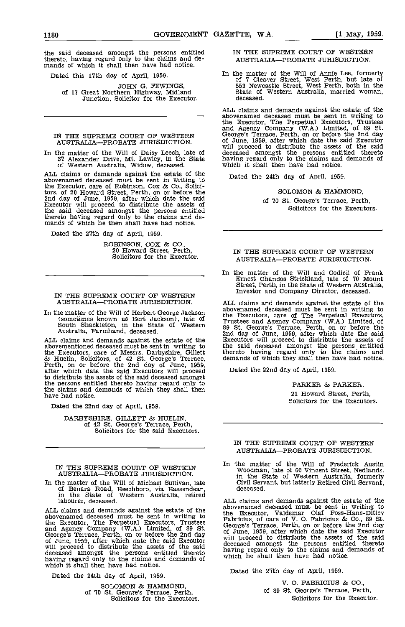the said deceased amongst the persons entitled thereto, having regard only to the claims and de- mands of which it shall then have had notice.

Dated this 17th day of April, 1959.

JOHN G. FEWINGS, of 17 Great Northern Highway, Midland Junction, Solicitor for the Executor.

IN THE SUPREME COURT OF WESTERN George AUSTRALIA-PROBATE JURISDICTION.

In the matter of the Will of Daisy Leech, late of aleceased amongst the persons entity 37 Alexander Drive, Mt. Lawley, in the State having regard only to the claims and of Western Australia, Widow, deceased. Which it shall

ALL claims or demands against the estate of the abovenamed deceased must be sent in writing to the Executor, care of Robinson, Cox & Co., Solicitors, of 20 Howard Street, Perth, on or before the 2nd day of June, 1959, after which date the said Executor will proceed to distribute the assets of the said deceased amongst the persons entitled thereto having regard only to the claims and de- mands of which he then shall have had notice.

Dated the 27th day of April, 1959.

ROBINSON, COX & CO., 20 Howard Street, Perth, Solicitors for the Executor.

# IN THE SUPREME COURT OF WESTERN<br>AUSTRALIA—PROBATE JURISDICTION. ALL claims and demands against the estate of the AUSTRALIA-PROBATE JURISDICTION.

In the matter of the Will of Herbert George Jackson<br>
(sometimes known as Bert Jackson), late of<br>
South Shackleton, in the State of Western 89 St.<br>
Australia, Farmhand, deceased.<br>
2nd da

ALL claims and demands against the estate of the abovementioned deceased must be sent in writing to the Executors, care of Messrs. Darbyshire, Gillett & Huelin, Solicitors, of 42 St. George's Terrace, Perth, on or before the 2nd day of June, 1959, after which date the said Executors will proceed to distribute the assets the persons entitled thereto having regard only to the claims and demands of which they shall then have had notice.

Dated the 22nd day of April, 1959.

DARBYSHIRE, GILLETT & HUELIN,<br>of 42 St. George's Terrace, Perth,<br>Solicitors for the said Executors.

# IN THE SUPREME COURT OF WESTERN THE SUPREME COURT OF WESTERN THE MUSTRALIA PROBATE JURISDICTION.

In the matter of the Will of Michael Sullivan, late Civil Server of Benara Road, Beechboro, via Bassendean, deceased.<br>
in the State of Western Australia, retired labourer, deceased.

ALL claims and demands against the estate of the aboven<br>abovenamed deceased must be sent in writing to the Fahric the Executor, The Perpetual Executors, Trustees<br>and Agency Company (W.A.) Limited, of 89 St. George's Terrace, Perth, on or before the 2nd day<br>of Jun<br>of June, 1959, after which date the said Executor will proceed to distri having regard only to the claims and demands of which it shall then have had notice.

Dated the 24th day of April, 1959.

SOLOMON & HAMMOND, of 70 St. George's Terrace, Perth, Solicitors for the Executors.

IN THE SUPREME COURT OF WESTERN AUSTRALIA-PROBATE JURISDICTION.

In the matter of the Will of Annie Lee, formerly of 7 Cleaver Street, West Perth, but late of 553 Newcastle Street, West Perth, both in the State of Western Australia, married woman, deceased.

ALL claims and demands against the estate of the abovenamed deceased must be sent in writing to the Executor, The Perpetual Executors, Trustees<br>and Agency Company (W.A.) Limited, of 89 St.<br>George's Terrace, Perth, on or before the 2nd day<br>of June, 1959, after which date the said Executor<br>will proceed to distribute th deceased amongst the persons entitled thereto having regard only to the claims and demands of which it shall then have had notice.

Dated the 24th day of April, 1959.

SOLOMON & HAMMOND,

of 70 St. George's Terrace, Perth, Solicitors for the Executors.

# IN THE SUPREME COURT OF WESTERN AUSTRALIA-PROBATE JURISDICTION.

In the matter of the Will and Codicil of Frank Ernest Chandos Strickland, late of 70 Mount Street, Perth, in the State of Western Australia, Investor and Company Director, deceased.

ALL claims and demands against the estate of the abovenamed deceased must be sent in writing to the Executors, care of The Perpetual Executors,<br>Trustees and Agency Company (W.A.) Limited, of<br>89 St. George's Terrace, Perth, on or before the<br>2nd day of June, 1959, after which date the said<br>Executors will proceed to dis the said deceased amongst the persons entitled thereto having regard only to the claims and demands of which they shall then have had notice.

Dated the 22nd day of April, 1959.

PARKER & PARKER, 21 Howard Street, Perth, Solicitors for the Executors,

# IN THE SUPREME COURT OF WESTERN AUSTRALIA-PROBATE JURISDICTION.

In the matter of the Will of Frederick Austin Woodman, late of 60 Vincent Street, Nedlands, in the State of Western Australia, formerly Civil Servant, but latterly Retired Civil Servant, deceased.

ALL claims and demands against the estate of the abovenamed deceased must be sent in writing to the Executor, Valdemar Olaf Foss-Hans-Ditlev Fabricius, of care of V. 0. Fabricius & Co., 89 St. George's Terrace, Perth, on or before the 2nd day of June, 1959, after which date the said Executor will proceed to distribute the assets of the said deceased amongst the persons entitled thereto having regard only to the claims and demands of which he shall then have had notice.

Dated the 27th day of April, 1959.

V. 0. FABRICIUS & CO., of 89 St. George's Terrace, Perth, Solicitors for the Executor.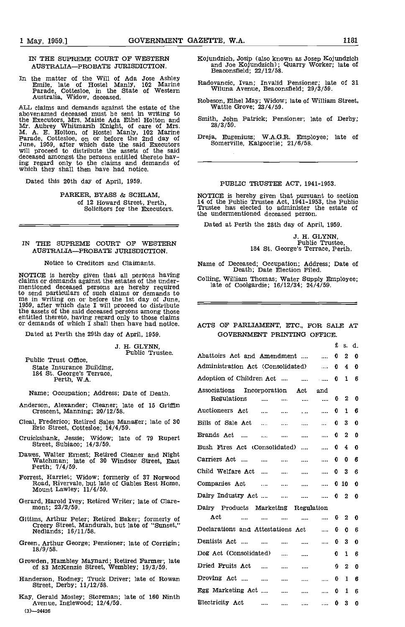IN THE SUPREME COURT OF WESTERN AUSTRALIA-PROBATE JURISDICTION.

In the matter of the Will of Ada Jose Ashley<br>
Emile, late of Hostel Manly, 102 Marine Radova:<br>
Parade, Cottesloe, in the State of Western Wil<br>
Australia, Widow, deceased.

ALL claims and demands against the estate of the  $\frac{W}{\text{W}}$  abovenamed deceased must be sent in writing to the Executors, Mrs. Maisie Ada Ethel Holton and Smith,<br>Mr. Aubrey Whitmarsh Knight, of care of Mrs. 28<br>M. A. E. Holton, of Hostel Manly, 102 Marine<br>Parade, Cottesloe, on or before the 2nd day of Dreja,<br>June, 1959, atter wh

Dated this 20th day of April, 1959.

PARKER, BYASS & SCHLAM, of 12 Howard Street, Perth, Solicitors for the Executors.

# IN THE SUPREME COURT OF WESTERN AUSTRALIA-PROBATE JURISDICTION.

Notice to Creditors and Claimants.

NOTICE Is hereby given that all persons having claims or demands against the estates of the under- mentioned deceased persons are hereby required to send particulars of such claims or demands to me in writing on or before the 1st day of June,  $1959$ , after which date I will proceed to distribute the assets of the said deceased persons among those entitled thereto, having regard only to those claims or demands of which I shall then have had notice. ACT

Dated at Perth the 29th day of April, 1959.

J. H. GLYNN, Public Trustee.

- Anderson, Alexander; Cleaner; late of 15 Griffin Crescent, Manning; 20/12/58.
- Cleal, Frederico; Retired Sales Manager; late of 30 Eric Street, Cottesloe; 14/4/59.
- 
- Dawes, Walter Ernest; Retired Cleaner and Night Watchman; late of 30 Windsor Street, East Perth;  $7/4/59$ .
- Forrest, Harriet; Widow; formerly of 37 Norwood Road, Rivervale, but late of Gables Rest Home, Mount Lawley; 11/4/59.
- Gerard, Harold Ivey; Retired Writer; late of Clare-mont; 23/2/59.
- 
- Green, Arthur George; Pensioner; late of Corrigin; 18/9/58.
- Growden, Hambley Maynard; Retired Farmer; late of 83 McKenzie Street, Wembley; 19/3/59.
- Handerson, Rodney; Truck Driver; late of Rowan Street, Derby; 11/12/58.
- $(3)$ -24426 Kay, Gerald Mosley; Storeman; late of 160 Ninth Avenue, Inglewood; 12/4/59.
- Kojundsich, Josip (also known as Josep Kojundzich and Joe Kojundzich); Quarry Worker; late of Beaconsfleld; 22/12/58.
- Radovancic, Ivan; Invalid Pensioner; late of 31 Wiluna Avenue, Beaconsfleld; 29/3/59.
- Robeson, Ethel May; Widow; late of William Street. Wattle Grove; 23/4/59.
- Smith, John Patrick; Pensioner; late of Derby; 28/3/59.
- Dreja, Eugeniuss; W.A.G.R. Employee; late of Somerville, Kalgoorlie; 21/6/58.

#### PUBLIC TRUSTEE ACT, 1941-1953.

NOTICE is hereby given that pursuant to section 14 of the public Trustee Act, 1941-1953, the Public Trustee has elected to administer the estate of the undermentioned deceased person.

Dated at Perth the 28th day of April, 1959.

J. H. GLYNN,<br>Public Trustee,<br>184 St. George's Terrace, Perth.

£ S. d.

Name of Deceased; Occupation; Address; Date of Death; Date Election Filed

Coiling, William Thomas; Water Supply Employee; late of Coolgardie; 16/12/34; 24/4/59.

# ACTS OF PARLIAMENT, ETC., FOR SALE AT GOVERNMENT PRINTING OFFICE.

| J. H. ULINN,                                                                                                   | u.<br>Public Trustee.<br>Abattoirs Act and Amendment<br>0.<br>$2\quad 0$<br>$\sim$<br>Administration Act (Consolidated)<br>$\bf{0}$<br>40<br>$\cdots$<br>Adoption of Children Act<br>$1 \quad 6$<br>$\mathbf{0}$<br>$\sim$<br>$\cdots$<br>Associations<br>Incorporation<br>Act<br>and<br>Regulations<br>$2\quad 0$<br>$\mathbf{0}$<br>$\cdots$<br>$\cdots$<br>$\cdots$<br>$\cdots$<br>Auctioneers Act<br>0<br>$1\quad 6$<br><br>$\cdots$<br><br>$\cdots$<br>Bills of Sale Act<br>$3\quad 0$<br>0<br>$\cdots$<br>$\cdots$<br><br>$\cdots$<br>Brands Act<br>$2\quad 0$<br>$\bf{0}$<br>$\sim$<br><br>$\cdots$<br><br>Bush Fires Act (Consolidated)<br>0<br>40<br>$\cdots$<br>$\cdots$<br>Carriers Act<br>0<br>06<br>$\cdots$<br><br>$\cdots$<br>$\cdots$<br>Child Welfare Act<br>0<br>3 <sub>6</sub><br>$\cdots$<br><br><br><br>Companies Act<br>0100<br>$\cdots$<br>$\cdots$<br><br><br>Dairy Industry Act<br>$\bf{0}$<br>$2\quad 0$<br>$\cdots$<br>$\cdots$<br>$\cdots$<br>Dairy Products Marketing<br>Regulation<br>Act<br>$2\quad 0$<br>$\mathbf{0}$<br><br>$\cdots$<br><br>$\cdots$<br><br>Declarations and Attestations Act<br>0<br>0 <sub>6</sub><br>$\cdots$<br>Dentists Act<br>0<br>$3\quad 0$<br>$\cdots$<br>$\cdots$<br><br>Dog Act (Consolidated)<br>0<br>$1\quad 6$<br><br>$\cdots$<br>Dried Fruits Act<br>$2 \quad 0$<br>0.<br>$\cdots$<br><br>$\cdots$ |              |            |
|----------------------------------------------------------------------------------------------------------------|--------------------------------------------------------------------------------------------------------------------------------------------------------------------------------------------------------------------------------------------------------------------------------------------------------------------------------------------------------------------------------------------------------------------------------------------------------------------------------------------------------------------------------------------------------------------------------------------------------------------------------------------------------------------------------------------------------------------------------------------------------------------------------------------------------------------------------------------------------------------------------------------------------------------------------------------------------------------------------------------------------------------------------------------------------------------------------------------------------------------------------------------------------------------------------------------------------------------------------------------------------------------------------------------------------------------------------------------------------------------|--------------|------------|
| Public Trust Office,                                                                                           |                                                                                                                                                                                                                                                                                                                                                                                                                                                                                                                                                                                                                                                                                                                                                                                                                                                                                                                                                                                                                                                                                                                                                                                                                                                                                                                                                                    |              |            |
| State Insurance Building.                                                                                      |                                                                                                                                                                                                                                                                                                                                                                                                                                                                                                                                                                                                                                                                                                                                                                                                                                                                                                                                                                                                                                                                                                                                                                                                                                                                                                                                                                    |              |            |
| 184 St. George's Terrace,<br>Perth, W.A.                                                                       |                                                                                                                                                                                                                                                                                                                                                                                                                                                                                                                                                                                                                                                                                                                                                                                                                                                                                                                                                                                                                                                                                                                                                                                                                                                                                                                                                                    |              |            |
| Name; Occupation; Address; Date of Death.                                                                      |                                                                                                                                                                                                                                                                                                                                                                                                                                                                                                                                                                                                                                                                                                                                                                                                                                                                                                                                                                                                                                                                                                                                                                                                                                                                                                                                                                    |              |            |
| Anderson, Alexander; Cleaner; late of 15 Griffin<br>Crescent, Manning, 20/12/58.                               |                                                                                                                                                                                                                                                                                                                                                                                                                                                                                                                                                                                                                                                                                                                                                                                                                                                                                                                                                                                                                                                                                                                                                                                                                                                                                                                                                                    |              |            |
| Cleal, Frederico; Retired Sales Manager; late of 30<br>Eric Street, Cottesloe: 14/4/59.                        |                                                                                                                                                                                                                                                                                                                                                                                                                                                                                                                                                                                                                                                                                                                                                                                                                                                                                                                                                                                                                                                                                                                                                                                                                                                                                                                                                                    |              |            |
| Cruickshank, Jessie; Widow; late of 79 Rupert                                                                  |                                                                                                                                                                                                                                                                                                                                                                                                                                                                                                                                                                                                                                                                                                                                                                                                                                                                                                                                                                                                                                                                                                                                                                                                                                                                                                                                                                    |              |            |
| Street, Subiaco; 14/3/59.                                                                                      |                                                                                                                                                                                                                                                                                                                                                                                                                                                                                                                                                                                                                                                                                                                                                                                                                                                                                                                                                                                                                                                                                                                                                                                                                                                                                                                                                                    |              |            |
| Dawes, Walter Ernest; Retired Cleaner and Night<br>Watchman; late of 30 Windsor Street, East<br>Perth; 7/4/59. |                                                                                                                                                                                                                                                                                                                                                                                                                                                                                                                                                                                                                                                                                                                                                                                                                                                                                                                                                                                                                                                                                                                                                                                                                                                                                                                                                                    |              |            |
| Forrest, Harriet; Widow; formerly of 37 Norwood                                                                |                                                                                                                                                                                                                                                                                                                                                                                                                                                                                                                                                                                                                                                                                                                                                                                                                                                                                                                                                                                                                                                                                                                                                                                                                                                                                                                                                                    |              |            |
| Road, Rivervale, but late of Gables Rest Home,<br>Mount Lawley; 11/4/59.                                       |                                                                                                                                                                                                                                                                                                                                                                                                                                                                                                                                                                                                                                                                                                                                                                                                                                                                                                                                                                                                                                                                                                                                                                                                                                                                                                                                                                    |              |            |
| Gerard, Harold Ivey; Retired Writer; late of Clare-                                                            |                                                                                                                                                                                                                                                                                                                                                                                                                                                                                                                                                                                                                                                                                                                                                                                                                                                                                                                                                                                                                                                                                                                                                                                                                                                                                                                                                                    |              |            |
| mont: 23/2/59.                                                                                                 |                                                                                                                                                                                                                                                                                                                                                                                                                                                                                                                                                                                                                                                                                                                                                                                                                                                                                                                                                                                                                                                                                                                                                                                                                                                                                                                                                                    |              |            |
| Gittins, Arthur Peter; Retired Baker; formerly of                                                              |                                                                                                                                                                                                                                                                                                                                                                                                                                                                                                                                                                                                                                                                                                                                                                                                                                                                                                                                                                                                                                                                                                                                                                                                                                                                                                                                                                    |              |            |
| Creery Street, Mandurah, but late of "Sunset."<br>Nedlands: 16/11/58.                                          |                                                                                                                                                                                                                                                                                                                                                                                                                                                                                                                                                                                                                                                                                                                                                                                                                                                                                                                                                                                                                                                                                                                                                                                                                                                                                                                                                                    |              |            |
| Green, Arthur George: Pensioner: late of Corrigin:                                                             |                                                                                                                                                                                                                                                                                                                                                                                                                                                                                                                                                                                                                                                                                                                                                                                                                                                                                                                                                                                                                                                                                                                                                                                                                                                                                                                                                                    |              |            |
| 18/9/58.                                                                                                       |                                                                                                                                                                                                                                                                                                                                                                                                                                                                                                                                                                                                                                                                                                                                                                                                                                                                                                                                                                                                                                                                                                                                                                                                                                                                                                                                                                    |              |            |
| Growden, Hambley Maynard; Retired Farmer; late<br>of 83 McKenzie Street, Wembley, 19/3/59.                     |                                                                                                                                                                                                                                                                                                                                                                                                                                                                                                                                                                                                                                                                                                                                                                                                                                                                                                                                                                                                                                                                                                                                                                                                                                                                                                                                                                    |              |            |
| Handerson, Rodney; Truck Driver; late of Rowan<br>Street, Derby; 11/12/58.                                     | Droving Act<br>$\cdots$<br><br>$\cdots$<br>$\cdots$                                                                                                                                                                                                                                                                                                                                                                                                                                                                                                                                                                                                                                                                                                                                                                                                                                                                                                                                                                                                                                                                                                                                                                                                                                                                                                                | 0            | $1\quad6$  |
|                                                                                                                | Egg Marketing Act<br><br>$\cdots$<br>                                                                                                                                                                                                                                                                                                                                                                                                                                                                                                                                                                                                                                                                                                                                                                                                                                                                                                                                                                                                                                                                                                                                                                                                                                                                                                                              | $\mathbf 0$  | 16         |
| Kay, Gerald Mosley; Storeman; late of 160 Ninth<br>Avenue, Inglewood, 12/4/59.                                 | Electricity Act<br>$\cdots$<br>$\cdots$<br><br>1.0000                                                                                                                                                                                                                                                                                                                                                                                                                                                                                                                                                                                                                                                                                                                                                                                                                                                                                                                                                                                                                                                                                                                                                                                                                                                                                                              | $\mathbf{0}$ | $3\quad 0$ |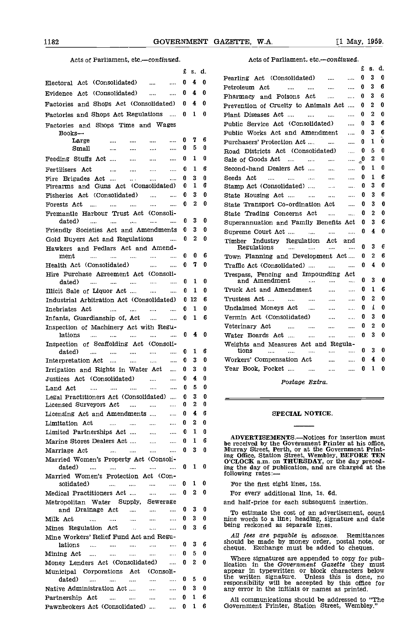# Acts of Parliament, etc.-continued.

|                                                                                                               | £           | s. d.             |        | £.<br>8.<br>α.                                                                                                      |
|---------------------------------------------------------------------------------------------------------------|-------------|-------------------|--------|---------------------------------------------------------------------------------------------------------------------|
| Electoral Act (Consolidated)<br><br>$\cdots$                                                                  | 0           | 4                 | 0      | 0<br>3<br>o<br>Pearling Act (Consolidated)<br>$\cdots$<br>$\cdots$                                                  |
| Evidence Act (Consolidated)<br>$\cdots$<br>                                                                   | 0           | 4                 | 0      | 3<br>6<br>0<br>Petroleum Act<br>$\cdots$<br>$\cdots$<br>$\cdots$<br>$\cdots$                                        |
|                                                                                                               |             |                   |        | з<br>6<br>0<br>Pharmacy and Poisons Act<br>$\cdots$<br>$\cdots$                                                     |
| Factories and Shops Act (Consolidated)                                                                        | 0           | 4                 | 0      | 2<br>O<br>Prevention of Cruelty to Animals Act<br>0<br>$\cdots$                                                     |
| Factories and Shops Act Regulations                                                                           | $\mathbf 0$ | 10                |        | 2<br>0<br>o<br>Plant Diseases Act<br>$\cdots$<br>                                                                   |
| Factories and Shops Time and Wages                                                                            |             |                   |        | 3<br>6<br>0<br>Public Service Act (Consolidated)<br>                                                                |
| $Books$ --                                                                                                    |             | 7                 | 6      | 3<br>6<br>Public Works Act and Amendment<br>0<br>$\cdots$                                                           |
| Large<br>$\cdots$<br>$\cdots$<br>$\cdots$<br>Small<br>$\cdots$                                                | 0<br>0      | 5                 | 0      | 0<br>0<br>1<br>Purchasers' Protection Act<br>$\cdots$<br>                                                           |
| $\cdots$<br>$\cdots$<br>$\cdots$                                                                              |             |                   |        | 0<br>5<br>o<br>Road Districts Act (Consolidated)<br>$\mathbf{r}$                                                    |
| Feeding Stuffs Act<br>$\cdots$<br>$\cdots$<br>$\cdots$                                                        | 0           | 1                 | 0      | 2<br>0<br>្លូ<br>Sale of Goods Act<br>$\ldots$<br>$\cdots$<br>                                                      |
| Fertilisers Act<br>$\ldots$<br>$\cdots$<br>$\cdots$<br>$\ldots$                                               | 0           | 1                 | 6      | 1<br>0<br>0<br>Second-hand Dealers Act<br>$\cdots$<br>$\cdots$                                                      |
| Fire Brigades Act<br>$\ddotsc$<br><br>$\ddotsc$                                                               | 0           | з<br>1            | 0<br>6 | 1<br>6<br>0<br>Seeds Act<br>$\cdots$<br>and the state<br>$\sim$<br>$\cdots$<br>6<br>3<br>0                          |
| Firearms and Guns Act (Consolidated)                                                                          | 0           | 3                 | 0      | Stamp Act (Consolidated)<br><b>Contractor</b><br>$\cdots$<br>6<br>3<br>0                                            |
| Fisheries Act (Consolidated)<br>$\ddotsc$<br>$\cdots$                                                         | 0<br>0      | 2                 | 0      | State Housing Act<br>$\cdots$<br>$\cdots$<br>3<br>n<br>0                                                            |
| Forests Act<br>$\sim$ $\sim$<br>$\cdots$<br>$\cdots$<br>$\cdots$<br>$\cdots$                                  |             |                   |        | State Transport Co-ordination Act<br>$\cdots$<br>0<br>2<br>O                                                        |
| Fremantle Harbour Trust Act (Consoli-<br>dated)<br>$\cdots$<br>.<br>$\cdots$<br><br>$\cdots$                  | 0           | 3                 | 0      | State Trading Concerns Act<br>$\cdots$<br>$\cdots$<br>3<br>6                                                        |
| Friendly Societies Act and Amendments                                                                         | 0           | 3.                | Ð      | Superannuation and Family Benefits Act<br>0<br>0                                                                    |
| Gold Buyers Act and Regulations<br>$\cdots$                                                                   | 0           | 2                 | 0      | 0<br>4<br>Supreme Court Act<br>$\dddotsc$<br>$\cdots$<br>$\cdots$                                                   |
| Hawkers and Pedlars Act and Amend-                                                                            |             |                   |        | Timber Industry Regulation Act<br>and<br>6<br>3<br>0<br>Regulations<br>$\cdots$<br>$\cdots$<br>$\cdots$<br>$\cdots$ |
| ment<br>$\cdots$<br>$\cdots$<br>$\cdots$<br>$\sim$<br>$\cdots$                                                | 0           | 0                 | 6      | 6<br>2<br>Town Planning and Development Act<br>0                                                                    |
| Health Act (Consolidated)<br>$\cdots$<br>$\cdots$                                                             | 0           | 70                |        | 4<br>O<br>0<br>Traffic Act (Consolidated)<br>$\cdots$<br>$\cdots$                                                   |
| Hire Purchase Agreement Act (Consoli-                                                                         |             |                   |        | Trespass, Fencing and Impounding Act                                                                                |
| dated)<br>$\cdots$<br>$\cdots$<br>$\cdots$<br>$\cdots$<br>$\cdots$                                            | 0           | 1                 | 0      | 3<br>0<br>0<br>and Amendment<br>$\cdots$<br><br>$\cdots$                                                            |
| Illicit Sale of Liquor Act<br>$\cdots$<br>$\cdots$                                                            | 0           | -1                | 0      | 1<br>Truck Act and Amendment<br>0<br>6<br>$\mathbf{r}$<br>$\cdots$                                                  |
| Industrial Arbitration Act (Consolidated)                                                                     |             | 0 <sub>12</sub>   | 6      | 0<br>0<br>2<br>Trustees Act<br>$\cdots$<br>$\cdots$<br>$\cdots$<br>$\cdots$                                         |
| Inebriates Act<br>$\cdots$<br>$\cdots$<br><br>$\cdots$                                                        | 0           | $\mathbf 1$       | Ð      | 1<br>0<br>0<br>Unclaimed Moneys Act<br>$\cdots$<br>$\cdots$<br>$\cdots$                                             |
| Infants, Guardianship of, Act<br>$\cdots$<br>$\cdots$                                                         |             | 0 <sub>1</sub>    | 6      | 3<br>0<br>0<br>Vermin Act (Consolidated)<br>$\cdots$<br>$\cdots$                                                    |
| Inspection of Machinery Act with Regu-                                                                        |             |                   |        | 2<br>0<br>0<br>Veterinary Act<br>$\cdots$<br>$\cdots$<br>$\cdots$<br>$\cdots$                                       |
| lations<br>$\mathbf{r}$<br>$\cdots$<br>$\cdots$<br>$\cdots$<br>$\cdots$                                       | 0           | 4                 | -0     | 3<br>O<br>0<br>Water Boards Act<br>$\cdots$<br>$\cdots$<br>$\cdots$                                                 |
| Inspection of Scaffolding Act (Consoli-                                                                       |             |                   |        | Weights and Measures Act and Regula-                                                                                |
| dated)<br>$\cdots$<br>$\cdots$<br><br>$\cdots$<br>$\cdots$                                                    | 0           | 1                 | 6      | 3<br>0<br>0<br>tions<br>$\cdots$<br>$\cdots$<br><br><br>$\cdots$                                                    |
| Interpretation Act<br>$\sim$<br>$\cdots$<br>$\cdots$<br>$\cdots$                                              | 0           | 3                 | 0      | 0<br>Workers' Compensation Act<br>0<br>4<br>$\cdots$<br>$\cdots$                                                    |
| Irrigation and Rights in Water Act<br>$\cdots$                                                                | 0           | 3                 | 0      | $\mathbf{1}$<br>0<br>0<br>Year Book, Pocket<br>$\sim$ 100 $\mu$<br>$\cdots$                                         |
| Justices Act (Consolidated)<br>$\ddotsc$<br>                                                                  | 0           | 4                 | 0      | Postage Extra.                                                                                                      |
| Land Act<br>$\cdots$<br>$\cdots$<br>$\cdots$<br>$\cdots$<br>$\cdots$                                          | 0           | 5                 | O      |                                                                                                                     |
| Legal Practitioners Act (Consolidated)                                                                        | 0           | 3                 | 0      |                                                                                                                     |
| Licensed Surveyors Act<br>$\cdots$<br>$\cdots$                                                                |             |                   | Ð      |                                                                                                                     |
| Licensing Act and Amendments<br>                                                                              | o           | 4                 | 6      | SPECIAL NOTICE.                                                                                                     |
| Limitation Act<br>$\cdots$<br>$\cdots$<br>$\cdots$                                                            | 0           | 2                 | n      |                                                                                                                     |
| Limited Partnerships Act<br>$\sim$ $\sim$<br>$\cdots$                                                         | 0           | 1                 | 0      | <b>ADVERTISEMENTS.—Notices for insertion must</b>                                                                   |
| Marine Stores Dealers Act<br>$\sim 100$<br>$\ldots$                                                           | 0.          | 1                 | 6      | be received by the Government Printer at his office,                                                                |
| Marriage Act<br>$\mathbf{u}$ and $\mathbf{u}$ are associated as $\mathbf{u}$<br>$\cdots$<br>$\cdots$          |             | $0\quad 3\quad 0$ |        | Murray Street, Perth, or at the Government Print-<br>ing Office, Station Street, Wembley, BEFORE TEN                |
| Married Women's Property Act (Consoli-                                                                        |             | $0\quad 1\quad 0$ |        | O'CLOCK a.m. on THURSDAY, or the day preced-                                                                        |
| dated)<br>ana.<br>$\sim$<br>$\cdots$<br>assa.<br>$\cdots$                                                     |             |                   |        | ing the day of publication, and are cliarged at the<br>following rates:-                                            |
| Married Women's Protection Act (Con-<br>solidated)<br>$\cdots$<br><b>Service</b><br>$\cdots$<br>$\cdots$      | 0           | 10                |        | For the first eight lines, 15s.                                                                                     |
| Medical Practitioners Act<br>$\cdots$<br>$\sim$                                                               |             | $0\quad 2\quad 0$ |        | For every additional line, 1s. 6d.                                                                                  |
| Metropolitan Water Supply,<br>Sewerage                                                                        |             |                   |        | and half-price for each subsequent insertion.                                                                       |
| and Drainage Act<br>$\cdots$<br>$\cdots$<br>$\cdots$                                                          | 0           | 3                 | 0      |                                                                                                                     |
| Milk Act<br>$\cdots$<br>$\mathbf{1}$<br>$\sim 100$<br>$\cdots$<br>$\cdots$                                    | 0           | 3                 | - 0    | To estimate the cost of an advertisement, count<br>nine words to a line; heading, signature and date                |
| Mines Regulation Act<br>$\cdots$<br>$\sim$<br>$\sim 100$                                                      |             | $03$ 6            |        | being reckoned as separate lines.                                                                                   |
| Mine Workers' Relief Fund Act and Regu-                                                                       |             |                   |        | All fees are payable in advance. Remittances                                                                        |
| lations<br>$\sim 100$<br>$\cdots$<br>$\cdots$<br>$\cdots$<br>                                                 | 0           | 3                 | 6      | should be made by money order, postal note, or<br>cheque. Exchange must be added to cheques.                        |
| Mining Act<br>$\sim 100$<br>$\cdots$<br>$\cdots$<br>$\ddotsc$<br>$\sim$                                       | 0           | 5                 | 0      |                                                                                                                     |
| Money Lenders Act (Consolidated)<br>$\cdots$                                                                  | 0           | 20                |        | Where signatures are appended to copy for pub-<br>lication in the Government Gazette they must                      |
| Municipal Corporations Act<br>(Consoli-                                                                       |             |                   |        | appear in typewritten or block characters below                                                                     |
| dated)<br>$\ddotsc$<br><b>Sales Contract Service</b><br>$\sim$<br>$\cdots$                                    | 0           | 5                 | o      | the written signature. Unless this is done, no<br>responsibility will be accepted by this office for                |
| Native Administration Act<br>$\cdots$<br>$\cdots$                                                             | 0           | 3                 | 0      | any error in the initials or names as printed.                                                                      |
| Partnership Act<br>$\mathbf{r}$ and $\mathbf{r}$ are the set of $\mathbf{r}$<br>$\sim 100$ and $\sim 100$<br> | 0           | $\mathbf{1}$      | 6      | All communications should be addressed to "The                                                                      |
| Pawnbrokers Act (Consolidated)                                                                                |             | $\dots$ 0 1 6     |        | Government Printer, Station Street, Wembley."                                                                       |

# Acts of Parliament, etc.-continued.

|                                                                                                                                                                          | £                   | 8. | d. |
|--------------------------------------------------------------------------------------------------------------------------------------------------------------------------|---------------------|----|----|
| Pearling Act (Consolidated)<br>$\sim 100$                                                                                                                                | 0                   | 3  | 0  |
| Petroleum Act<br>and the<br><br>$\cdots$                                                                                                                                 | o                   | 3  | 6  |
| Pharmacy and Poisons Act<br>.<br>$\cdots$                                                                                                                                | 0                   | 3  | 6  |
| Prevention of Cruelty to Animals Act                                                                                                                                     | 0                   | 2  | O  |
| Plant Diseases Act<br><br>$\cdots$                                                                                                                                       | o                   | 2  | 0  |
| Public Service Act (Consolidated)<br>$\ddotsc$                                                                                                                           | o                   | 3  | 6  |
| Public Works Act and Amendment<br>                                                                                                                                       | o                   | 3  | 6  |
| <br>Purchasers' Protection Act                                                                                                                                           | n                   | 1  | 0  |
| Road Districts Act (Consolidated)<br>$\ddotsc$                                                                                                                           | 0                   | 5  | 0  |
| Sale of Goods Act<br>                                                                                                                                                    | $\rm _{\ast}^{\,0}$ | 2  | 0  |
| Second-hand Dealers Act<br>                                                                                                                                              | 0                   | 1  | o  |
| Seeds Act<br>$\ddotsc$                                                                                                                                                   | 0                   | 1  | 6  |
| Stamp Act (Consolidated)<br>$\cdots$                                                                                                                                     | 0                   | 3  | 6  |
| State Housing Act<br>$\sim 10^{-11}$<br>$\sim 100$                                                                                                                       | 0                   | З  | 6  |
| State Transport Co-ordination Act<br>.                                                                                                                                   | 0                   | 3  | 0  |
| State Trading Concerns Act<br>$\ddotsc$<br>$\sim$ $\sim$                                                                                                                 | 0                   | 2  | 0  |
| Superannuation and Family Benefits Act                                                                                                                                   | o                   | 3  | 6  |
| Supreme Court Act                                                                                                                                                        | 0                   | 4  | 0  |
| Timber Industry Regulation Act<br>and<br>Regulations<br><br>and the management                                                                                           | 0                   | 3  | 6  |
| Town Planning and Development Act                                                                                                                                        | 0                   | 2  | 6  |
| Traffic Act (Consolidated)<br>$\ddotsc$                                                                                                                                  | o                   | 4  | o  |
| Trespass, Fencing and Impounding Act                                                                                                                                     |                     |    |    |
| and Amendment<br><b>Service Contracts</b>                                                                                                                                | o                   | 3  | o  |
| Truck Act and Amendment                                                                                                                                                  | o                   | 1  | 6  |
| Trustees Act<br>$\cdots$                                                                                                                                                 | 0                   | 2  | 0  |
| Unclaimed Moneys Act<br>$\cdots$                                                                                                                                         | 0                   | 1  | 0  |
| Vermin Act (Consolidated)<br>$\cdots$                                                                                                                                    | o                   | 3  | 0  |
| Veterinary Act<br>and the state of the state of the<br>$\cdots$<br>$\cdots$                                                                                              | 0                   | 2  | 0  |
| Water Boards Act<br>.<br>$\cdots$                                                                                                                                        | 0                   | 3  | 0  |
| Weights and Measures Act and Regula-                                                                                                                                     |                     |    |    |
| tions<br>and the<br>$\mathbf{r} = \mathbf{r} \cdot \mathbf{r}$ and $\mathbf{r} = \mathbf{r} \cdot \mathbf{r}$ and $\mathbf{r} = \mathbf{r} \cdot \mathbf{r}$<br>$\cdots$ | 0                   | 3  | 0  |
| Workers' Compensation Act                                                                                                                                                | 0                   | 4  | 0  |
| Year Book, Pocket<br>$\ddotsc$<br>$\frac{1}{2}$ .                                                                                                                        | n                   | 1  | O  |

## SPECIAL NOTICE.

ADVERTISEMENTS.—Notices for insertion must be received by the Government Printer at his office, Murray Street, Perth, or at the Government Printing Office, Station Street, Wembley, BEFORE TEN<br>O'CLOCK a.m. on THURSDAY, or the day preced-<br>ing the day of publication, and are charged at the<br>following rates:—

Where signatures are appended to copy for pub-<br>lication in the Government Gazette they must<br>appear in typewritten or block characters below the written signature. Unless this is done, no responsibility will be accepted by this office for any error in the Initials or names as printed.